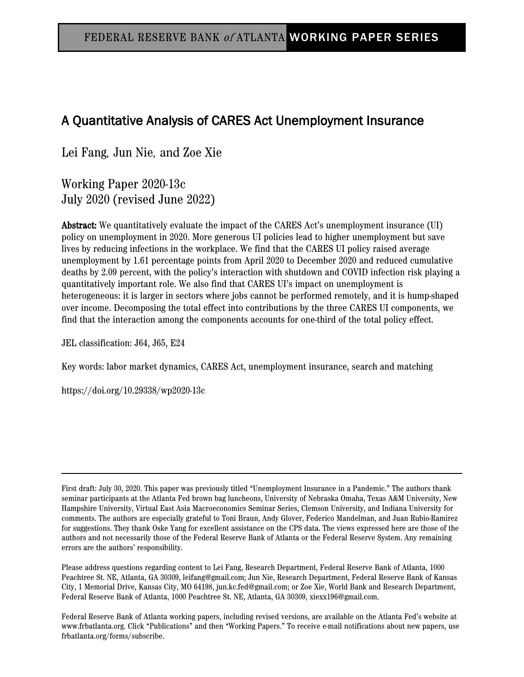# A Quantitative Analysis of CARES Act Unemployment Insurance

Lei Fang*,* Jun Nie*,* and Zoe Xie

Working Paper 2020-13c July 2020 (revised June 2022)

Abstract: We quantitatively evaluate the impact of the CARES Act's unemployment insurance (UI) policy on unemployment in 2020. More generous UI policies lead to higher unemployment but save lives by reducing infections in the workplace. We find that the CARES UI policy raised average unemployment by 1.61 percentage points from April 2020 to December 2020 and reduced cumulative deaths by 2.09 percent, with the policy's interaction with shutdown and COVID infection risk playing a quantitatively important role. We also find that CARES UI's impact on unemployment is heterogeneous: it is larger in sectors where jobs cannot be performed remotely, and it is hump-shaped over income. Decomposing the total effect into contributions by the three CARES UI components, we find that the interaction among the components accounts for one-third of the total policy effect.

JEL classification: J64, J65, E24

Key words: labor market dynamics, CARES Act, unemployment insurance, search and matching

https://doi.org/10.29338/wp2020-13c

First draft: July 30, 2020. This paper was previously titled "Unemployment Insurance in a Pandemic." The authors thank seminar participants at the Atlanta Fed brown bag luncheons, University of Nebraska Omaha, Texas A&M University, New Hampshire University, Virtual East Asia Macroeconomics Seminar Series, Clemson University, and Indiana University for comments. The authors are especially grateful to Toni Braun, Andy Glover, Federico Mandelman, and Juan Rubio-Ramirez for suggestions. They thank Oske Yang for excellent assistance on the CPS data. The views expressed here are those of the authors and not necessarily those of the Federal Reserve Bank of Atlanta or the Federal Reserve System. Any remaining errors are the authors' responsibility.

Please address questions regarding content to Lei Fang, Research Department, Federal Reserve Bank of Atlanta, 1000 Peachtree St. NE, Atlanta, GA 30309, leifang@gmail.com; Jun Nie, Research Department, Federal Reserve Bank of Kansas City, 1 Memorial Drive, Kansas City, MO 64198, jun.kc.fed@gmail.com; or Zoe Xie, World Bank and Research Department, Federal Reserve Bank of Atlanta, 1000 Peachtree St. NE, Atlanta, GA 30309, xiexx196@gmail.com.

Federal Reserve Bank of Atlanta working papers, including revised versions, are available on the Atlanta Fed's website at www.frbatlanta.org. Click "Publications" and then "Working Papers." To receive e-mail notifications about new papers, use frbatlanta.org/forms/subscribe.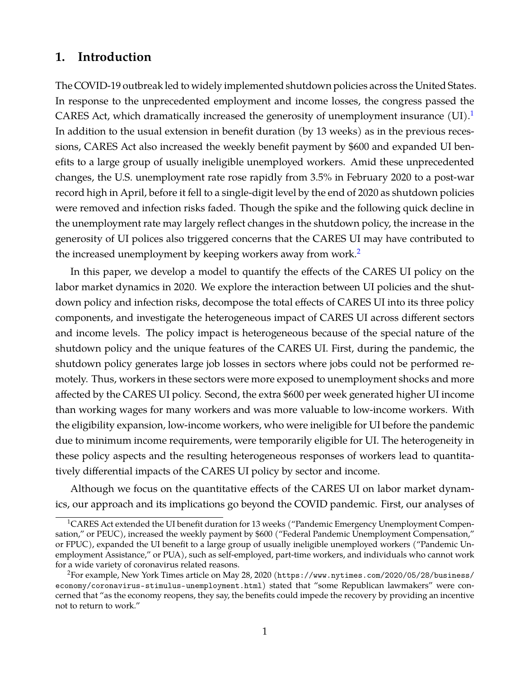# **1. Introduction**

The COVID-19 outbreak led to widely implemented shutdown policies across the United States. In response to the unprecedented employment and income losses, the congress passed the CARES Act, which dramatically increased the generosity of unemployment insurance  $(UI)^{1}$  $(UI)^{1}$  $(UI)^{1}$ In addition to the usual extension in benefit duration (by 13 weeks) as in the previous recessions, CARES Act also increased the weekly benefit payment by \$600 and expanded UI benefits to a large group of usually ineligible unemployed workers. Amid these unprecedented changes, the U.S. unemployment rate rose rapidly from 3.5% in February 2020 to a post-war record high in April, before it fell to a single-digit level by the end of 2020 as shutdown policies were removed and infection risks faded. Though the spike and the following quick decline in the unemployment rate may largely reflect changes in the shutdown policy, the increase in the generosity of UI polices also triggered concerns that the CARES UI may have contributed to the increased unemployment by keeping workers away from work.<sup>[2](#page-1-1)</sup>

In this paper, we develop a model to quantify the effects of the CARES UI policy on the labor market dynamics in 2020. We explore the interaction between UI policies and the shutdown policy and infection risks, decompose the total effects of CARES UI into its three policy components, and investigate the heterogeneous impact of CARES UI across different sectors and income levels. The policy impact is heterogeneous because of the special nature of the shutdown policy and the unique features of the CARES UI. First, during the pandemic, the shutdown policy generates large job losses in sectors where jobs could not be performed remotely. Thus, workers in these sectors were more exposed to unemployment shocks and more affected by the CARES UI policy. Second, the extra \$600 per week generated higher UI income than working wages for many workers and was more valuable to low-income workers. With the eligibility expansion, low-income workers, who were ineligible for UI before the pandemic due to minimum income requirements, were temporarily eligible for UI. The heterogeneity in these policy aspects and the resulting heterogeneous responses of workers lead to quantitatively differential impacts of the CARES UI policy by sector and income.

Although we focus on the quantitative effects of the CARES UI on labor market dynamics, our approach and its implications go beyond the COVID pandemic. First, our analyses of

<span id="page-1-0"></span><sup>&</sup>lt;sup>1</sup>CARES Act extended the UI benefit duration for 13 weeks ("Pandemic Emergency Unemployment Compensation," or PEUC), increased the weekly payment by \$600 ("Federal Pandemic Unemployment Compensation," or FPUC), expanded the UI benefit to a large group of usually ineligible unemployed workers ("Pandemic Unemployment Assistance," or PUA), such as self-employed, part-time workers, and individuals who cannot work for a wide variety of coronavirus related reasons.

<span id="page-1-1"></span><sup>2</sup>For example, New York Times article on May 28, 2020 ([https://www.nytimes.com/2020/05/28/business/](https://www.nytimes.com/2020/05/28/business/economy/coronavirus-stimulus-unemployment.html) [economy/coronavirus-stimulus-unemployment.html](https://www.nytimes.com/2020/05/28/business/economy/coronavirus-stimulus-unemployment.html)) stated that "some Republican lawmakers" were concerned that "as the economy reopens, they say, the benefits could impede the recovery by providing an incentive not to return to work."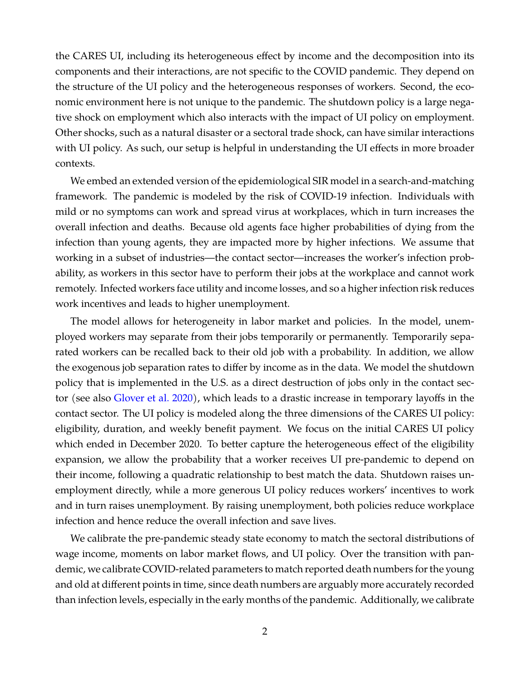the CARES UI, including its heterogeneous effect by income and the decomposition into its components and their interactions, are not specific to the COVID pandemic. They depend on the structure of the UI policy and the heterogeneous responses of workers. Second, the economic environment here is not unique to the pandemic. The shutdown policy is a large negative shock on employment which also interacts with the impact of UI policy on employment. Other shocks, such as a natural disaster or a sectoral trade shock, can have similar interactions with UI policy. As such, our setup is helpful in understanding the UI effects in more broader contexts.

We embed an extended version of the epidemiological SIR model in a search-and-matching framework. The pandemic is modeled by the risk of COVID-19 infection. Individuals with mild or no symptoms can work and spread virus at workplaces, which in turn increases the overall infection and deaths. Because old agents face higher probabilities of dying from the infection than young agents, they are impacted more by higher infections. We assume that working in a subset of industries—the contact sector—increases the worker's infection probability, as workers in this sector have to perform their jobs at the workplace and cannot work remotely. Infected workers face utility and income losses, and so a higher infection risk reduces work incentives and leads to higher unemployment.

The model allows for heterogeneity in labor market and policies. In the model, unemployed workers may separate from their jobs temporarily or permanently. Temporarily separated workers can be recalled back to their old job with a probability. In addition, we allow the exogenous job separation rates to differ by income as in the data. We model the shutdown policy that is implemented in the U.S. as a direct destruction of jobs only in the contact sector (see also [Glover et al.](#page-37-0) [2020\)](#page-37-0), which leads to a drastic increase in temporary layoffs in the contact sector. The UI policy is modeled along the three dimensions of the CARES UI policy: eligibility, duration, and weekly benefit payment. We focus on the initial CARES UI policy which ended in December 2020. To better capture the heterogeneous effect of the eligibility expansion, we allow the probability that a worker receives UI pre-pandemic to depend on their income, following a quadratic relationship to best match the data. Shutdown raises unemployment directly, while a more generous UI policy reduces workers' incentives to work and in turn raises unemployment. By raising unemployment, both policies reduce workplace infection and hence reduce the overall infection and save lives.

We calibrate the pre-pandemic steady state economy to match the sectoral distributions of wage income, moments on labor market flows, and UI policy. Over the transition with pandemic, we calibrate COVID-related parameters to match reported death numbers for the young and old at different points in time, since death numbers are arguably more accurately recorded than infection levels, especially in the early months of the pandemic. Additionally, we calibrate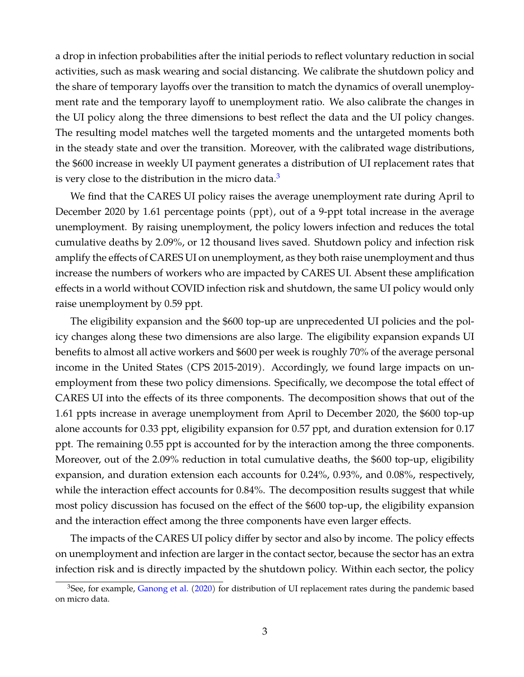a drop in infection probabilities after the initial periods to reflect voluntary reduction in social activities, such as mask wearing and social distancing. We calibrate the shutdown policy and the share of temporary layoffs over the transition to match the dynamics of overall unemployment rate and the temporary layoff to unemployment ratio. We also calibrate the changes in the UI policy along the three dimensions to best reflect the data and the UI policy changes. The resulting model matches well the targeted moments and the untargeted moments both in the steady state and over the transition. Moreover, with the calibrated wage distributions, the \$600 increase in weekly UI payment generates a distribution of UI replacement rates that is very close to the distribution in the micro data. $3$ 

We find that the CARES UI policy raises the average unemployment rate during April to December 2020 by 1.61 percentage points (ppt), out of a 9-ppt total increase in the average unemployment. By raising unemployment, the policy lowers infection and reduces the total cumulative deaths by 2.09%, or 12 thousand lives saved. Shutdown policy and infection risk amplify the effects of CARES UI on unemployment, as they both raise unemployment and thus increase the numbers of workers who are impacted by CARES UI. Absent these amplification effects in a world without COVID infection risk and shutdown, the same UI policy would only raise unemployment by 0.59 ppt.

The eligibility expansion and the \$600 top-up are unprecedented UI policies and the policy changes along these two dimensions are also large. The eligibility expansion expands UI benefits to almost all active workers and \$600 per week is roughly 70% of the average personal income in the United States (CPS 2015-2019). Accordingly, we found large impacts on unemployment from these two policy dimensions. Specifically, we decompose the total effect of CARES UI into the effects of its three components. The decomposition shows that out of the 1.61 ppts increase in average unemployment from April to December 2020, the \$600 top-up alone accounts for 0.33 ppt, eligibility expansion for 0.57 ppt, and duration extension for 0.17 ppt. The remaining 0.55 ppt is accounted for by the interaction among the three components. Moreover, out of the 2.09% reduction in total cumulative deaths, the \$600 top-up, eligibility expansion, and duration extension each accounts for 0.24%, 0.93%, and 0.08%, respectively, while the interaction effect accounts for 0.84%. The decomposition results suggest that while most policy discussion has focused on the effect of the \$600 top-up, the eligibility expansion and the interaction effect among the three components have even larger effects.

The impacts of the CARES UI policy differ by sector and also by income. The policy effects on unemployment and infection are larger in the contact sector, because the sector has an extra infection risk and is directly impacted by the shutdown policy. Within each sector, the policy

<span id="page-3-0"></span><sup>&</sup>lt;sup>3</sup>See, for example, [Ganong et al.](#page-37-1) [\(2020\)](#page-37-1) for distribution of UI replacement rates during the pandemic based on micro data.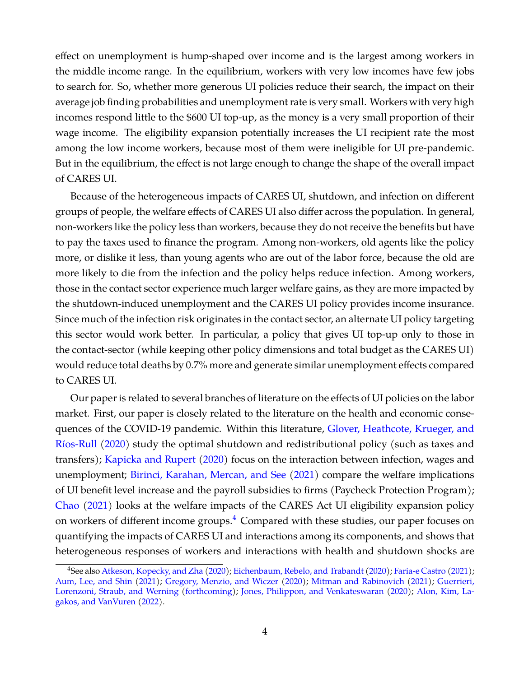effect on unemployment is hump-shaped over income and is the largest among workers in the middle income range. In the equilibrium, workers with very low incomes have few jobs to search for. So, whether more generous UI policies reduce their search, the impact on their average job finding probabilities and unemployment rate is very small. Workers with very high incomes respond little to the \$600 UI top-up, as the money is a very small proportion of their wage income. The eligibility expansion potentially increases the UI recipient rate the most among the low income workers, because most of them were ineligible for UI pre-pandemic. But in the equilibrium, the effect is not large enough to change the shape of the overall impact of CARES UI.

Because of the heterogeneous impacts of CARES UI, shutdown, and infection on different groups of people, the welfare effects of CARES UI also differ across the population. In general, non-workers like the policy less than workers, because they do not receive the benefits but have to pay the taxes used to finance the program. Among non-workers, old agents like the policy more, or dislike it less, than young agents who are out of the labor force, because the old are more likely to die from the infection and the policy helps reduce infection. Among workers, those in the contact sector experience much larger welfare gains, as they are more impacted by the shutdown-induced unemployment and the CARES UI policy provides income insurance. Since much of the infection risk originates in the contact sector, an alternate UI policy targeting this sector would work better. In particular, a policy that gives UI top-up only to those in the contact-sector (while keeping other policy dimensions and total budget as the CARES UI) would reduce total deaths by 0.7% more and generate similar unemployment effects compared to CARES UI.

Our paper is related to several branches of literature on the effects of UI policies on the labor market. First, our paper is closely related to the literature on the health and economic consequences of the COVID-19 pandemic. Within this literature, [Glover, Heathcote, Krueger, and](#page-37-0) [Ríos-Rull](#page-37-0) [\(2020\)](#page-37-0) study the optimal shutdown and redistributional policy (such as taxes and transfers); [Kapicka and Rupert](#page-37-2) [\(2020\)](#page-37-2) focus on the interaction between infection, wages and unemployment; [Birinci, Karahan, Mercan, and See](#page-36-0) [\(2021\)](#page-36-0) compare the welfare implications of UI benefit level increase and the payroll subsidies to firms (Paycheck Protection Program); [Chao](#page-36-1) [\(2021\)](#page-36-1) looks at the welfare impacts of the CARES Act UI eligibility expansion policy on workers of different income groups.<sup>[4](#page-4-0)</sup> Compared with these studies, our paper focuses on quantifying the impacts of CARES UI and interactions among its components, and shows that heterogeneous responses of workers and interactions with health and shutdown shocks are

<span id="page-4-0"></span><sup>4</sup>See also [Atkeson, Kopecky, and Zha](#page-36-2) [\(2020\)](#page-36-2); [Eichenbaum, Rebelo, and Trabandt](#page-36-3) [\(2020\)](#page-36-3); [Faria-e Castro](#page-36-4) [\(2021\)](#page-36-4); [Aum, Lee, and Shin](#page-36-5) [\(2021\)](#page-36-5); [Gregory, Menzio, and Wiczer](#page-37-3) [\(2020\)](#page-37-3); [Mitman and Rabinovich](#page-37-4) [\(2021\)](#page-37-4); [Guerrieri,](#page-37-5) [Lorenzoni, Straub, and Werning](#page-37-5) [\(forthcoming\)](#page-37-5); [Jones, Philippon, and Venkateswaran](#page-37-6) [\(2020\)](#page-37-6); [Alon, Kim, La](#page-36-6)[gakos, and VanVuren](#page-36-6) [\(2022\)](#page-36-6).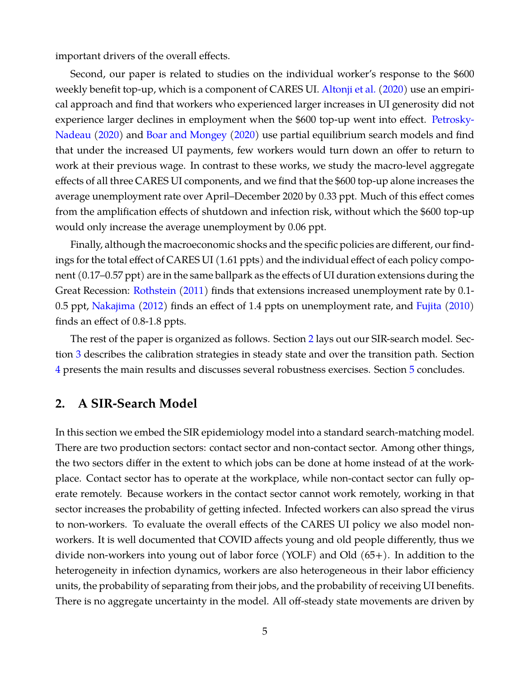important drivers of the overall effects.

Second, our paper is related to studies on the individual worker's response to the \$600 weekly benefit top-up, which is a component of CARES UI. [Altonji et al.](#page-36-7) [\(2020\)](#page-36-7) use an empirical approach and find that workers who experienced larger increases in UI generosity did not experience larger declines in employment when the \$600 top-up went into effect. [Petrosky-](#page-38-0)[Nadeau](#page-38-0) [\(2020\)](#page-38-0) and [Boar and Mongey](#page-36-8) [\(2020\)](#page-36-8) use partial equilibrium search models and find that under the increased UI payments, few workers would turn down an offer to return to work at their previous wage. In contrast to these works, we study the macro-level aggregate effects of all three CARES UI components, and we find that the \$600 top-up alone increases the average unemployment rate over April–December 2020 by 0.33 ppt. Much of this effect comes from the amplification effects of shutdown and infection risk, without which the \$600 top-up would only increase the average unemployment by 0.06 ppt.

Finally, although the macroeconomic shocks and the specific policies are different, our findings for the total effect of CARES UI (1.61 ppts) and the individual effect of each policy component (0.17–0.57 ppt) are in the same ballpark as the effects of UI duration extensions during the Great Recession: [Rothstein](#page-38-1) [\(2011\)](#page-38-1) finds that extensions increased unemployment rate by 0.1- 0.5 ppt, [Nakajima](#page-38-2) [\(2012\)](#page-38-2) finds an effect of 1.4 ppts on unemployment rate, and [Fujita](#page-37-7) [\(2010\)](#page-37-7) finds an effect of 0.8-1.8 ppts.

The rest of the paper is organized as follows. Section [2](#page-5-0) lays out our SIR-search model. Section [3](#page-14-0) describes the calibration strategies in steady state and over the transition path. Section [4](#page-23-0) presents the main results and discusses several robustness exercises. Section [5](#page-35-0) concludes.

# <span id="page-5-0"></span>**2. A SIR-Search Model**

In this section we embed the SIR epidemiology model into a standard search-matching model. There are two production sectors: contact sector and non-contact sector. Among other things, the two sectors differ in the extent to which jobs can be done at home instead of at the workplace. Contact sector has to operate at the workplace, while non-contact sector can fully operate remotely. Because workers in the contact sector cannot work remotely, working in that sector increases the probability of getting infected. Infected workers can also spread the virus to non-workers. To evaluate the overall effects of the CARES UI policy we also model nonworkers. It is well documented that COVID affects young and old people differently, thus we divide non-workers into young out of labor force (YOLF) and Old (65+). In addition to the heterogeneity in infection dynamics, workers are also heterogeneous in their labor efficiency units, the probability of separating from their jobs, and the probability of receiving UI benefits. There is no aggregate uncertainty in the model. All off-steady state movements are driven by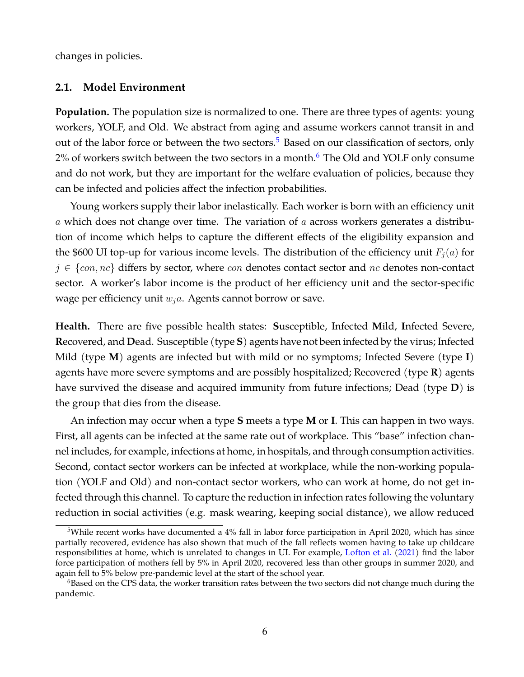changes in policies.

#### **2.1. Model Environment**

**Population.** The population size is normalized to one. There are three types of agents: young workers, YOLF, and Old. We abstract from aging and assume workers cannot transit in and out of the labor force or between the two sectors.<sup>[5](#page-6-0)</sup> Based on our classification of sectors, only  $2\%$  of workers switch between the two sectors in a month.<sup>[6](#page-6-1)</sup> The Old and YOLF only consume and do not work, but they are important for the welfare evaluation of policies, because they can be infected and policies affect the infection probabilities.

Young workers supply their labor inelastically. Each worker is born with an efficiency unit  $a$  which does not change over time. The variation of  $a$  across workers generates a distribution of income which helps to capture the different effects of the eligibility expansion and the \$600 UI top-up for various income levels. The distribution of the efficiency unit  $F_i(a)$  for  $j \in \{con, nc\}$  differs by sector, where  $con$  denotes contact sector and  $nc$  denotes non-contact sector. A worker's labor income is the product of her efficiency unit and the sector-specific wage per efficiency unit  $w_i$ a. Agents cannot borrow or save.

**Health.** There are five possible health states: **S**usceptible, Infected **M**ild, **I**nfected Severe, **R**ecovered, and **D**ead. Susceptible (type **S**) agents have not been infected by the virus; Infected Mild (type **M**) agents are infected but with mild or no symptoms; Infected Severe (type **I**) agents have more severe symptoms and are possibly hospitalized; Recovered (type **R**) agents have survived the disease and acquired immunity from future infections; Dead (type **D**) is the group that dies from the disease.

An infection may occur when a type **S** meets a type **M** or **I**. This can happen in two ways. First, all agents can be infected at the same rate out of workplace. This "base" infection channel includes, for example, infections at home, in hospitals, and through consumption activities. Second, contact sector workers can be infected at workplace, while the non-working population (YOLF and Old) and non-contact sector workers, who can work at home, do not get infected through this channel. To capture the reduction in infection rates following the voluntary reduction in social activities (e.g. mask wearing, keeping social distance), we allow reduced

<span id="page-6-0"></span><sup>5</sup>While recent works have documented a 4% fall in labor force participation in April 2020, which has since partially recovered, evidence has also shown that much of the fall reflects women having to take up childcare responsibilities at home, which is unrelated to changes in UI. For example, [Lofton et al.](#page-37-8) [\(2021\)](#page-37-8) find the labor force participation of mothers fell by 5% in April 2020, recovered less than other groups in summer 2020, and again fell to 5% below pre-pandemic level at the start of the school year.

<span id="page-6-1"></span> $6B$ ased on the CPS data, the worker transition rates between the two sectors did not change much during the pandemic.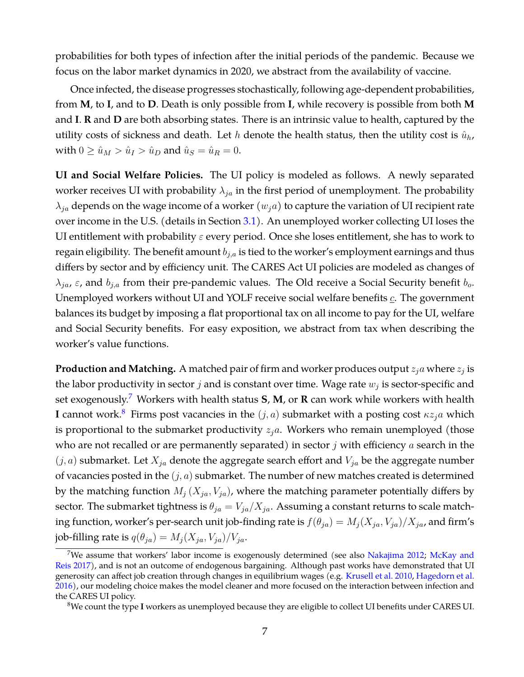probabilities for both types of infection after the initial periods of the pandemic. Because we focus on the labor market dynamics in 2020, we abstract from the availability of vaccine.

Once infected, the disease progresses stochastically, following age-dependent probabilities, from **M**, to **I**, and to **D**. Death is only possible from **I**, while recovery is possible from both **M** and **I**. **R** and **D** are both absorbing states. There is an intrinsic value to health, captured by the utility costs of sickness and death. Let h denote the health status, then the utility cost is  $\hat{u}_h$ , with  $0 \geq \hat{u}_M > \hat{u}_I > \hat{u}_D$  and  $\hat{u}_S = \hat{u}_R = 0$ .

**UI and Social Welfare Policies.** The UI policy is modeled as follows. A newly separated worker receives UI with probability  $\lambda_{ja}$  in the first period of unemployment. The probability  $\lambda_{ia}$  depends on the wage income of a worker  $(w_i a)$  to capture the variation of UI recipient rate over income in the U.S. (details in Section [3.1\)](#page-15-0). An unemployed worker collecting UI loses the UI entitlement with probability  $\varepsilon$  every period. Once she loses entitlement, she has to work to regain eligibility. The benefit amount  $b_{j,a}$  is tied to the worker's employment earnings and thus differs by sector and by efficiency unit. The CARES Act UI policies are modeled as changes of  $\lambda_{ja}$ ,  $\varepsilon$ , and  $b_{i,a}$  from their pre-pandemic values. The Old receive a Social Security benefit  $b_o$ . Unemployed workers without UI and YOLF receive social welfare benefits  $c$ . The government balances its budget by imposing a flat proportional tax on all income to pay for the UI, welfare and Social Security benefits. For easy exposition, we abstract from tax when describing the worker's value functions.

**Production and Matching.** A matched pair of firm and worker produces output  $z_i$  where  $z_i$  is the labor productivity in sector  $j$  and is constant over time. Wage rate  $w_j$  is sector-specific and set exogenously.[7](#page-7-0) Workers with health status **S**, **M**, or **R** can work while workers with health **I** cannot work.<sup>[8](#page-7-1)</sup> Firms post vacancies in the  $(j, a)$  submarket with a posting cost  $\kappa z_j a$  which is proportional to the submarket productivity  $z_j$ a. Workers who remain unemployed (those who are not recalled or are permanently separated) in sector  $j$  with efficiency  $a$  search in the  $(j, a)$  submarket. Let  $X_{ja}$  denote the aggregate search effort and  $V_{ja}$  be the aggregate number of vacancies posted in the  $(j, a)$  submarket. The number of new matches created is determined by the matching function  $M_i$  ( $X_{ja}$ ,  $V_{ja}$ ), where the matching parameter potentially differs by sector. The submarket tightness is  $\theta_{ja} = V_{ja}/X_{ja}$ . Assuming a constant returns to scale matching function, worker's per-search unit job-finding rate is  $f(\theta_{ja}) = M_j(X_{ja}, V_{ja})/X_{ja}$ , and firm's job-filling rate is  $q(\theta_{ja}) = M_j(X_{ja}, V_{ja})/V_{ja}$ .

<span id="page-7-0"></span><sup>&</sup>lt;sup>7</sup>We assume that workers' labor income is exogenously determined (see also [Nakajima](#page-38-2) [2012;](#page-38-2) [McKay and](#page-37-9) [Reis](#page-37-9) [2017\)](#page-37-9), and is not an outcome of endogenous bargaining. Although past works have demonstrated that UI generosity can affect job creation through changes in equilibrium wages (e.g. [Krusell et al.](#page-37-10) [2010,](#page-37-10) [Hagedorn et al.](#page-37-11) [2016\)](#page-37-11), our modeling choice makes the model cleaner and more focused on the interaction between infection and the CARES UI policy.

<span id="page-7-1"></span><sup>8</sup>We count the type **I** workers as unemployed because they are eligible to collect UI benefits under CARES UI.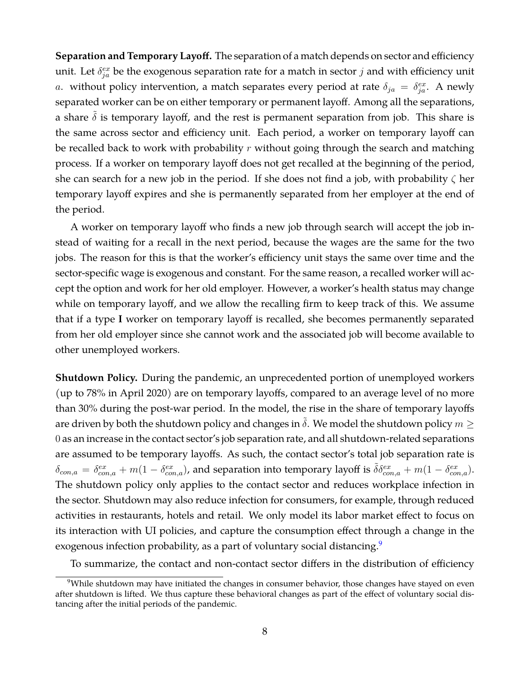**Separation and Temporary Layoff.** The separation of a match depends on sector and efficiency unit. Let  $\delta_{ja}^{ex}$  be the exogenous separation rate for a match in sector  $j$  and with efficiency unit a. without policy intervention, a match separates every period at rate  $\delta_{ja} = \delta_{ja}^{ex}$ . A newly separated worker can be on either temporary or permanent layoff. Among all the separations, a share  $\delta$  is temporary layoff, and the rest is permanent separation from job. This share is the same across sector and efficiency unit. Each period, a worker on temporary layoff can be recalled back to work with probability  $r$  without going through the search and matching process. If a worker on temporary layoff does not get recalled at the beginning of the period, she can search for a new job in the period. If she does not find a job, with probability  $\zeta$  her temporary layoff expires and she is permanently separated from her employer at the end of the period.

A worker on temporary layoff who finds a new job through search will accept the job instead of waiting for a recall in the next period, because the wages are the same for the two jobs. The reason for this is that the worker's efficiency unit stays the same over time and the sector-specific wage is exogenous and constant. For the same reason, a recalled worker will accept the option and work for her old employer. However, a worker's health status may change while on temporary layoff, and we allow the recalling firm to keep track of this. We assume that if a type **I** worker on temporary layoff is recalled, she becomes permanently separated from her old employer since she cannot work and the associated job will become available to other unemployed workers.

**Shutdown Policy.** During the pandemic, an unprecedented portion of unemployed workers (up to 78% in April 2020) are on temporary layoffs, compared to an average level of no more than 30% during the post-war period. In the model, the rise in the share of temporary layoffs are driven by both the shutdown policy and changes in  $\tilde{\delta}$ . We model the shutdown policy  $m \geq 1$ 0 as an increase in the contact sector's job separation rate, and all shutdown-related separations are assumed to be temporary layoffs. As such, the contact sector's total job separation rate is  $\delta_{con,a} = \delta^{ex}_{con,a} + m(1 - \delta^{ex}_{con,a})$ , and separation into temporary layoff is  $\tilde{\delta} \delta^{ex}_{con,a} + m(1 - \delta^{ex}_{con,a})$ . The shutdown policy only applies to the contact sector and reduces workplace infection in the sector. Shutdown may also reduce infection for consumers, for example, through reduced activities in restaurants, hotels and retail. We only model its labor market effect to focus on its interaction with UI policies, and capture the consumption effect through a change in the exogenous infection probability, as a part of voluntary social distancing.<sup>[9](#page-8-0)</sup>

To summarize, the contact and non-contact sector differs in the distribution of efficiency

<span id="page-8-0"></span><sup>&</sup>lt;sup>9</sup>While shutdown may have initiated the changes in consumer behavior, those changes have stayed on even after shutdown is lifted. We thus capture these behavioral changes as part of the effect of voluntary social distancing after the initial periods of the pandemic.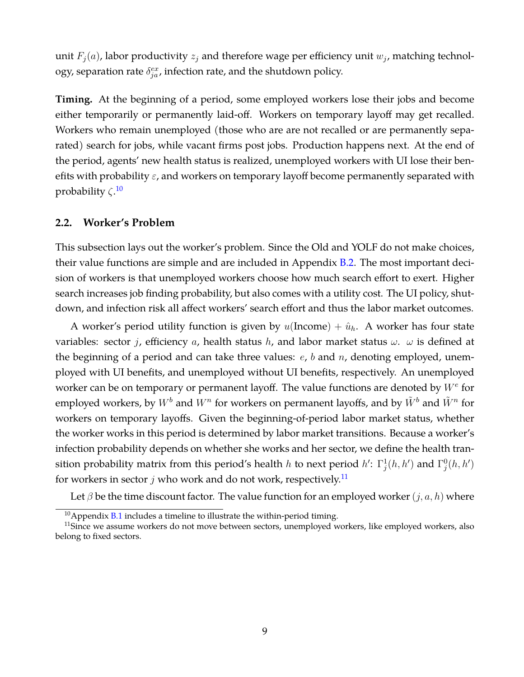unit  $F_i(a)$ , labor productivity  $z_i$  and therefore wage per efficiency unit  $w_i$ , matching technology, separation rate  $\delta_{ja}^{ex}$ , infection rate, and the shutdown policy.

**Timing.** At the beginning of a period, some employed workers lose their jobs and become either temporarily or permanently laid-off. Workers on temporary layoff may get recalled. Workers who remain unemployed (those who are are not recalled or are permanently separated) search for jobs, while vacant firms post jobs. Production happens next. At the end of the period, agents' new health status is realized, unemployed workers with UI lose their benefits with probability  $\varepsilon$ , and workers on temporary layoff become permanently separated with probability  $\zeta$ <sup>[10](#page-9-0)</sup>

#### <span id="page-9-2"></span>**2.2. Worker's Problem**

This subsection lays out the worker's problem. Since the Old and YOLF do not make choices, their value functions are simple and are included in Appendix [B.2.](#page-44-0) The most important decision of workers is that unemployed workers choose how much search effort to exert. Higher search increases job finding probability, but also comes with a utility cost. The UI policy, shutdown, and infection risk all affect workers' search effort and thus the labor market outcomes.

A worker's period utility function is given by  $u(\text{Income}) + \hat{u}_h$ . A worker has four state variables: sector j, efficiency a, health status h, and labor market status  $\omega$ .  $\omega$  is defined at the beginning of a period and can take three values:  $e$ ,  $b$  and  $n$ , denoting employed, unemployed with UI benefits, and unemployed without UI benefits, respectively. An unemployed worker can be on temporary or permanent layoff. The value functions are denoted by  $W^e$  for employed workers, by  $W^b$  and  $W^n$  for workers on permanent layoffs, and by  $\tilde{W}^b$  and  $\tilde{W}^n$  for workers on temporary layoffs. Given the beginning-of-period labor market status, whether the worker works in this period is determined by labor market transitions. Because a worker's infection probability depends on whether she works and her sector, we define the health transition probability matrix from this period's health h to next period  $h'$ :  $\Gamma^1_j(h, h')$  and  $\Gamma^0_j(h, h')$ for workers in sector  $j$  who work and do not work, respectively.<sup>[11](#page-9-1)</sup>

Let  $\beta$  be the time discount factor. The value function for an employed worker  $(j, a, h)$  where

<span id="page-9-1"></span><span id="page-9-0"></span> $10$ Appendix [B.1](#page-44-1) includes a timeline to illustrate the within-period timing.

<sup>&</sup>lt;sup>11</sup>Since we assume workers do not move between sectors, unemployed workers, like employed workers, also belong to fixed sectors.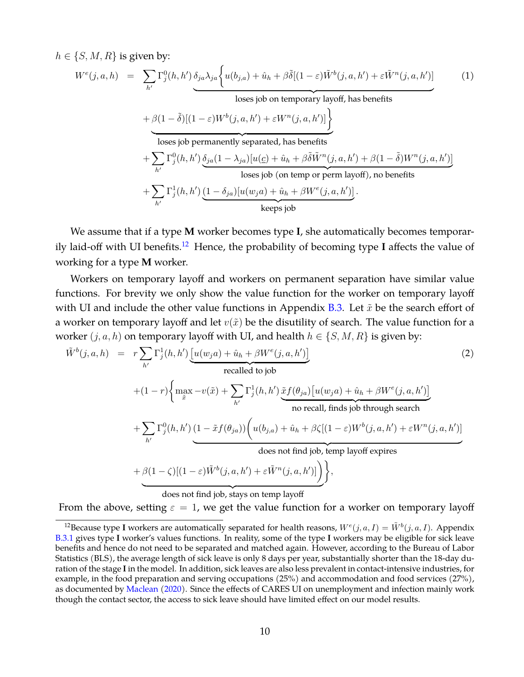$h \in \{S, M, R\}$  is given by:

<span id="page-10-2"></span>
$$
W^{e}(j, a, h) = \sum_{h'} \Gamma_{j}^{0}(h, h') \underbrace{\delta_{ja}\lambda_{ja}\left\{u(b_{j,a}) + \hat{u}_{h} + \beta\tilde{\delta}[(1-\varepsilon)\tilde{W}^{b}(j, a, h') + \varepsilon\tilde{W}^{n}(j, a, h')]\right\}}_{\text{loses job on temporary layout, has benefits}}
$$
\n
$$
+ \beta(1-\tilde{\delta})[(1-\varepsilon)W^{b}(j, a, h') + \varepsilon W^{n}(j, a, h')]\left\}
$$
\n
$$
\xrightarrow[\text{loss job permanently separated, has benefits}
$$
\n
$$
+ \sum_{h'} \Gamma_{j}^{0}(h, h') \underbrace{\delta_{ja}(1-\lambda_{ja})[u(\underline{c}) + \hat{u}_{h} + \beta\tilde{\delta}\tilde{W}^{n}(j, a, h') + \beta(1-\tilde{\delta})W^{n}(j, a, h')]}_{\text{loses job (on temp or perm layout), no benefits}}
$$
\n
$$
+ \sum_{h'} \Gamma_{j}^{1}(h, h') \underbrace{(1-\delta_{ja})[u(w_{ja}) + \hat{u}_{h} + \beta W^{e}(j, a, h')]}_{\text{keep s job}}
$$
\n
$$
\dots
$$

We assume that if a type **M** worker becomes type **I**, she automatically becomes temporarily laid-off with UI benefits.[12](#page-10-0) Hence, the probability of becoming type **I** affects the value of working for a type **M** worker.

Workers on temporary layoff and workers on permanent separation have similar value functions. For brevity we only show the value function for the worker on temporary layoff with UI and include the other value functions in Appendix [B.3.](#page-44-2) Let  $\tilde{x}$  be the search effort of a worker on temporary layoff and let  $v(\tilde{x})$  be the disutility of search. The value function for a worker  $(j, a, h)$  on temporary layoff with UI, and health  $h \in \{S, M, R\}$  is given by:

<span id="page-10-1"></span>
$$
\tilde{W}^{b}(j, a, h) = r \sum_{h'} \Gamma_{j}^{1}(h, h') \underbrace{\left[u(w_{j}a) + \hat{u}_{h} + \beta W^{e}(j, a, h')\right]}_{\text{recalled to job}}
$$
\n
$$
+ (1 - r) \left\{ \max_{\tilde{x}} -v(\tilde{x}) + \sum_{h'} \Gamma_{j}^{1}(h, h') \underbrace{\tilde{x} f(\theta_{ja}) \left[u(w_{j}a) + \hat{u}_{h} + \beta W^{e}(j, a, h')\right]}_{\text{no recall, finds job through search}} + \sum_{h'} \Gamma_{j}^{0}(h, h') \underbrace{(1 - \tilde{x} f(\theta_{ja})) \left(u(b_{j,a}) + \hat{u}_{h} + \beta \zeta \left[(1 - \varepsilon) W^{b}(j, a, h') + \varepsilon W^{n}(j, a, h')\right] \right)}_{\text{does not find job, temp layout} \text{express}}
$$
\n
$$
+ \beta (1 - \zeta) \left[(1 - \varepsilon) \tilde{W}^{b}(j, a, h') + \varepsilon \tilde{W}^{n}(j, a, h')\right] \right\},
$$
\n
$$
\underbrace{\left(\frac{\tilde{x} f(\theta_{ja})}{\tilde{x} f(\theta_{ja})}\right)}_{\text{does not find job, stays on temp layout}}
$$
\n(2)

From the above, setting  $\varepsilon = 1$ , we get the value function for a worker on temporary layoff

<span id="page-10-0"></span><sup>&</sup>lt;sup>12</sup> Because type I workers are automatically separated for health reasons,  $W^{e}(j, a, I) = \tilde{W}^{b}(j, a, I)$ . Appendix [B.3.1](#page-45-0) gives type **I** worker's values functions. In reality, some of the type **I** workers may be eligible for sick leave benefits and hence do not need to be separated and matched again. However, according to the Bureau of Labor Statistics (BLS), the average length of sick leave is only 8 days per year, substantially shorter than the 18-day duration of the stage **I**in the model. In addition, sick leaves are also less prevalent in contact-intensive industries, for example, in the food preparation and serving occupations (25%) and accommodation and food services (27%), as documented by [Maclean](#page-37-12) [\(2020\)](#page-37-12). Since the effects of CARES UI on unemployment and infection mainly work though the contact sector, the access to sick leave should have limited effect on our model results.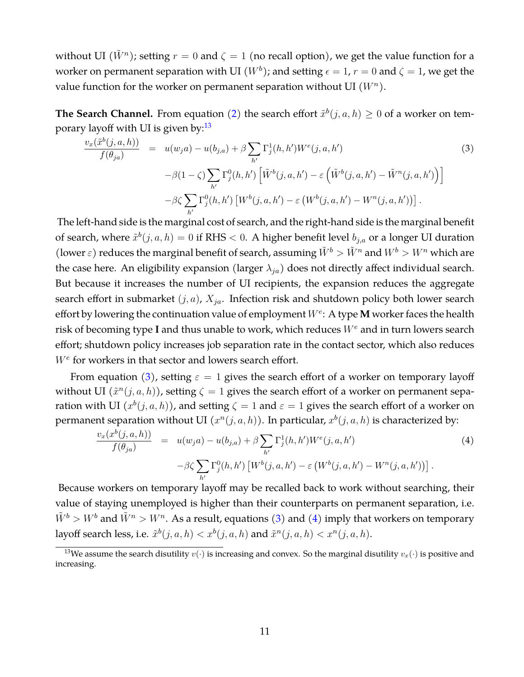without UI  $(\tilde{W}^n)$ ; setting  $r=0$  and  $\zeta=1$  (no recall option), we get the value function for a worker on permanent separation with UI  $(W^b)$ ; and setting  $\epsilon = 1$ ,  $r = 0$  and  $\zeta = 1$ , we get the value function for the worker on permanent separation without UI  $(W<sup>n</sup>)$ .

**The Search Channel.** From equation [\(2\)](#page-10-1) the search effort  $\tilde{x}^b(j, a, h) \geq 0$  of a worker on temporary layoff with UI is given by: $13$ 

<span id="page-11-1"></span>
$$
\frac{v_x(\tilde{x}^b(j, a, h))}{f(\theta_{ja})} = u(w_j a) - u(b_{j,a}) + \beta \sum_{h'} \Gamma_j^1(h, h') W^e(j, a, h')
$$
\n
$$
-\beta(1 - \zeta) \sum_{h'} \Gamma_j^0(h, h') \left[ \tilde{W}^b(j, a, h') - \varepsilon \left( \tilde{W}^b(j, a, h') - \tilde{W}^n(j, a, h') \right) \right]
$$
\n
$$
-\beta \zeta \sum_{h'} \Gamma_j^0(h, h') \left[ W^b(j, a, h') - \varepsilon \left( W^b(j, a, h') - W^n(j, a, h') \right) \right].
$$
\n(3)

The left-hand side is the marginal cost of search, and the right-hand side is the marginal benefit of search, where  $\tilde{x}^{b}(j, a, h) = 0$  if RHS  $< 0$ . A higher benefit level  $b_{j,a}$  or a longer UI duration (lower  $\varepsilon$ ) reduces the marginal benefit of search, assuming  $\tilde{W}^b > \tilde{W}^n$  and  $W^b > W^n$  which are the case here. An eligibility expansion (larger  $\lambda_{ja}$ ) does not directly affect individual search. But because it increases the number of UI recipients, the expansion reduces the aggregate search effort in submarket  $(j, a)$ ,  $X_{ja}$ . Infection risk and shutdown policy both lower search effort by lowering the continuation value of employment  $W^e$ : A type **M** worker faces the health risk of becoming type I and thus unable to work, which reduces  $W^e$  and in turn lowers search effort; shutdown policy increases job separation rate in the contact sector, which also reduces  $W<sup>e</sup>$  for workers in that sector and lowers search effort.

From equation [\(3\)](#page-11-1), setting  $\varepsilon = 1$  gives the search effort of a worker on temporary layoff without UI  $(\tilde{x}^n(j, a, h))$ , setting  $\zeta = 1$  gives the search effort of a worker on permanent separation with UI  $(x^b(j, a, h))$ , and setting  $\zeta = 1$  and  $\varepsilon = 1$  gives the search effort of a worker on permanent separation without UI  $(x^n(j, a, h))$ . In particular,  $x^b(j, a, h)$  is characterized by:

<span id="page-11-2"></span>
$$
\frac{v_x(x^b(j, a, h))}{f(\theta_{ja})} = u(w_j a) - u(b_{j, a}) + \beta \sum_{h'} \Gamma_j^1(h, h') W^e(j, a, h')
$$
\n
$$
-\beta \zeta \sum_{h'} \Gamma_j^0(h, h') [W^b(j, a, h') - \varepsilon (W^b(j, a, h') - W^n(j, a, h'))].
$$
\n(4)

Because workers on temporary layoff may be recalled back to work without searching, their value of staying unemployed is higher than their counterparts on permanent separation, i.e.  $\tilde{W}^b > W^b$  and  $\tilde{W}^n > W^n$ . As a result, equations [\(3\)](#page-11-1) and [\(4\)](#page-11-2) imply that workers on temporary layoff search less, i.e.  $\tilde{x}^b(j, a, h) < x^b(j, a, h)$  and  $\tilde{x}^n(j, a, h) < x^n(j, a, h)$ .

<span id="page-11-0"></span><sup>&</sup>lt;sup>13</sup>We assume the search disutility  $v(\cdot)$  is increasing and convex. So the marginal disutility  $v_x(\cdot)$  is positive and increasing.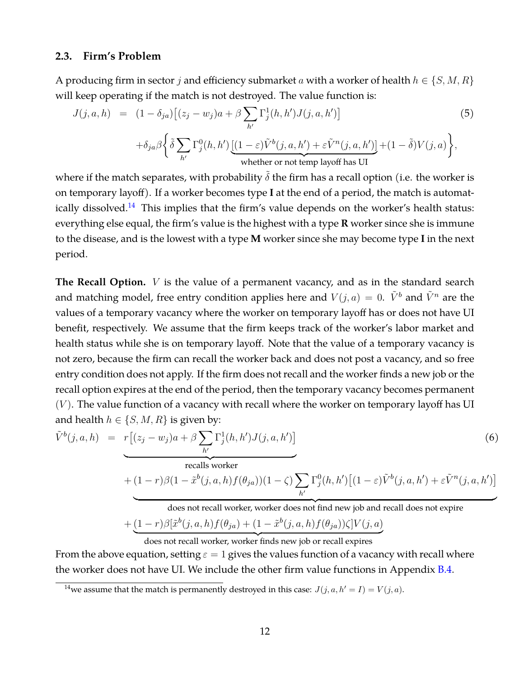#### <span id="page-12-1"></span>**2.3. Firm's Problem**

A producing firm in sector *j* and efficiency submarket *a* with a worker of health  $h \in \{S, M, R\}$ will keep operating if the match is not destroyed. The value function is:

<span id="page-12-2"></span>
$$
J(j, a, h) = (1 - \delta_{ja}) [(z_j - w_j)a + \beta \sum_{h'} \Gamma_j^1(h, h') J(j, a, h')]
$$
(5)  

$$
+ \delta_{ja} \beta \left\{ \tilde{\delta} \sum_{h'} \Gamma_j^0(h, h') \underbrace{[(1 - \varepsilon) \tilde{V}^b(j, a, h') + \varepsilon \tilde{V}^n(j, a, h')] }_{\text{whether or not temp layout has UI}} + (1 - \tilde{\delta}) V(j, a) \right\},
$$

where if the match separates, with probability  $\delta$  the firm has a recall option (i.e. the worker is on temporary layoff). If a worker becomes type **I** at the end of a period, the match is automat-ically dissolved.<sup>[14](#page-12-0)</sup> This implies that the firm's value depends on the worker's health status: everything else equal, the firm's value is the highest with a type **R** worker since she is immune to the disease, and is the lowest with a type **M** worker since she may become type **I** in the next period.

**The Recall Option.**  $V$  is the value of a permanent vacancy, and as in the standard search and matching model, free entry condition applies here and  $V(j, a) = 0$ .  $\tilde{V}^b$  and  $\tilde{V}^n$  are the values of a temporary vacancy where the worker on temporary layoff has or does not have UI benefit, respectively. We assume that the firm keeps track of the worker's labor market and health status while she is on temporary layoff. Note that the value of a temporary vacancy is not zero, because the firm can recall the worker back and does not post a vacancy, and so free entry condition does not apply. If the firm does not recall and the worker finds a new job or the recall option expires at the end of the period, then the temporary vacancy becomes permanent  $(V)$ . The value function of a vacancy with recall where the worker on temporary layoff has UI and health  $h \in \{S, M, R\}$  is given by:

$$
\tilde{V}^{b}(j, a, h) = r[(z_j - w_j)a + \beta \sum_{h'} \Gamma_j^1(h, h')J(j, a, h')]
$$
\n
$$
= \text{recalls worker}
$$
\n
$$
+ (1 - r)\beta(1 - \tilde{x}^{b}(j, a, h)f(\theta_{ja}))(1 - \zeta) \sum_{h'} \Gamma_j^0(h, h')[(1 - \varepsilon)\tilde{V}^{b}(j, a, h') + \varepsilon \tilde{V}^{n}(j, a, h')]
$$
\n
$$
= \sum_{h'} \Gamma_j^0(h, h')[(1 - \varepsilon)\tilde{V}^{b}(j, a, h') + \varepsilon \tilde{V}^{n}(j, a, h')]
$$
\n
$$
= \sum_{h'} \Gamma_j^0(h, h')[(1 - \varepsilon)\tilde{V}^{b}(j, a, h') + \varepsilon \tilde{V}^{n}(j, a, h')]
$$
\n
$$
= \sum_{h'} \Gamma_j^0(h, h')[(1 - \varepsilon)\tilde{V}^{b}(j, a, h') + \varepsilon \tilde{V}^{n}(j, a, h')]
$$
\n
$$
= \sum_{h'} \Gamma_j^0(h, h')[(1 - \varepsilon)\tilde{V}^{b}(j, a, h') + \varepsilon \tilde{V}^{n}(j, a, h')]
$$
\n
$$
= \sum_{h'} \Gamma_j^0(h, h')[(1 - \varepsilon)\tilde{V}^{b}(j, a, h') + \varepsilon \tilde{V}^{n}(j, a, h')]
$$
\n
$$
= \sum_{h'} \Gamma_j^0(h, h')[(1 - \varepsilon)\tilde{V}^{b}(j, a, h') + \varepsilon \tilde{V}^{n}(j, a, h')]
$$
\n
$$
= \sum_{h'} \Gamma_j^0(h, h')[(1 - \varepsilon)\tilde{V}^{b}(j, a, h') + \varepsilon \tilde{V}^{n}(j, a, h')]
$$

does not recall worker, worker does not find new job and recall does not expire  $+(1-r)\beta[\tilde{x}^b(j, a, h)f(\theta_{ja}) + (1-\tilde{x}^b(j, a, h)f(\theta_{ja}))\zeta]V(j, a)$ 

does not recall worker, worker finds new job or recall expires

From the above equation, setting  $\varepsilon = 1$  gives the values function of a vacancy with recall where the worker does not have UI. We include the other firm value functions in Appendix [B.4.](#page-46-0)

<span id="page-12-0"></span><sup>&</sup>lt;sup>14</sup>we assume that the match is permanently destroyed in this case:  $J(j, a, h' = I) = V(j, a)$ .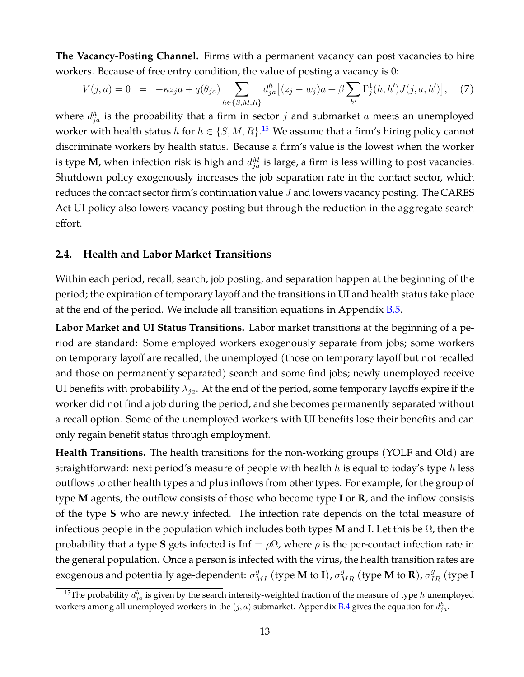**The Vacancy-Posting Channel.** Firms with a permanent vacancy can post vacancies to hire workers. Because of free entry condition, the value of posting a vacancy is 0:

<span id="page-13-1"></span>
$$
V(j,a) = 0 = -\kappa z_j a + q(\theta_{ja}) \sum_{h \in \{S,M,R\}} d_{ja}^h [(z_j - w_j)a + \beta \sum_{h'} \Gamma_j^1(h, h') J(j, a, h')], \quad (7)
$$

where  $d_{ja}^h$  is the probability that a firm in sector  $j$  and submarket  $a$  meets an unemployed worker with health status h for  $h \in \{S, M, R\}$ .<sup>[15](#page-13-0)</sup> We assume that a firm's hiring policy cannot discriminate workers by health status. Because a firm's value is the lowest when the worker is type **M**, when infection risk is high and  $d_{ja}^M$  is large, a firm is less willing to post vacancies. Shutdown policy exogenously increases the job separation rate in the contact sector, which reduces the contact sector firm's continuation value  $J$  and lowers vacancy posting. The CARES Act UI policy also lowers vacancy posting but through the reduction in the aggregate search effort.

#### <span id="page-13-2"></span>**2.4. Health and Labor Market Transitions**

Within each period, recall, search, job posting, and separation happen at the beginning of the period; the expiration of temporary layoff and the transitions in UI and health status take place at the end of the period. We include all transition equations in Appendix  $B.5$ .

**Labor Market and UI Status Transitions.** Labor market transitions at the beginning of a period are standard: Some employed workers exogenously separate from jobs; some workers on temporary layoff are recalled; the unemployed (those on temporary layoff but not recalled and those on permanently separated) search and some find jobs; newly unemployed receive UI benefits with probability  $\lambda_{ja}$ . At the end of the period, some temporary layoffs expire if the worker did not find a job during the period, and she becomes permanently separated without a recall option. Some of the unemployed workers with UI benefits lose their benefits and can only regain benefit status through employment.

**Health Transitions.** The health transitions for the non-working groups (YOLF and Old) are straightforward: next period's measure of people with health  $h$  is equal to today's type  $h$  less outflows to other health types and plus inflows from other types. For example, for the group of type **M** agents, the outflow consists of those who become type **I** or **R**, and the inflow consists of the type **S** who are newly infected. The infection rate depends on the total measure of infectious people in the population which includes both types **M** and **I**. Let this be Ω, then the probability that a type **S** gets infected is Inf =  $\rho\Omega$ , where  $\rho$  is the per-contact infection rate in the general population. Once a person is infected with the virus, the health transition rates are exogenous and potentially age-dependent:  $\sigma^g_{MI}$  (type **M** to **I**),  $\sigma^g_{MR}$  (type **M** to **R**),  $\sigma^g_{IR}$  (type **I** 

<span id="page-13-0"></span><sup>&</sup>lt;sup>15</sup>The probability  $d_{ja}^h$  is given by the search intensity-weighted fraction of the measure of type  $h$  unemployed workers among all unemployed workers in the  $(j, a)$  submarket. Appendix [B.4](#page-46-0) gives the equation for  $d_{ja}^h$ .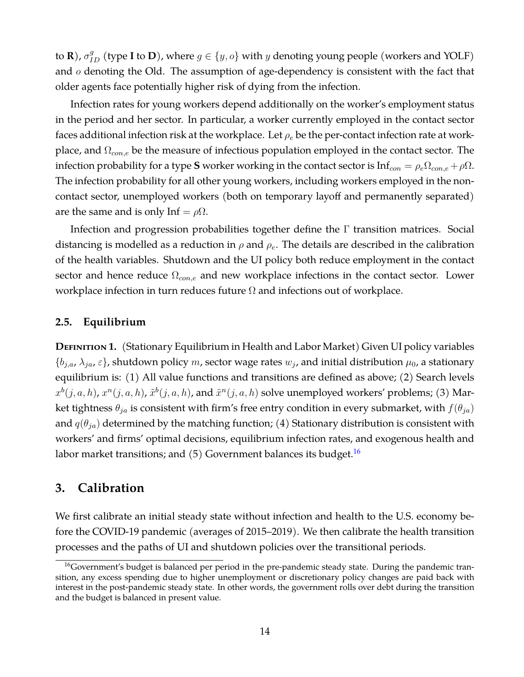to **R**),  $\sigma_{ID}^g$  (type **I** to **D**), where  $g \in \{y, o\}$  with  $y$  denoting young people (workers and YOLF) and  $o$  denoting the Old. The assumption of age-dependency is consistent with the fact that older agents face potentially higher risk of dying from the infection.

Infection rates for young workers depend additionally on the worker's employment status in the period and her sector. In particular, a worker currently employed in the contact sector faces additional infection risk at the workplace. Let  $\rho_e$  be the per-contact infection rate at workplace, and  $\Omega_{con,e}$  be the measure of infectious population employed in the contact sector. The infection probability for a type **S** worker working in the contact sector is  $Inf_{con} = \rho_e \Omega_{con,e} + \rho \Omega$ . The infection probability for all other young workers, including workers employed in the noncontact sector, unemployed workers (both on temporary layoff and permanently separated) are the same and is only Inf =  $\rho\Omega$ .

Infection and progression probabilities together define the Γ transition matrices. Social distancing is modelled as a reduction in  $\rho$  and  $\rho_e$ . The details are described in the calibration of the health variables. Shutdown and the UI policy both reduce employment in the contact sector and hence reduce  $\Omega_{cone}$  and new workplace infections in the contact sector. Lower workplace infection in turn reduces future  $\Omega$  and infections out of workplace.

#### **2.5. Equilibrium**

**DEFINITION 1.** (Stationary Equilibrium in Health and Labor Market) Given UI policy variables  $\{b_{i,a}, \lambda_{ja}, \varepsilon\}$ , shutdown policy m, sector wage rates  $w_i$ , and initial distribution  $\mu_0$ , a stationary equilibrium is: (1) All value functions and transitions are defined as above; (2) Search levels  $x^b(j, a, h)$ ,  $x^n(j, a, h)$ ,  $\tilde{x}^b(j, a, h)$ , and  $\tilde{x}^n(j, a, h)$  solve unemployed workers' problems; (3) Market tightness  $\theta_{ja}$  is consistent with firm's free entry condition in every submarket, with  $f(\theta_{ja})$ and  $q(\theta_{ja})$  determined by the matching function; (4) Stationary distribution is consistent with workers' and firms' optimal decisions, equilibrium infection rates, and exogenous health and labor market transitions; and  $(5)$  Government balances its budget.<sup>[16](#page-14-1)</sup>

### <span id="page-14-0"></span>**3. Calibration**

We first calibrate an initial steady state without infection and health to the U.S. economy before the COVID-19 pandemic (averages of 2015–2019). We then calibrate the health transition processes and the paths of UI and shutdown policies over the transitional periods.

<span id="page-14-1"></span> $16$ Government's budget is balanced per period in the pre-pandemic steady state. During the pandemic transition, any excess spending due to higher unemployment or discretionary policy changes are paid back with interest in the post-pandemic steady state. In other words, the government rolls over debt during the transition and the budget is balanced in present value.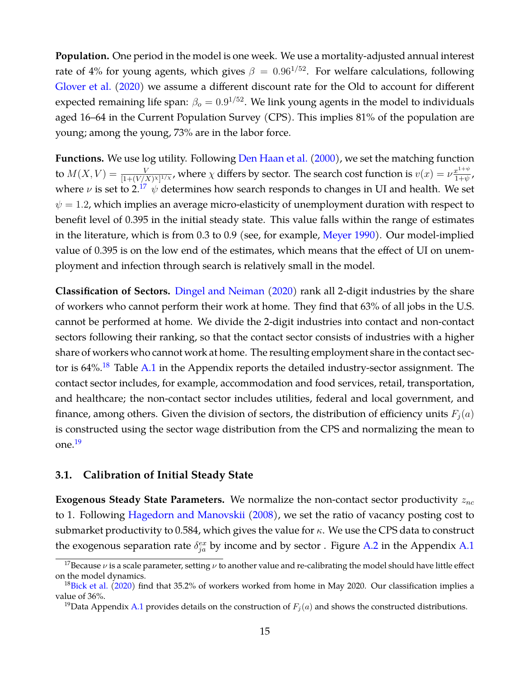**Population.** One period in the model is one week. We use a mortality-adjusted annual interest rate of 4% for young agents, which gives  $\beta = 0.96^{1/52}$ . For welfare calculations, following [Glover et al.](#page-37-0) [\(2020\)](#page-37-0) we assume a different discount rate for the Old to account for different expected remaining life span:  $\beta_o = 0.9^{1/52}$ . We link young agents in the model to individuals aged 16–64 in the Current Population Survey (CPS). This implies 81% of the population are young; among the young, 73% are in the labor force.

**Functions.** We use log utility. Following [Den Haan et al.](#page-36-9) [\(2000\)](#page-36-9), we set the matching function to  $M(X, V) = \frac{V}{[1+(V/X)^X]^{1/\chi}}$ , where  $\chi$  differs by sector. The search cost function is  $v(x) = \nu \frac{x^{1+\psi}}{1+\psi}$  $\frac{x^{1+\psi}}{1+\psi}$  , where  $\nu$  is set to 2.<sup>[17](#page-15-1)</sup>  $\psi$  determines how search responds to changes in UI and health. We set  $\psi = 1.2$ , which implies an average micro-elasticity of unemployment duration with respect to benefit level of 0.395 in the initial steady state. This value falls within the range of estimates in the literature, which is from 0.3 to 0.9 (see, for example, [Meyer](#page-37-13) [1990\)](#page-37-13). Our model-implied value of 0.395 is on the low end of the estimates, which means that the effect of UI on unemployment and infection through search is relatively small in the model.

**Classification of Sectors.** [Dingel and Neiman](#page-36-10) [\(2020\)](#page-36-10) rank all 2-digit industries by the share of workers who cannot perform their work at home. They find that 63% of all jobs in the U.S. cannot be performed at home. We divide the 2-digit industries into contact and non-contact sectors following their ranking, so that the contact sector consists of industries with a higher share of workers who cannot work at home. The resulting employment share in the contact sec-tor is 64%.<sup>[18](#page-15-2)</sup> Table [A.1](#page-43-0) in the Appendix reports the detailed industry-sector assignment. The contact sector includes, for example, accommodation and food services, retail, transportation, and healthcare; the non-contact sector includes utilities, federal and local government, and finance, among others. Given the division of sectors, the distribution of efficiency units  $F_i(a)$ is constructed using the sector wage distribution from the CPS and normalizing the mean to one.[19](#page-15-3)

#### <span id="page-15-0"></span>**3.1. Calibration of Initial Steady State**

**Exogenous Steady State Parameters.** We normalize the non-contact sector productivity to 1. Following [Hagedorn and Manovskii](#page-37-14) [\(2008\)](#page-37-14), we set the ratio of vacancy posting cost to submarket productivity to 0.584, which gives the value for  $\kappa$ . We use the CPS data to construct the exogenous separation rate  $\delta_{ja}^{ex}$  by income and by sector . Figure [A.2](#page-42-0) in the Appendix [A.1](#page-39-0)

<span id="page-15-1"></span><sup>&</sup>lt;sup>17</sup>Because  $\nu$  is a scale parameter, setting  $\nu$  to another value and re-calibrating the model should have little effect on the model dynamics.

<span id="page-15-2"></span> $18$ [Bick et al.](#page-36-11) [\(2020\)](#page-36-11) find that 35.2% of workers worked from home in May 2020. Our classification implies a value of 36%.

<span id="page-15-3"></span><sup>&</sup>lt;sup>19</sup>Data Appendix [A.1](#page-39-0) provides details on the construction of  $F_i(a)$  and shows the constructed distributions.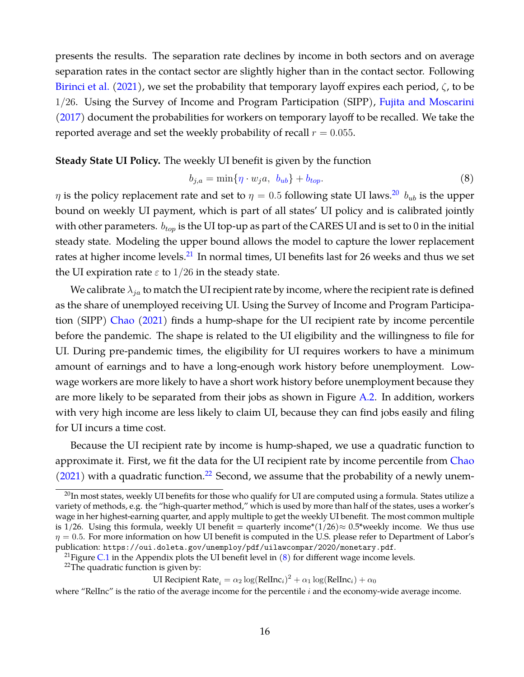presents the results. The separation rate declines by income in both sectors and on average separation rates in the contact sector are slightly higher than in the contact sector. Following [Birinci et al.](#page-36-0) [\(2021\)](#page-36-0), we set the probability that temporary layoff expires each period,  $\zeta$ , to be 1/26. Using the Survey of Income and Program Participation (SIPP), [Fujita and Moscarini](#page-37-15) [\(2017\)](#page-37-15) document the probabilities for workers on temporary layoff to be recalled. We take the reported average and set the weekly probability of recall  $r = 0.055$ .

#### **Steady State UI Policy.** The weekly UI benefit is given by the function

<span id="page-16-3"></span>
$$
b_{j,a} = \min\{\eta \cdot w_j a, \ b_{ub}\} + b_{top}.\tag{8}
$$

 $\eta$  is the policy replacement rate and set to  $\eta = 0.5$  following state UI laws.<sup>[20](#page-16-0)</sup>  $b_{ub}$  is the upper bound on weekly UI payment, which is part of all states' UI policy and is calibrated jointly with other parameters.  $b_{top}$  is the UI top-up as part of the CARES UI and is set to 0 in the initial steady state. Modeling the upper bound allows the model to capture the lower replacement rates at higher income levels.<sup>[21](#page-16-1)</sup> In normal times, UI benefits last for 26 weeks and thus we set the UI expiration rate  $\varepsilon$  to 1/26 in the steady state.

We calibrate  $\lambda_{ja}$  to match the UI recipient rate by income, where the recipient rate is defined as the share of unemployed receiving UI. Using the Survey of Income and Program Participa-tion (SIPP) [Chao](#page-36-1) [\(2021\)](#page-36-1) finds a hump-shape for the UI recipient rate by income percentile before the pandemic. The shape is related to the UI eligibility and the willingness to file for UI. During pre-pandemic times, the eligibility for UI requires workers to have a minimum amount of earnings and to have a long-enough work history before unemployment. Lowwage workers are more likely to have a short work history before unemployment because they are more likely to be separated from their jobs as shown in Figure [A.2.](#page-42-0) In addition, workers with very high income are less likely to claim UI, because they can find jobs easily and filing for UI incurs a time cost.

Because the UI recipient rate by income is hump-shaped, we use a quadratic function to approximate it. First, we fit the data for the UI recipient rate by income percentile from [Chao](#page-36-1)  $(2021)$  with a quadratic function.<sup>[22](#page-16-2)</sup> Second, we assume that the probability of a newly unem-

<span id="page-16-0"></span> $^{20}$ In most states, weekly UI benefits for those who qualify for UI are computed using a formula. States utilize a variety of methods, e.g. the "high-quarter method," which is used by more than half of the states, uses a worker's wage in her highest-earning quarter, and apply multiple to get the weekly UI benefit. The most common multiple is 1/26. Using this formula, weekly UI benefit = quarterly income\* $(1/26) \approx 0.5$ \*weekly income. We thus use  $\eta = 0.5$ . For more information on how UI benefit is computed in the U.S. please refer to Department of Labor's publication: <https://oui.doleta.gov/unemploy/pdf/uilawcompar/2020/monetary.pdf>.

<span id="page-16-1"></span><sup>&</sup>lt;sup>21</sup> Figure [C.1](#page-53-0) in the Appendix plots the UI benefit level in  $(8)$  for different wage income levels.

<span id="page-16-2"></span> $22$ The quadratic function is given by:

UI Recipient Rate<sub>i</sub> =  $\alpha_2 \log(\text{RelInc}_i)^2 + \alpha_1 \log(\text{RelInc}_i) + \alpha_0$ 

where "RelInc" is the ratio of the average income for the percentile  $i$  and the economy-wide average income.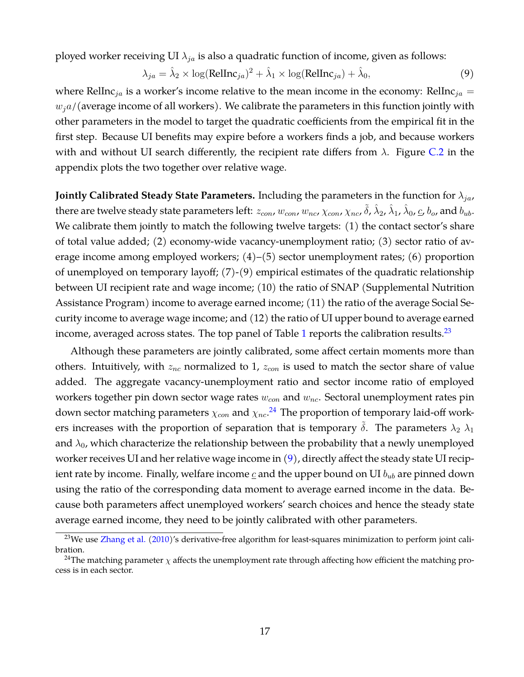ployed worker receiving UI  $\lambda_{ja}$  is also a quadratic function of income, given as follows:

<span id="page-17-2"></span>
$$
\lambda_{ja} = \hat{\lambda}_2 \times \log(\text{RelInc}_{ja})^2 + \hat{\lambda}_1 \times \log(\text{RelInc}_{ja}) + \hat{\lambda}_0,\tag{9}
$$

where RelInc<sub>ia</sub> is a worker's income relative to the mean income in the economy: RelInc<sub>ia</sub> =  $w_i a$ /(average income of all workers). We calibrate the parameters in this function jointly with other parameters in the model to target the quadratic coefficients from the empirical fit in the first step. Because UI benefits may expire before a workers finds a job, and because workers with and without UI search differently, the recipient rate differs from  $\lambda$ . Figure [C.2](#page-53-1) in the appendix plots the two together over relative wage.

**Jointly Calibrated Steady State Parameters.** Including the parameters in the function for  $\lambda_{ja}$ , there are twelve steady state parameters left:  $z_{con}$ ,  $w_{con}$ ,  $w_{nc}$ ,  $\chi_{con}$ ,  $\chi_{nc}$ ,  $\tilde{\delta}$ ,  $\hat{\lambda}_2$ ,  $\hat{\lambda}_1$ ,  $\hat{\lambda}_0$ ,  $\underline{c}$ ,  $b_o$ , and  $b_{ub}$ . We calibrate them jointly to match the following twelve targets: (1) the contact sector's share of total value added; (2) economy-wide vacancy-unemployment ratio; (3) sector ratio of average income among employed workers; (4)–(5) sector unemployment rates; (6) proportion of unemployed on temporary layoff; (7)-(9) empirical estimates of the quadratic relationship between UI recipient rate and wage income; (10) the ratio of SNAP (Supplemental Nutrition Assistance Program) income to average earned income; (11) the ratio of the average Social Security income to average wage income; and (12) the ratio of UI upper bound to average earned income, averaged across states. The top panel of Table [1](#page-18-0) reports the calibration results.<sup>[23](#page-17-0)</sup>

Although these parameters are jointly calibrated, some affect certain moments more than others. Intuitively, with  $z_{nc}$  normalized to 1,  $z_{con}$  is used to match the sector share of value added. The aggregate vacancy-unemployment ratio and sector income ratio of employed workers together pin down sector wage rates  $w_{con}$  and  $w_{nc}$ . Sectoral unemployment rates pin down sector matching parameters  $\chi_{con}$  and  $\chi_{nc}$ .<sup>[24](#page-17-1)</sup> The proportion of temporary laid-off workers increases with the proportion of separation that is temporary  $\delta$ . The parameters  $\lambda_2 \lambda_1$ and  $\lambda_0$ , which characterize the relationship between the probability that a newly unemployed worker receives UI and her relative wage income in [\(9\)](#page-17-2), directly affect the steady state UI recipient rate by income. Finally, welfare income  $\mathfrak c$  and the upper bound on UI  $b_{ub}$  are pinned down using the ratio of the corresponding data moment to average earned income in the data. Because both parameters affect unemployed workers' search choices and hence the steady state average earned income, they need to be jointly calibrated with other parameters.

<span id="page-17-0"></span> $23$ We use [Zhang et al.](#page-38-3) [\(2010\)](#page-38-3)'s derivative-free algorithm for least-squares minimization to perform joint calibration.

<span id="page-17-1"></span><sup>&</sup>lt;sup>24</sup>The matching parameter  $\chi$  affects the unemployment rate through affecting how efficient the matching process is in each sector.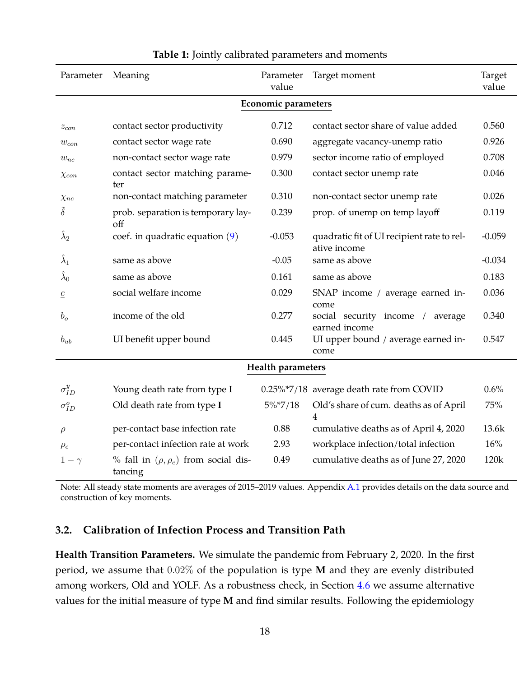<span id="page-18-0"></span>

| Parameter                  | Meaning                                                | Parameter<br>value | Target moment                                                       | Target<br>value |  |
|----------------------------|--------------------------------------------------------|--------------------|---------------------------------------------------------------------|-----------------|--|
| <b>Economic parameters</b> |                                                        |                    |                                                                     |                 |  |
| $z_{con}$                  | contact sector productivity                            | 0.712              | contact sector share of value added                                 | 0.560           |  |
| $w_{con}$                  | contact sector wage rate                               | 0.690              | aggregate vacancy-unemp ratio                                       | 0.926           |  |
| $w_{nc}$                   | non-contact sector wage rate                           | 0.979              | sector income ratio of employed                                     | 0.708           |  |
| $\chi_{con}$               | contact sector matching parame-<br>ter                 | 0.300              | contact sector unemp rate                                           | 0.046           |  |
| $\chi_{nc}$                | non-contact matching parameter                         | 0.310              | non-contact sector unemp rate                                       | 0.026           |  |
| $\tilde{\delta}$           | prob. separation is temporary lay-<br>off              | 0.239              | prop. of unemp on temp layoff                                       | 0.119           |  |
| $\lambda_2$                | coef. in quadratic equation $(9)$                      | $-0.053$           | quadratic fit of UI recipient rate to rel-<br>ative income          | $-0.059$        |  |
| $\tilde{\lambda}_1$        | same as above                                          | $-0.05$            | same as above                                                       | $-0.034$        |  |
| $\widetilde{\lambda}_0$    | same as above                                          | 0.161              | same as above                                                       | 0.183           |  |
| $\mathfrak{C}$             | social welfare income                                  | 0.029              | SNAP income / average earned in-<br>come                            | 0.036           |  |
| $b_o$                      | income of the old                                      | 0.277              | social security income<br>average<br>$\frac{1}{2}$<br>earned income | 0.340           |  |
| $b_{ub}$                   | UI benefit upper bound                                 | 0.445              | UI upper bound / average earned in-<br>come                         | 0.547           |  |
|                            |                                                        | Health parameters  |                                                                     |                 |  |
| $\sigma_{ID}^y$            | Young death rate from type I                           |                    | 0.25%*7/18 average death rate from COVID                            | 0.6%            |  |
| $\sigma_{ID}^o$            | Old death rate from type I                             | $5\%$ *7/18        | Old's share of cum. deaths as of April<br>4                         | 75%             |  |
| $\rho$                     | per-contact base infection rate                        | 0.88               | cumulative deaths as of April 4, 2020                               | 13.6k           |  |
| $\rho_e$                   | per-contact infection rate at work                     | 2.93               | workplace infection/total infection                                 | 16%             |  |
| $1-\gamma$                 | % fall in $(\rho, \rho_e)$ from social dis-<br>tancing | 0.49               | cumulative deaths as of June 27, 2020                               | 120k            |  |

#### **Table 1:** Jointly calibrated parameters and moments

Note: All steady state moments are averages of 2015–2019 values. Appendix [A.1](#page-39-0) provides details on the data source and construction of key moments.

### **3.2. Calibration of Infection Process and Transition Path**

**Health Transition Parameters.** We simulate the pandemic from February 2, 2020. In the first period, we assume that 0.02% of the population is type **M** and they are evenly distributed among workers, Old and YOLF. As a robustness check, in Section [4.6](#page-33-0) we assume alternative values for the initial measure of type **M** and find similar results. Following the epidemiology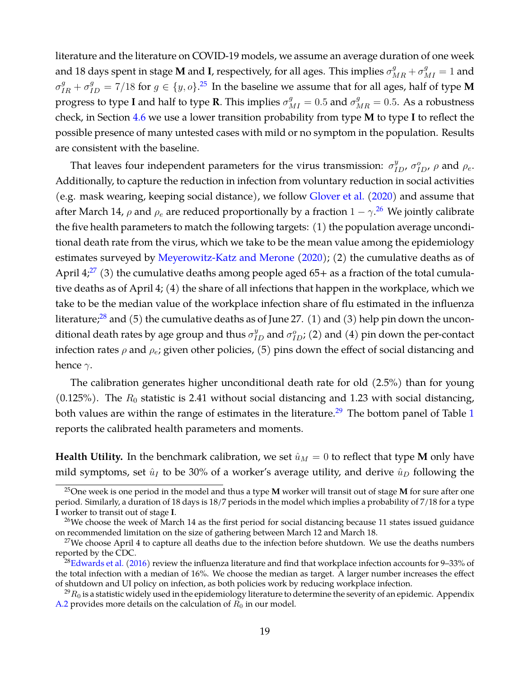literature and the literature on COVID-19 models, we assume an average duration of one week and 18 days spent in stage **M** and **I**, respectively, for all ages. This implies  $\sigma_{MR}^g + \sigma_{MI}^g = 1$  and  $\sigma_{IR}^g + \sigma_{ID}^g = 7/18$  for  $g \in \{y, o\}$ .<sup>[25](#page-19-0)</sup> In the baseline we assume that for all ages, half of type **M** progress to type **I** and half to type **R**. This implies  $\sigma_{MI}^g = 0.5$  and  $\sigma_{MR}^g = 0.5$ . As a robustness check, in Section [4.6](#page-33-0) we use a lower transition probability from type **M** to type **I** to reflect the possible presence of many untested cases with mild or no symptom in the population. Results are consistent with the baseline.

That leaves four independent parameters for the virus transmission:  $\sigma_{ID}^y$ ,  $\sigma_{ID}^o$ ,  $\rho$  and  $\rho_e$ . Additionally, to capture the reduction in infection from voluntary reduction in social activities (e.g. mask wearing, keeping social distance), we follow [Glover et al.](#page-37-0) [\(2020\)](#page-37-0) and assume that after March 14,  $\rho$  and  $\rho_e$  are reduced proportionally by a fraction  $1-\gamma$ .<sup>[26](#page-19-1)</sup> We jointly calibrate the five health parameters to match the following targets: (1) the population average unconditional death rate from the virus, which we take to be the mean value among the epidemiology estimates surveyed by [Meyerowitz-Katz and Merone](#page-37-16) [\(2020\)](#page-37-16); (2) the cumulative deaths as of April 4;<sup>[27](#page-19-2)</sup> (3) the cumulative deaths among people aged  $65+$  as a fraction of the total cumulative deaths as of April 4; (4) the share of all infections that happen in the workplace, which we take to be the median value of the workplace infection share of flu estimated in the influenza literature;<sup>[28](#page-19-3)</sup> and (5) the cumulative deaths as of June 27. (1) and (3) help pin down the unconditional death rates by age group and thus  $\sigma^y_{ID}$  and  $\sigma^o_{ID}$ ; (2) and (4) pin down the per-contact infection rates  $\rho$  and  $\rho_e$ ; given other policies, (5) pins down the effect of social distancing and hence  $\gamma$ .

The calibration generates higher unconditional death rate for old (2.5%) than for young (0.125%). The  $R_0$  statistic is 2.41 without social distancing and 1.23 with social distancing, both values are within the range of estimates in the literature.<sup>[29](#page-19-4)</sup> The bottom panel of Table [1](#page-18-0) reports the calibrated health parameters and moments.

**Health Utility.** In the benchmark calibration, we set  $\hat{u}_M = 0$  to reflect that type **M** only have mild symptoms, set  $\hat{u}_I$  to be 30% of a worker's average utility, and derive  $\hat{u}_D$  following the

<span id="page-19-0"></span><sup>25</sup>One week is one period in the model and thus a type **M** worker will transit out of stage **M** for sure after one period. Similarly, a duration of 18 days is 18/7 periods in the model which implies a probability of 7/18 for a type **I** worker to transit out of stage **I**.

<span id="page-19-1"></span> $^{26}$ We choose the week of March 14 as the first period for social distancing because 11 states issued guidance on recommended limitation on the size of gathering between March 12 and March 18.

<span id="page-19-2"></span><sup>&</sup>lt;sup>27</sup>We choose April 4 to capture all deaths due to the infection before shutdown. We use the deaths numbers reported by the CDC.

<span id="page-19-3"></span> $28$ [Edwards et al.](#page-36-12) [\(2016\)](#page-36-12) review the influenza literature and find that workplace infection accounts for 9–33% of the total infection with a median of 16%. We choose the median as target. A larger number increases the effect of shutdown and UI policy on infection, as both policies work by reducing workplace infection.

<span id="page-19-4"></span> $^{29}R_0$  is a statistic widely used in the epidemiology literature to determine the severity of an epidemic. Appendix [A.2](#page-42-1) provides more details on the calculation of  $R_0$  in our model.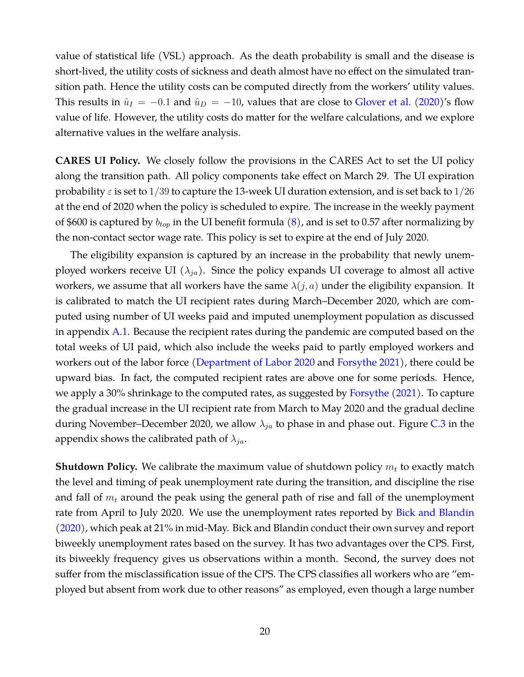value of statistical life (VSL) approach. As the death probability is small and the disease is short-lived, the utility costs of sickness and death almost have no effect on the simulated transition path. Hence the utility costs can be computed directly from the workers' utility values. This results in  $\hat{u}_I = -0.1$  and  $\hat{u}_D = -10$ , values that are close to [Glover et al.](#page-37-0) [\(2020\)](#page-37-0)'s flow value of life. However, the utility costs do matter for the welfare calculations, and we explore alternative values in the welfare analysis.

**CARES UI Policy.** We closely follow the provisions in the CARES Act to set the UI policy along the transition path. All policy components take effect on March 29. The UI expiration probability  $\varepsilon$  is set to  $1/39$  to capture the 13-week UI duration extension, and is set back to  $1/26$ at the end of 2020 when the policy is scheduled to expire. The increase in the weekly payment of \$600 is captured by  $b_{top}$  in the UI benefit formula [\(8\)](#page-16-3), and is set to 0.57 after normalizing by the non-contact sector wage rate. This policy is set to expire at the end of July 2020.

The eligibility expansion is captured by an increase in the probability that newly unemployed workers receive UI  $(\lambda_{ja})$ . Since the policy expands UI coverage to almost all active workers, we assume that all workers have the same  $\lambda(j, a)$  under the eligibility expansion. It is calibrated to match the UI recipient rates during March–December 2020, which are computed using number of UI weeks paid and imputed unemployment population as discussed in appendix [A.1.](#page-39-0) Because the recipient rates during the pandemic are computed based on the total weeks of UI paid, which also include the weeks paid to partly employed workers and workers out of the labor force [\(Department of Labor](#page-36-13) [2020](#page-36-13) and [Forsythe](#page-37-17) [2021\)](#page-37-17), there could be upward bias. In fact, the computed recipient rates are above one for some periods. Hence, we apply a 30% shrinkage to the computed rates, as suggested by [Forsythe](#page-37-17) [\(2021\)](#page-37-17). To capture the gradual increase in the UI recipient rate from March to May 2020 and the gradual decline during November–December 2020, we allow  $\lambda_{ja}$  to phase in and phase out. Figure [C.3](#page-54-0) in the appendix shows the calibrated path of  $\lambda_{ja}$ .

**Shutdown Policy.** We calibrate the maximum value of shutdown policy  $m_t$  to exactly match the level and timing of peak unemployment rate during the transition, and discipline the rise and fall of  $m_t$  around the peak using the general path of rise and fall of the unemployment rate from April to July 2020. We use the unemployment rates reported by [Bick and Blandin](#page-36-14) [\(2020\)](#page-36-14), which peak at 21% in mid-May. Bick and Blandin conduct their own survey and report biweekly unemployment rates based on the survey. It has two advantages over the CPS. First, its biweekly frequency gives us observations within a month. Second, the survey does not suffer from the misclassification issue of the CPS. The CPS classifies all workers who are "employed but absent from work due to other reasons" as employed, even though a large number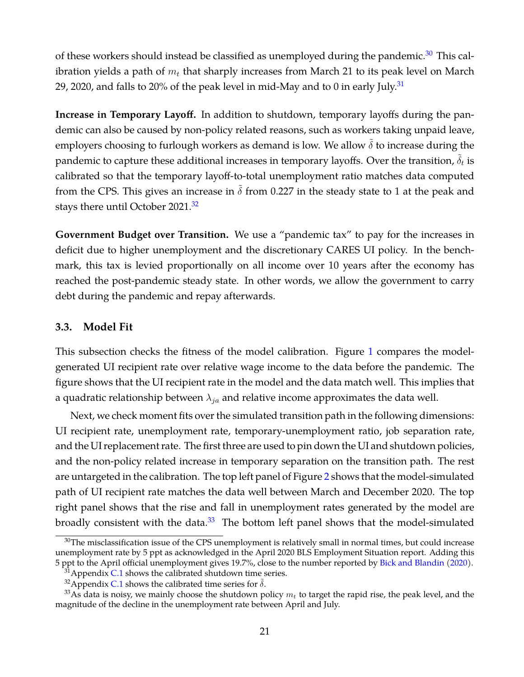of these workers should instead be classified as unemployed during the pandemic.<sup>[30](#page-21-0)</sup> This calibration yields a path of  $m_t$  that sharply increases from March 21 to its peak level on March 29, 2020, and falls to 20% of the peak level in mid-May and to 0 in early July.<sup>[31](#page-21-1)</sup>

**Increase in Temporary Layoff.** In addition to shutdown, temporary layoffs during the pandemic can also be caused by non-policy related reasons, such as workers taking unpaid leave, employers choosing to furlough workers as demand is low. We allow  $\delta$  to increase during the pandemic to capture these additional increases in temporary layoffs. Over the transition,  $\tilde{\delta}_t$  is calibrated so that the temporary layoff-to-total unemployment ratio matches data computed from the CPS. This gives an increase in  $\tilde{\delta}$  from 0.227 in the steady state to 1 at the peak and stays there until October 2021.<sup>[32](#page-21-2)</sup>

**Government Budget over Transition.** We use a "pandemic tax" to pay for the increases in deficit due to higher unemployment and the discretionary CARES UI policy. In the benchmark, this tax is levied proportionally on all income over 10 years after the economy has reached the post-pandemic steady state. In other words, we allow the government to carry debt during the pandemic and repay afterwards.

#### **3.3. Model Fit**

This subsection checks the fitness of the model calibration. Figure [1](#page-22-0) compares the modelgenerated UI recipient rate over relative wage income to the data before the pandemic. The figure shows that the UI recipient rate in the model and the data match well. This implies that a quadratic relationship between  $\lambda_{ja}$  and relative income approximates the data well.

Next, we check moment fits over the simulated transition path in the following dimensions: UI recipient rate, unemployment rate, temporary-unemployment ratio, job separation rate, and the UI replacement rate. The first three are used to pin down the UI and shutdown policies, and the non-policy related increase in temporary separation on the transition path. The rest are untargeted in the calibration. The top left panel of Figure [2](#page-22-1) shows that the model-simulated path of UI recipient rate matches the data well between March and December 2020. The top right panel shows that the rise and fall in unemployment rates generated by the model are broadly consistent with the data. $33$  The bottom left panel shows that the model-simulated

<span id="page-21-0"></span><sup>&</sup>lt;sup>30</sup>The misclassification issue of the CPS unemployment is relatively small in normal times, but could increase unemployment rate by 5 ppt as acknowledged in the April 2020 BLS Employment Situation report. Adding this 5 ppt to the April official unemployment gives 19.7%, close to the number reported by [Bick and Blandin](#page-36-14) [\(2020\)](#page-36-14).

<span id="page-21-1"></span> $31$  Appendix [C.1](#page-53-2) shows the calibrated shutdown time series.

<span id="page-21-3"></span><span id="page-21-2"></span><sup>&</sup>lt;sup>32</sup>Appendix [C.1](#page-53-2) shows the calibrated time series for  $\tilde{\delta}$ .

<sup>&</sup>lt;sup>33</sup>As data is noisy, we mainly choose the shutdown policy  $m_t$  to target the rapid rise, the peak level, and the magnitude of the decline in the unemployment rate between April and July.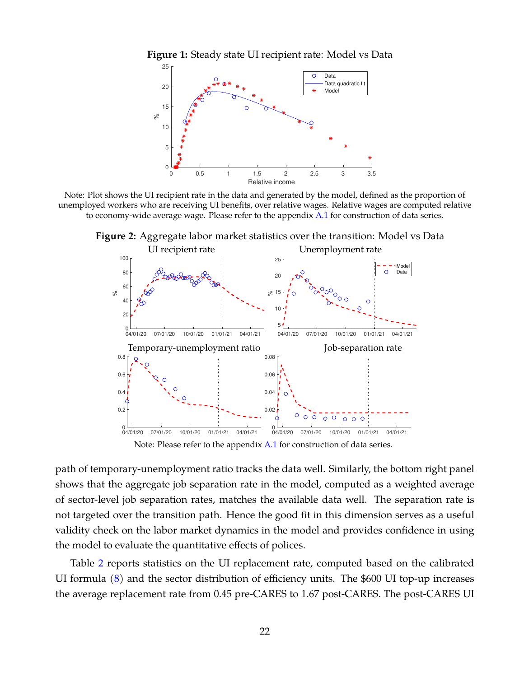<span id="page-22-0"></span>



<span id="page-22-1"></span>Note: Plot shows the UI recipient rate in the data and generated by the model, defined as the proportion of unemployed workers who are receiving UI benefits, over relative wages. Relative wages are computed relative to economy-wide average wage. Please refer to the appendix [A.1](#page-39-0) for construction of data series.



**Figure 2:** Aggregate labor market statistics over the transition: Model vs Data

Note: Please refer to the appendix [A.1](#page-39-0) for construction of data series.

path of temporary-unemployment ratio tracks the data well. Similarly, the bottom right panel shows that the aggregate job separation rate in the model, computed as a weighted average of sector-level job separation rates, matches the available data well. The separation rate is not targeted over the transition path. Hence the good fit in this dimension serves as a useful validity check on the labor market dynamics in the model and provides confidence in using the model to evaluate the quantitative effects of polices.

Table [2](#page-23-1) reports statistics on the UI replacement rate, computed based on the calibrated UI formula [\(8\)](#page-16-3) and the sector distribution of efficiency units. The \$600 UI top-up increases the average replacement rate from 0.45 pre-CARES to 1.67 post-CARES. The post-CARES UI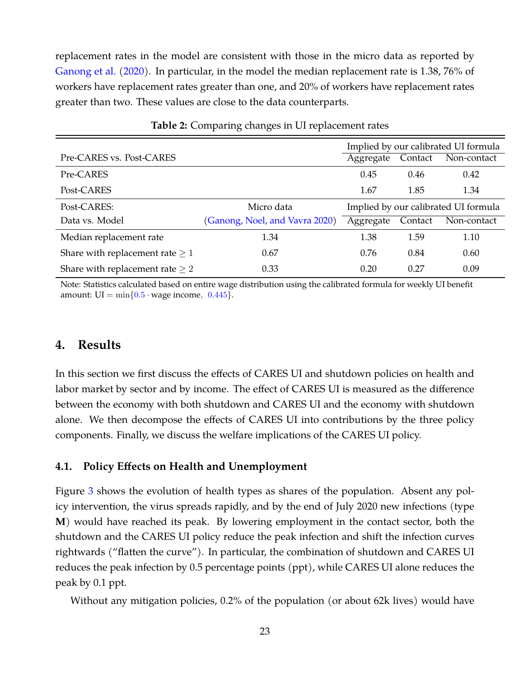replacement rates in the model are consistent with those in the micro data as reported by [Ganong et al.](#page-37-1) [\(2020\)](#page-37-1). In particular, in the model the median replacement rate is 1.38, 76% of workers have replacement rates greater than one, and 20% of workers have replacement rates greater than two. These values are close to the data counterparts.

<span id="page-23-1"></span>

|                                      |                                |           |         | Implied by our calibrated UI formula |
|--------------------------------------|--------------------------------|-----------|---------|--------------------------------------|
| Pre-CARES vs. Post-CARES             |                                | Aggregate | Contact | Non-contact                          |
| Pre-CARES                            |                                | 0.45      | 0.46    | 0.42                                 |
| Post-CARES                           |                                | 1.67      | 1.85    | 1.34                                 |
| Post-CARES:                          | Micro data                     |           |         | Implied by our calibrated UI formula |
| Data vs. Model                       | (Ganong, Noel, and Vavra 2020) | Aggregate | Contact | Non-contact                          |
| Median replacement rate              | 1.34                           | 1.38      | 1.59    | 1.10                                 |
| Share with replacement rate $\geq 1$ | 0.67                           | 0.76      | 0.84    | 0.60                                 |
| Share with replacement rate $\geq 2$ | 0.33                           | 0.20      | 0.27    | 0.09                                 |

**Table 2:** Comparing changes in UI replacement rates

Note: Statistics calculated based on entire wage distribution using the calibrated formula for weekly UI benefit amount:  $UI = min{0.5 \cdot wage income, 0.445}.$ 

# <span id="page-23-0"></span>**4. Results**

In this section we first discuss the effects of CARES UI and shutdown policies on health and labor market by sector and by income. The effect of CARES UI is measured as the difference between the economy with both shutdown and CARES UI and the economy with shutdown alone. We then decompose the effects of CARES UI into contributions by the three policy components. Finally, we discuss the welfare implications of the CARES UI policy.

#### <span id="page-23-2"></span>**4.1. Policy Effects on Health and Unemployment**

Figure [3](#page-24-0) shows the evolution of health types as shares of the population. Absent any policy intervention, the virus spreads rapidly, and by the end of July 2020 new infections (type **M**) would have reached its peak. By lowering employment in the contact sector, both the shutdown and the CARES UI policy reduce the peak infection and shift the infection curves rightwards ("flatten the curve"). In particular, the combination of shutdown and CARES UI reduces the peak infection by 0.5 percentage points (ppt), while CARES UI alone reduces the peak by 0.1 ppt.

Without any mitigation policies, 0.2% of the population (or about 62k lives) would have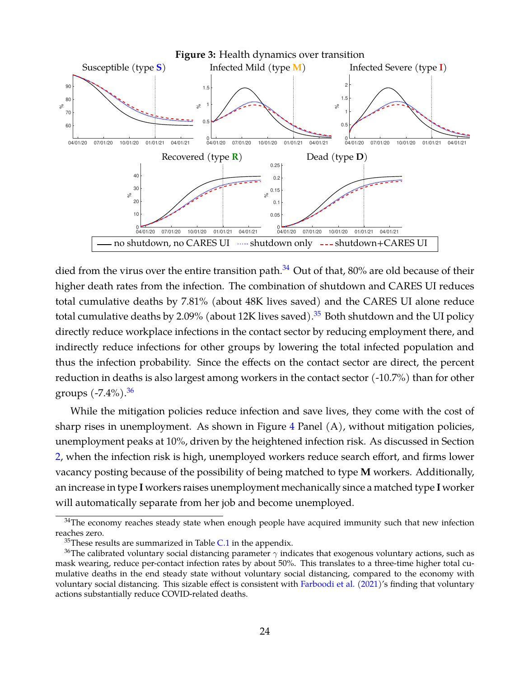<span id="page-24-0"></span>

died from the virus over the entire transition path. $34$  Out of that, 80% are old because of their higher death rates from the infection. The combination of shutdown and CARES UI reduces total cumulative deaths by 7.81% (about 48K lives saved) and the CARES UI alone reduce total cumulative deaths by 2.09% (about 12K lives saved).<sup>[35](#page-24-2)</sup> Both shutdown and the UI policy directly reduce workplace infections in the contact sector by reducing employment there, and indirectly reduce infections for other groups by lowering the total infected population and thus the infection probability. Since the effects on the contact sector are direct, the percent reduction in deaths is also largest among workers in the contact sector (-10.7%) than for other groups  $(-7.4\%)$ .<sup>[36](#page-24-3)</sup>

While the mitigation policies reduce infection and save lives, they come with the cost of sharp rises in unemployment. As shown in Figure  $4$  Panel  $(A)$ , without mitigation policies, unemployment peaks at 10%, driven by the heightened infection risk. As discussed in Section [2,](#page-5-0) when the infection risk is high, unemployed workers reduce search effort, and firms lower vacancy posting because of the possibility of being matched to type **M** workers. Additionally, an increase in type **I** workers raises unemployment mechanically since a matched type **I** worker will automatically separate from her job and become unemployed.

<span id="page-24-1"></span> $34$ The economy reaches steady state when enough people have acquired immunity such that new infection reaches zero.

<span id="page-24-3"></span><span id="page-24-2"></span> $35$ These results are summarized in Table [C.1](#page-55-0) in the appendix.

<sup>&</sup>lt;sup>36</sup>The calibrated voluntary social distancing parameter  $\gamma$  indicates that exogenous voluntary actions, such as mask wearing, reduce per-contact infection rates by about 50%. This translates to a three-time higher total cumulative deaths in the end steady state without voluntary social distancing, compared to the economy with voluntary social distancing. This sizable effect is consistent with [Farboodi et al.](#page-36-15) [\(2021\)](#page-36-15)'s finding that voluntary actions substantially reduce COVID-related deaths.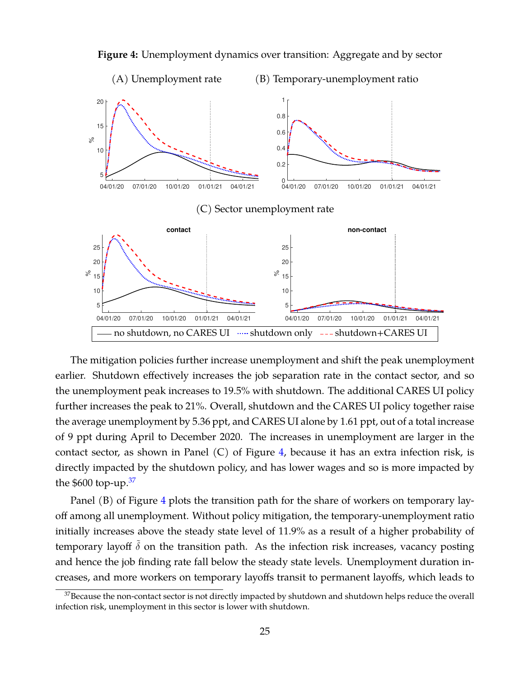<span id="page-25-0"></span>

**Figure 4:** Unemployment dynamics over transition: Aggregate and by sector

The mitigation policies further increase unemployment and shift the peak unemployment earlier. Shutdown effectively increases the job separation rate in the contact sector, and so the unemployment peak increases to 19.5% with shutdown. The additional CARES UI policy further increases the peak to 21%. Overall, shutdown and the CARES UI policy together raise the average unemployment by 5.36 ppt, and CARES UI alone by 1.61 ppt, out of a total increase of 9 ppt during April to December 2020. The increases in unemployment are larger in the contact sector, as shown in Panel  $(C)$  of Figure [4,](#page-25-0) because it has an extra infection risk, is directly impacted by the shutdown policy, and has lower wages and so is more impacted by the  $$600$  top-up.<sup>[37](#page-25-1)</sup>

Panel (B) of Figure [4](#page-25-0) plots the transition path for the share of workers on temporary layoff among all unemployment. Without policy mitigation, the temporary-unemployment ratio initially increases above the steady state level of 11.9% as a result of a higher probability of temporary layoff  $\delta$  on the transition path. As the infection risk increases, vacancy posting and hence the job finding rate fall below the steady state levels. Unemployment duration increases, and more workers on temporary layoffs transit to permanent layoffs, which leads to

<span id="page-25-1"></span> $37$ Because the non-contact sector is not directly impacted by shutdown and shutdown helps reduce the overall infection risk, unemployment in this sector is lower with shutdown.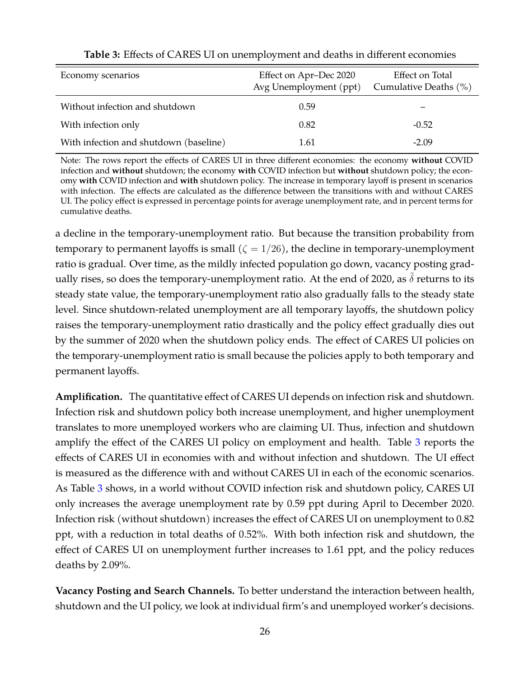<span id="page-26-0"></span>

| Economy scenarios                      | Effect on Apr-Dec 2020<br>Avg Unemployment (ppt) | Effect on Total<br>Cumulative Deaths $(\% )$ |
|----------------------------------------|--------------------------------------------------|----------------------------------------------|
| Without infection and shutdown         | 0.59                                             |                                              |
| With infection only                    | 0.82                                             | $-0.52$                                      |
| With infection and shutdown (baseline) | 1.61                                             | $-2.09$                                      |

#### **Table 3:** Effects of CARES UI on unemployment and deaths in different economies

Note: The rows report the effects of CARES UI in three different economies: the economy **without** COVID infection and **without** shutdown; the economy **with** COVID infection but **without** shutdown policy; the economy **with** COVID infection and **with** shutdown policy. The increase in temporary layoff is present in scenarios with infection. The effects are calculated as the difference between the transitions with and without CARES UI. The policy effect is expressed in percentage points for average unemployment rate, and in percent terms for cumulative deaths.

a decline in the temporary-unemployment ratio. But because the transition probability from temporary to permanent layoffs is small  $(\zeta = 1/26)$ , the decline in temporary-unemployment ratio is gradual. Over time, as the mildly infected population go down, vacancy posting gradually rises, so does the temporary-unemployment ratio. At the end of 2020, as  $\delta$  returns to its steady state value, the temporary-unemployment ratio also gradually falls to the steady state level. Since shutdown-related unemployment are all temporary layoffs, the shutdown policy raises the temporary-unemployment ratio drastically and the policy effect gradually dies out by the summer of 2020 when the shutdown policy ends. The effect of CARES UI policies on the temporary-unemployment ratio is small because the policies apply to both temporary and permanent layoffs.

**Amplification.** The quantitative effect of CARES UI depends on infection risk and shutdown. Infection risk and shutdown policy both increase unemployment, and higher unemployment translates to more unemployed workers who are claiming UI. Thus, infection and shutdown amplify the effect of the CARES UI policy on employment and health. Table [3](#page-26-0) reports the effects of CARES UI in economies with and without infection and shutdown. The UI effect is measured as the difference with and without CARES UI in each of the economic scenarios. As Table [3](#page-26-0) shows, in a world without COVID infection risk and shutdown policy, CARES UI only increases the average unemployment rate by 0.59 ppt during April to December 2020. Infection risk (without shutdown) increases the effect of CARES UI on unemployment to 0.82 ppt, with a reduction in total deaths of 0.52%. With both infection risk and shutdown, the effect of CARES UI on unemployment further increases to 1.61 ppt, and the policy reduces deaths by 2.09%.

**Vacancy Posting and Search Channels.** To better understand the interaction between health, shutdown and the UI policy, we look at individual firm's and unemployed worker's decisions.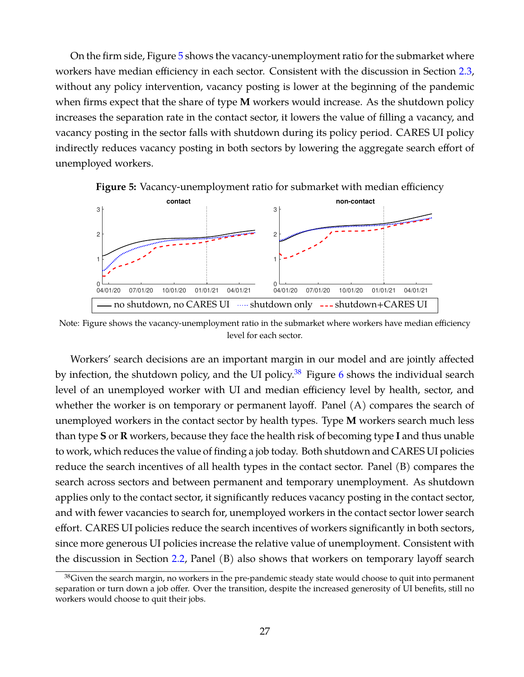On the firm side, Figure [5](#page-27-0) shows the vacancy-unemployment ratio for the submarket where workers have median efficiency in each sector. Consistent with the discussion in Section [2.3,](#page-12-1) without any policy intervention, vacancy posting is lower at the beginning of the pandemic when firms expect that the share of type **M** workers would increase. As the shutdown policy increases the separation rate in the contact sector, it lowers the value of filling a vacancy, and vacancy posting in the sector falls with shutdown during its policy period. CARES UI policy indirectly reduces vacancy posting in both sectors by lowering the aggregate search effort of unemployed workers.



<span id="page-27-0"></span>**Figure 5:** Vacancy-unemployment ratio for submarket with median efficiency

Note: Figure shows the vacancy-unemployment ratio in the submarket where workers have median efficiency level for each sector.

Workers' search decisions are an important margin in our model and are jointly affected by infection, the shutdown policy, and the UI policy.<sup>[38](#page-27-1)</sup> Figure [6](#page-28-0) shows the individual search level of an unemployed worker with UI and median efficiency level by health, sector, and whether the worker is on temporary or permanent layoff. Panel (A) compares the search of unemployed workers in the contact sector by health types. Type **M** workers search much less than type **S** or **R** workers, because they face the health risk of becoming type **I** and thus unable to work, which reduces the value of finding a job today. Both shutdown and CARES UI policies reduce the search incentives of all health types in the contact sector. Panel (B) compares the search across sectors and between permanent and temporary unemployment. As shutdown applies only to the contact sector, it significantly reduces vacancy posting in the contact sector, and with fewer vacancies to search for, unemployed workers in the contact sector lower search effort. CARES UI policies reduce the search incentives of workers significantly in both sectors, since more generous UI policies increase the relative value of unemployment. Consistent with the discussion in Section [2.2,](#page-9-2) Panel (B) also shows that workers on temporary layoff search

<span id="page-27-1"></span><sup>&</sup>lt;sup>38</sup>Given the search margin, no workers in the pre-pandemic steady state would choose to quit into permanent separation or turn down a job offer. Over the transition, despite the increased generosity of UI benefits, still no workers would choose to quit their jobs.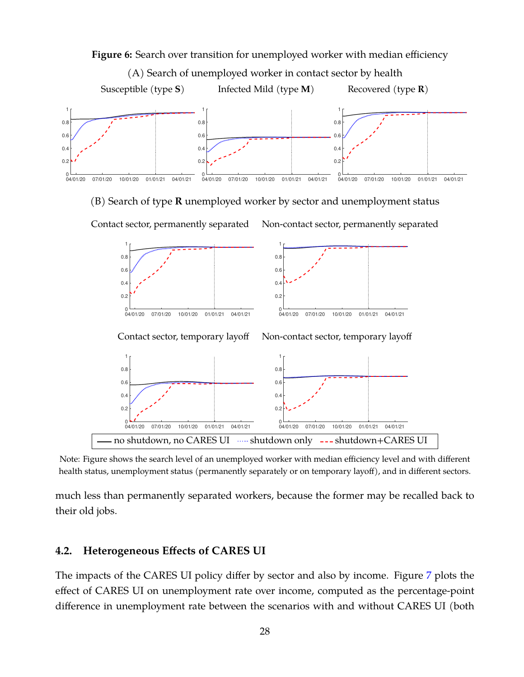<span id="page-28-0"></span>

Note: Figure shows the search level of an unemployed worker with median efficiency level and with different health status, unemployment status (permanently separately or on temporary layoff), and in different sectors.

much less than permanently separated workers, because the former may be recalled back to their old jobs.

#### **4.2. Heterogeneous Effects of CARES UI**

The impacts of the CARES UI policy differ by sector and also by income. Figure [7](#page-29-0) plots the effect of CARES UI on unemployment rate over income, computed as the percentage-point difference in unemployment rate between the scenarios with and without CARES UI (both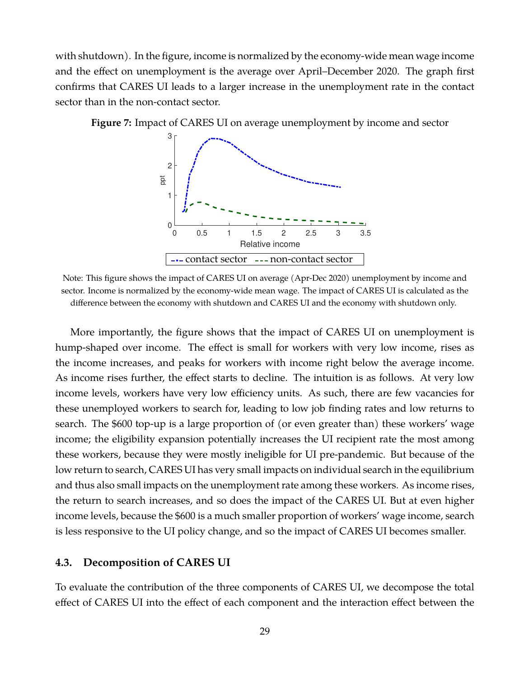with shutdown). In the figure, income is normalized by the economy-wide mean wage income and the effect on unemployment is the average over April–December 2020. The graph first confirms that CARES UI leads to a larger increase in the unemployment rate in the contact sector than in the non-contact sector.



<span id="page-29-0"></span>**Figure 7:** Impact of CARES UI on average unemployment by income and sector

Note: This figure shows the impact of CARES UI on average (Apr-Dec 2020) unemployment by income and sector. Income is normalized by the economy-wide mean wage. The impact of CARES UI is calculated as the difference between the economy with shutdown and CARES UI and the economy with shutdown only.

More importantly, the figure shows that the impact of CARES UI on unemployment is hump-shaped over income. The effect is small for workers with very low income, rises as the income increases, and peaks for workers with income right below the average income. As income rises further, the effect starts to decline. The intuition is as follows. At very low income levels, workers have very low efficiency units. As such, there are few vacancies for these unemployed workers to search for, leading to low job finding rates and low returns to search. The \$600 top-up is a large proportion of (or even greater than) these workers' wage income; the eligibility expansion potentially increases the UI recipient rate the most among these workers, because they were mostly ineligible for UI pre-pandemic. But because of the low return to search, CARES UI has very small impacts on individual search in the equilibrium and thus also small impacts on the unemployment rate among these workers. As income rises, the return to search increases, and so does the impact of the CARES UI. But at even higher income levels, because the \$600 is a much smaller proportion of workers' wage income, search is less responsive to the UI policy change, and so the impact of CARES UI becomes smaller.

#### **4.3. Decomposition of CARES UI**

To evaluate the contribution of the three components of CARES UI, we decompose the total effect of CARES UI into the effect of each component and the interaction effect between the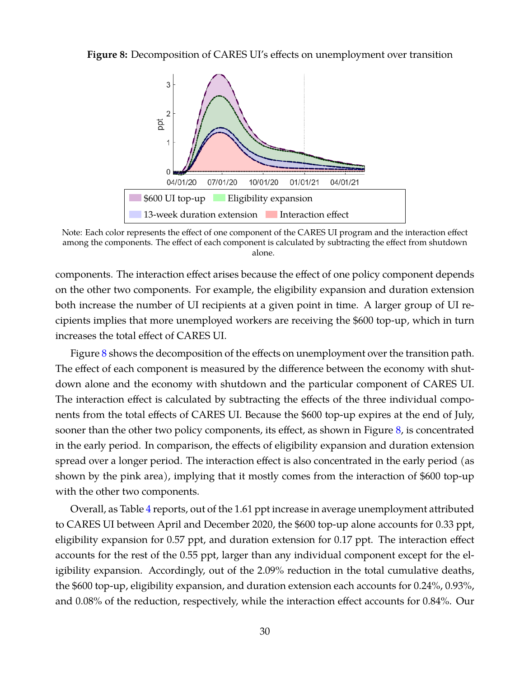<span id="page-30-0"></span>**Figure 8:** Decomposition of CARES UI's effects on unemployment over transition



Note: Each color represents the effect of one component of the CARES UI program and the interaction effect among the components. The effect of each component is calculated by subtracting the effect from shutdown alone.

components. The interaction effect arises because the effect of one policy component depends on the other two components. For example, the eligibility expansion and duration extension both increase the number of UI recipients at a given point in time. A larger group of UI recipients implies that more unemployed workers are receiving the \$600 top-up, which in turn increases the total effect of CARES UI.

Figure [8](#page-30-0) shows the decomposition of the effects on unemployment over the transition path. The effect of each component is measured by the difference between the economy with shutdown alone and the economy with shutdown and the particular component of CARES UI. The interaction effect is calculated by subtracting the effects of the three individual components from the total effects of CARES UI. Because the \$600 top-up expires at the end of July, sooner than the other two policy components, its effect, as shown in Figure [8,](#page-30-0) is concentrated in the early period. In comparison, the effects of eligibility expansion and duration extension spread over a longer period. The interaction effect is also concentrated in the early period (as shown by the pink area), implying that it mostly comes from the interaction of \$600 top-up with the other two components.

Overall, as Table [4](#page-31-0) reports, out of the 1.61 ppt increase in average unemployment attributed to CARES UI between April and December 2020, the \$600 top-up alone accounts for 0.33 ppt, eligibility expansion for 0.57 ppt, and duration extension for 0.17 ppt. The interaction effect accounts for the rest of the 0.55 ppt, larger than any individual component except for the eligibility expansion. Accordingly, out of the 2.09% reduction in the total cumulative deaths, the \$600 top-up, eligibility expansion, and duration extension each accounts for 0.24%, 0.93%, and 0.08% of the reduction, respectively, while the interaction effect accounts for 0.84%. Our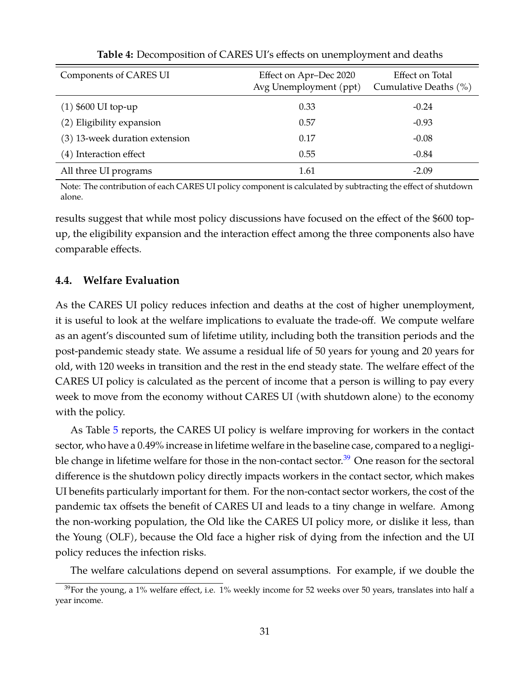<span id="page-31-0"></span>

| Components of CARES UI         | Effect on Apr-Dec 2020<br>Avg Unemployment (ppt) | Effect on Total<br>Cumulative Deaths (%) |
|--------------------------------|--------------------------------------------------|------------------------------------------|
| $(1)$ \$600 UI top-up          | 0.33                                             | $-0.24$                                  |
| (2) Eligibility expansion      | 0.57                                             | $-0.93$                                  |
| (3) 13-week duration extension | 0.17                                             | $-0.08$                                  |
| (4) Interaction effect         | 0.55                                             | $-0.84$                                  |
| All three UI programs          | 1.61                                             | $-2.09$                                  |

**Table 4:** Decomposition of CARES UI's effects on unemployment and deaths

Note: The contribution of each CARES UI policy component is calculated by subtracting the effect of shutdown alone.

results suggest that while most policy discussions have focused on the effect of the \$600 topup, the eligibility expansion and the interaction effect among the three components also have comparable effects.

### **4.4. Welfare Evaluation**

As the CARES UI policy reduces infection and deaths at the cost of higher unemployment, it is useful to look at the welfare implications to evaluate the trade-off. We compute welfare as an agent's discounted sum of lifetime utility, including both the transition periods and the post-pandemic steady state. We assume a residual life of 50 years for young and 20 years for old, with 120 weeks in transition and the rest in the end steady state. The welfare effect of the CARES UI policy is calculated as the percent of income that a person is willing to pay every week to move from the economy without CARES UI (with shutdown alone) to the economy with the policy.

As Table [5](#page-32-0) reports, the CARES UI policy is welfare improving for workers in the contact sector, who have a 0.49% increase in lifetime welfare in the baseline case, compared to a negligible change in lifetime welfare for those in the non-contact sector. $39$  One reason for the sectoral difference is the shutdown policy directly impacts workers in the contact sector, which makes UI benefits particularly important for them. For the non-contact sector workers, the cost of the pandemic tax offsets the benefit of CARES UI and leads to a tiny change in welfare. Among the non-working population, the Old like the CARES UI policy more, or dislike it less, than the Young (OLF), because the Old face a higher risk of dying from the infection and the UI policy reduces the infection risks.

The welfare calculations depend on several assumptions. For example, if we double the

<span id="page-31-1"></span> $39$ For the young, a 1% welfare effect, i.e. 1% weekly income for 52 weeks over 50 years, translates into half a year income.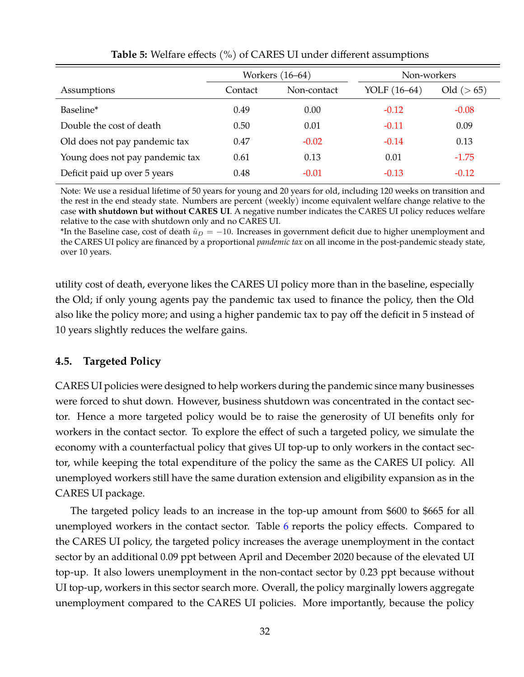<span id="page-32-0"></span>

|                                 | Workers (16–64) |             | Non-workers  |            |
|---------------------------------|-----------------|-------------|--------------|------------|
| Assumptions                     | Contact         | Non-contact | YOLF (16–64) | Old (> 65) |
| Baseline*                       | 0.49            | 0.00        | $-0.12$      | $-0.08$    |
| Double the cost of death        | 0.50            | 0.01        | $-0.11$      | 0.09       |
| Old does not pay pandemic tax   | 0.47            | $-0.02$     | $-0.14$      | 0.13       |
| Young does not pay pandemic tax | 0.61            | 0.13        | 0.01         | $-1.75$    |
| Deficit paid up over 5 years    | 0.48            | $-0.01$     | $-0.13$      | $-0.12$    |

**Table 5:** Welfare effects (%) of CARES UI under different assumptions

Note: We use a residual lifetime of 50 years for young and 20 years for old, including 120 weeks on transition and the rest in the end steady state. Numbers are percent (weekly) income equivalent welfare change relative to the case **with shutdown but without CARES UI**. A negative number indicates the CARES UI policy reduces welfare relative to the case with shutdown only and no CARES UI.

\*In the Baseline case, cost of death  $\hat{u}_D = -10$ . Increases in government deficit due to higher unemployment and the CARES UI policy are financed by a proportional *pandemic tax* on all income in the post-pandemic steady state, over 10 years.

utility cost of death, everyone likes the CARES UI policy more than in the baseline, especially the Old; if only young agents pay the pandemic tax used to finance the policy, then the Old also like the policy more; and using a higher pandemic tax to pay off the deficit in 5 instead of 10 years slightly reduces the welfare gains.

### **4.5. Targeted Policy**

CARES UI policies were designed to help workers during the pandemic since many businesses were forced to shut down. However, business shutdown was concentrated in the contact sector. Hence a more targeted policy would be to raise the generosity of UI benefits only for workers in the contact sector. To explore the effect of such a targeted policy, we simulate the economy with a counterfactual policy that gives UI top-up to only workers in the contact sector, while keeping the total expenditure of the policy the same as the CARES UI policy. All unemployed workers still have the same duration extension and eligibility expansion as in the CARES UI package.

The targeted policy leads to an increase in the top-up amount from \$600 to \$665 for all unemployed workers in the contact sector. Table [6](#page-33-1) reports the policy effects. Compared to the CARES UI policy, the targeted policy increases the average unemployment in the contact sector by an additional 0.09 ppt between April and December 2020 because of the elevated UI top-up. It also lowers unemployment in the non-contact sector by 0.23 ppt because without UI top-up, workers in this sector search more. Overall, the policy marginally lowers aggregate unemployment compared to the CARES UI policies. More importantly, because the policy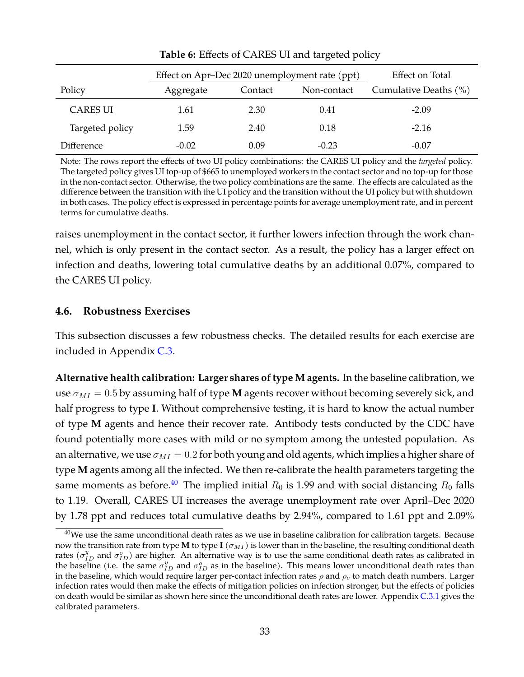<span id="page-33-1"></span>

|                 | Effect on Apr-Dec 2020 unemployment rate (ppt) |         |             | Effect on Total       |  |
|-----------------|------------------------------------------------|---------|-------------|-----------------------|--|
| Policy          | Aggregate                                      | Contact | Non-contact | Cumulative Deaths (%) |  |
| <b>CARES UI</b> | 1.61                                           | 2.30    | 0.41        | $-2.09$               |  |
| Targeted policy | 1.59                                           | 2.40    | 0.18        | $-2.16$               |  |
| Difference      | $-0.02$                                        | 0.09    | $-0.23$     | $-0.07$               |  |

**Table 6:** Effects of CARES UI and targeted policy

Note: The rows report the effects of two UI policy combinations: the CARES UI policy and the *targeted* policy. The targeted policy gives UI top-up of \$665 to unemployed workers in the contact sector and no top-up for those in the non-contact sector. Otherwise, the two policy combinations are the same. The effects are calculated as the difference between the transition with the UI policy and the transition without the UI policy but with shutdown in both cases. The policy effect is expressed in percentage points for average unemployment rate, and in percent terms for cumulative deaths.

raises unemployment in the contact sector, it further lowers infection through the work channel, which is only present in the contact sector. As a result, the policy has a larger effect on infection and deaths, lowering total cumulative deaths by an additional 0.07%, compared to the CARES UI policy.

### <span id="page-33-0"></span>**4.6. Robustness Exercises**

This subsection discusses a few robustness checks. The detailed results for each exercise are included in Appendix [C.3.](#page-56-0)

**Alternative health calibration: Larger shares of type M agents.** In the baseline calibration, we use  $\sigma_{MI} = 0.5$  by assuming half of type **M** agents recover without becoming severely sick, and half progress to type **I**. Without comprehensive testing, it is hard to know the actual number of type **M** agents and hence their recover rate. Antibody tests conducted by the CDC have found potentially more cases with mild or no symptom among the untested population. As an alternative, we use  $\sigma_{MI} = 0.2$  for both young and old agents, which implies a higher share of type **M** agents among all the infected. We then re-calibrate the health parameters targeting the same moments as before.<sup>[40](#page-33-2)</sup> The implied initial  $R_0$  is 1.99 and with social distancing  $R_0$  falls to 1.19. Overall, CARES UI increases the average unemployment rate over April–Dec 2020 by 1.78 ppt and reduces total cumulative deaths by 2.94%, compared to 1.61 ppt and 2.09%

<span id="page-33-2"></span> $40$ We use the same unconditional death rates as we use in baseline calibration for calibration targets. Because now the transition rate from type **M** to type **I** ( $\sigma_{MI}$ ) is lower than in the baseline, the resulting conditional death rates ( $\sigma_{ID}^y$  and  $\sigma_{ID}^o$ ) are higher. An alternative way is to use the same conditional death rates as calibrated in the baseline (i.e. the same  $\sigma_{ID}^y$  and  $\sigma_{ID}^o$  as in the baseline). This means lower unconditional death rates than in the baseline, which would require larger per-contact infection rates  $\rho$  and  $\rho_e$  to match death numbers. Larger infection rates would then make the effects of mitigation policies on infection stronger, but the effects of policies on death would be similar as shown here since the unconditional death rates are lower. Appendix [C.3.1](#page-56-1) gives the calibrated parameters.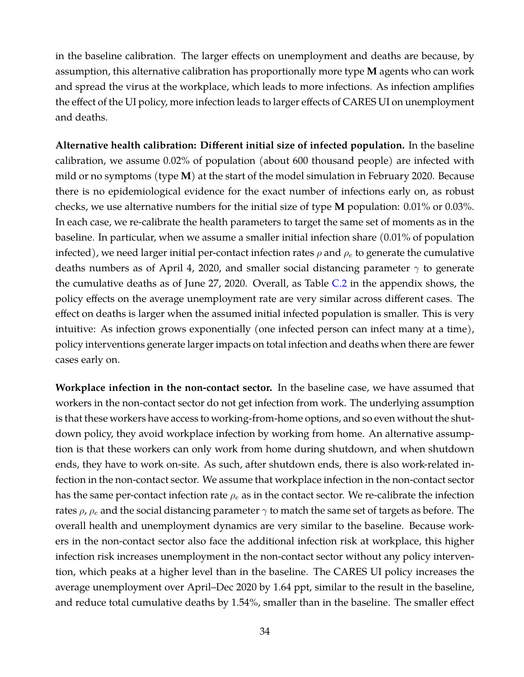in the baseline calibration. The larger effects on unemployment and deaths are because, by assumption, this alternative calibration has proportionally more type **M** agents who can work and spread the virus at the workplace, which leads to more infections. As infection amplifies the effect of the UI policy, more infection leads to larger effects of CARES UI on unemployment and deaths.

**Alternative health calibration: Different initial size of infected population.** In the baseline calibration, we assume 0.02% of population (about 600 thousand people) are infected with mild or no symptoms (type **M**) at the start of the model simulation in February 2020. Because there is no epidemiological evidence for the exact number of infections early on, as robust checks, we use alternative numbers for the initial size of type **M** population: 0.01% or 0.03%. In each case, we re-calibrate the health parameters to target the same set of moments as in the baseline. In particular, when we assume a smaller initial infection share (0.01% of population infected), we need larger initial per-contact infection rates  $\rho$  and  $\rho_e$  to generate the cumulative deaths numbers as of April 4, 2020, and smaller social distancing parameter  $\gamma$  to generate the cumulative deaths as of June 27, 2020. Overall, as Table [C.2](#page-58-0) in the appendix shows, the policy effects on the average unemployment rate are very similar across different cases. The effect on deaths is larger when the assumed initial infected population is smaller. This is very intuitive: As infection grows exponentially (one infected person can infect many at a time), policy interventions generate larger impacts on total infection and deaths when there are fewer cases early on.

**Workplace infection in the non-contact sector.** In the baseline case, we have assumed that workers in the non-contact sector do not get infection from work. The underlying assumption is that these workers have access to working-from-home options, and so even without the shutdown policy, they avoid workplace infection by working from home. An alternative assumption is that these workers can only work from home during shutdown, and when shutdown ends, they have to work on-site. As such, after shutdown ends, there is also work-related infection in the non-contact sector. We assume that workplace infection in the non-contact sector has the same per-contact infection rate  $\rho_e$  as in the contact sector. We re-calibrate the infection rates  $\rho$ ,  $\rho_e$  and the social distancing parameter  $\gamma$  to match the same set of targets as before. The overall health and unemployment dynamics are very similar to the baseline. Because workers in the non-contact sector also face the additional infection risk at workplace, this higher infection risk increases unemployment in the non-contact sector without any policy intervention, which peaks at a higher level than in the baseline. The CARES UI policy increases the average unemployment over April–Dec 2020 by 1.64 ppt, similar to the result in the baseline, and reduce total cumulative deaths by 1.54%, smaller than in the baseline. The smaller effect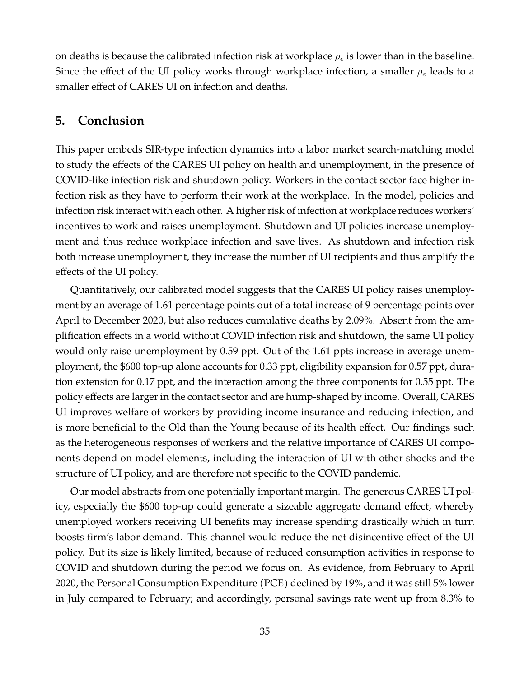on deaths is because the calibrated infection risk at workplace  $\rho_e$  is lower than in the baseline. Since the effect of the UI policy works through workplace infection, a smaller  $\rho_e$  leads to a smaller effect of CARES UI on infection and deaths.

# <span id="page-35-0"></span>**5. Conclusion**

This paper embeds SIR-type infection dynamics into a labor market search-matching model to study the effects of the CARES UI policy on health and unemployment, in the presence of COVID-like infection risk and shutdown policy. Workers in the contact sector face higher infection risk as they have to perform their work at the workplace. In the model, policies and infection risk interact with each other. A higher risk of infection at workplace reduces workers' incentives to work and raises unemployment. Shutdown and UI policies increase unemployment and thus reduce workplace infection and save lives. As shutdown and infection risk both increase unemployment, they increase the number of UI recipients and thus amplify the effects of the UI policy.

Quantitatively, our calibrated model suggests that the CARES UI policy raises unemployment by an average of 1.61 percentage points out of a total increase of 9 percentage points over April to December 2020, but also reduces cumulative deaths by 2.09%. Absent from the amplification effects in a world without COVID infection risk and shutdown, the same UI policy would only raise unemployment by 0.59 ppt. Out of the 1.61 ppts increase in average unemployment, the \$600 top-up alone accounts for 0.33 ppt, eligibility expansion for 0.57 ppt, duration extension for 0.17 ppt, and the interaction among the three components for 0.55 ppt. The policy effects are larger in the contact sector and are hump-shaped by income. Overall, CARES UI improves welfare of workers by providing income insurance and reducing infection, and is more beneficial to the Old than the Young because of its health effect. Our findings such as the heterogeneous responses of workers and the relative importance of CARES UI components depend on model elements, including the interaction of UI with other shocks and the structure of UI policy, and are therefore not specific to the COVID pandemic.

Our model abstracts from one potentially important margin. The generous CARES UI policy, especially the \$600 top-up could generate a sizeable aggregate demand effect, whereby unemployed workers receiving UI benefits may increase spending drastically which in turn boosts firm's labor demand. This channel would reduce the net disincentive effect of the UI policy. But its size is likely limited, because of reduced consumption activities in response to COVID and shutdown during the period we focus on. As evidence, from February to April 2020, the Personal Consumption Expenditure (PCE) declined by 19%, and it was still 5% lower in July compared to February; and accordingly, personal savings rate went up from 8.3% to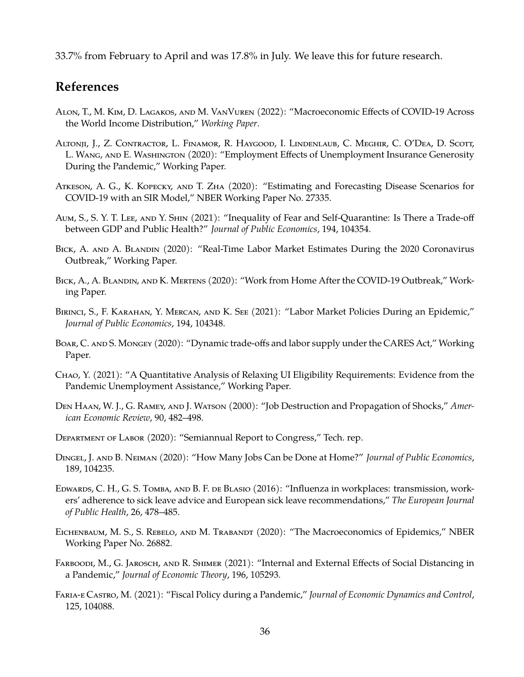33.7% from February to April and was 17.8% in July. We leave this for future research.

# **References**

- <span id="page-36-6"></span>Alon, T., M. Kim, D. Lagakos, and M. VanVuren (2022): "Macroeconomic Effects of COVID-19 Across the World Income Distribution," *Working Paper*.
- <span id="page-36-7"></span>Altonji, J., Z. Contractor, L. Finamor, R. Haygood, I. Lindenlaub, C. Meghir, C. O'Dea, D. Scott, L. Wang, and E. Washington (2020): "Employment Effects of Unemployment Insurance Generosity During the Pandemic," Working Paper.
- <span id="page-36-2"></span>Atkeson, A. G., K. Kopecky, and T. Zha (2020): "Estimating and Forecasting Disease Scenarios for COVID-19 with an SIR Model," NBER Working Paper No. 27335.
- <span id="page-36-5"></span>Aum, S., S. Y. T. Lee, and Y. Shin (2021): "Inequality of Fear and Self-Quarantine: Is There a Trade-off between GDP and Public Health?" *Journal of Public Economics*, 194, 104354.
- <span id="page-36-14"></span>BICK, A. AND A. BLANDIN (2020): "Real-Time Labor Market Estimates During the 2020 Coronavirus Outbreak," Working Paper.
- <span id="page-36-11"></span>Bick, A., A. Blandin, and K. Mertens (2020): "Work from Home After the COVID-19 Outbreak," Working Paper.
- <span id="page-36-0"></span>Birinci, S., F. Karahan, Y. Mercan, and K. See (2021): "Labor Market Policies During an Epidemic," *Journal of Public Economics*, 194, 104348.
- <span id="page-36-8"></span>BOAR, C. AND S. MONGEY (2020): "Dynamic trade-offs and labor supply under the CARES Act," Working Paper.
- <span id="page-36-1"></span>Chao, Y. (2021): "A Quantitative Analysis of Relaxing UI Eligibility Requirements: Evidence from the Pandemic Unemployment Assistance," Working Paper.
- <span id="page-36-9"></span>Den Haan, W. J., G. Ramey, and J. Watson (2000): "Job Destruction and Propagation of Shocks," *American Economic Review*, 90, 482–498.
- <span id="page-36-13"></span>Department of Labor (2020): "Semiannual Report to Congress," Tech. rep.
- <span id="page-36-10"></span>Dingel, J. and B. Neiman (2020): "How Many Jobs Can be Done at Home?" *Journal of Public Economics*, 189, 104235.
- <span id="page-36-12"></span>EDWARDS, C. H., G. S. TOMBA, AND B. F. DE BLASIO (2016): "Influenza in workplaces: transmission, workers' adherence to sick leave advice and European sick leave recommendations," *The European Journal of Public Health*, 26, 478–485.
- <span id="page-36-3"></span>EICHENBAUM, M. S., S. REBELO, AND M. TRABANDT (2020): "The Macroeconomics of Epidemics," NBER Working Paper No. 26882.
- <span id="page-36-15"></span>Farboodi, M., G. Jarosch, and R. Shimer (2021): "Internal and External Effects of Social Distancing in a Pandemic," *Journal of Economic Theory*, 196, 105293.
- <span id="page-36-4"></span>Faria-e Castro, M. (2021): "Fiscal Policy during a Pandemic," *Journal of Economic Dynamics and Control*, 125, 104088.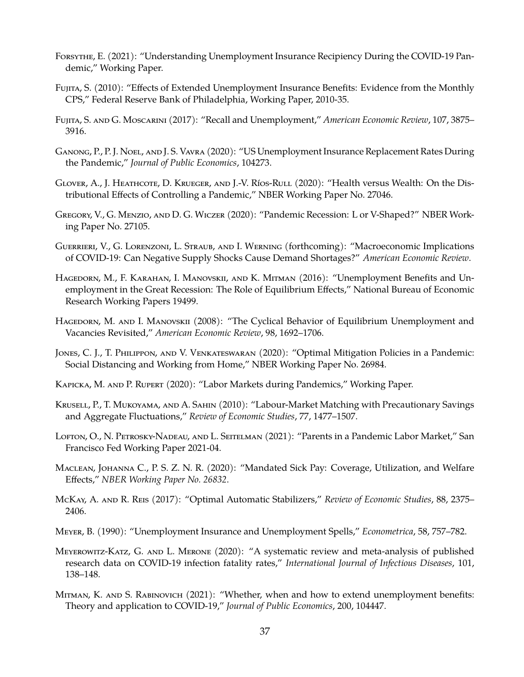- <span id="page-37-17"></span>Forsythe, E. (2021): "Understanding Unemployment Insurance Recipiency During the COVID-19 Pandemic," Working Paper.
- <span id="page-37-7"></span>Fujita, S. (2010): "Effects of Extended Unemployment Insurance Benefits: Evidence from the Monthly CPS," Federal Reserve Bank of Philadelphia, Working Paper, 2010-35.
- <span id="page-37-15"></span>Fujita, S. and G. Moscarini (2017): "Recall and Unemployment," *American Economic Review*, 107, 3875– 3916.
- <span id="page-37-1"></span>Ganong, P., P. J. Noel, and J. S. Vavra (2020): "US Unemployment Insurance Replacement Rates During the Pandemic," *Journal of Public Economics*, 104273.
- <span id="page-37-0"></span>GLOVER, A., J. HEATHCOTE, D. KRUEGER, AND J.-V. RíOS-RULL (2020): "Health versus Wealth: On the Distributional Effects of Controlling a Pandemic," NBER Working Paper No. 27046.
- <span id="page-37-3"></span>Gregory, V., G. Menzio, and D. G. Wiczer (2020): "Pandemic Recession: L or V-Shaped?" NBER Working Paper No. 27105.
- <span id="page-37-5"></span>Guerrieri, V., G. Lorenzoni, L. Straub, and I. Werning (forthcoming): "Macroeconomic Implications of COVID-19: Can Negative Supply Shocks Cause Demand Shortages?" *American Economic Review*.
- <span id="page-37-11"></span>HAGEDORN, M., F. KARAHAN, I. MANOVSKII, AND K. MITMAN (2016): "Unemployment Benefits and Unemployment in the Great Recession: The Role of Equilibrium Effects," National Bureau of Economic Research Working Papers 19499.
- <span id="page-37-14"></span>HAGEDORN, M. AND I. MANOVSKII (2008): "The Cyclical Behavior of Equilibrium Unemployment and Vacancies Revisited," *American Economic Review*, 98, 1692–1706.
- <span id="page-37-6"></span>Jones, C. J., T. Philippon, and V. Venkateswaran (2020): "Optimal Mitigation Policies in a Pandemic: Social Distancing and Working from Home," NBER Working Paper No. 26984.
- <span id="page-37-2"></span>Kapicka, M. and P. Rupert (2020): "Labor Markets during Pandemics," Working Paper.
- <span id="page-37-10"></span>Krusell, P., T. Mukoyama, and A. Sahin (2010): "Labour-Market Matching with Precautionary Savings and Aggregate Fluctuations," *Review of Economic Studies*, 77, 1477–1507.
- <span id="page-37-8"></span>LOFTON, O., N. PETROSKY-NADEAU, AND L. SEITELMAN (2021): "Parents in a Pandemic Labor Market," San Francisco Fed Working Paper 2021-04.
- <span id="page-37-12"></span>Maclean, Johanna C., P. S. Z. N. R. (2020): "Mandated Sick Pay: Coverage, Utilization, and Welfare Effects," *NBER Working Paper No. 26832*.
- <span id="page-37-9"></span>McKay, A. and R. Reis (2017): "Optimal Automatic Stabilizers," *Review of Economic Studies*, 88, 2375– 2406.
- <span id="page-37-13"></span>Meyer, B. (1990): "Unemployment Insurance and Unemployment Spells," *Econometrica*, 58, 757–782.
- <span id="page-37-16"></span>Meyerowitz-Katz, G. and L. Merone (2020): "A systematic review and meta-analysis of published research data on COVID-19 infection fatality rates," *International Journal of Infectious Diseases*, 101, 138–148.
- <span id="page-37-4"></span>MITMAN, K. AND S. RABINOVICH (2021): "Whether, when and how to extend unemployment benefits: Theory and application to COVID-19," *Journal of Public Economics*, 200, 104447.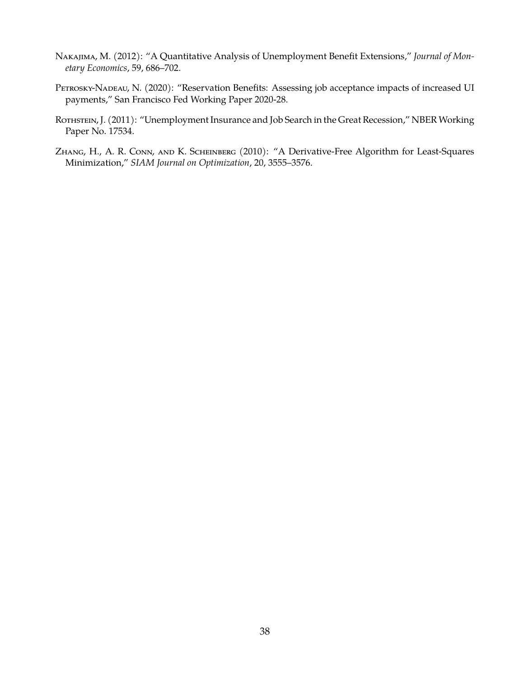- <span id="page-38-2"></span>Nakajima, M. (2012): "A Quantitative Analysis of Unemployment Benefit Extensions," *Journal of Monetary Economics*, 59, 686–702.
- <span id="page-38-0"></span>PETROSKY-NADEAU, N. (2020): "Reservation Benefits: Assessing job acceptance impacts of increased UI payments," San Francisco Fed Working Paper 2020-28.
- <span id="page-38-1"></span>ROTHSTEIN, J. (2011): "Unemployment Insurance and Job Search in the Great Recession," NBER Working Paper No. 17534.
- <span id="page-38-3"></span>Zhang, H., A. R. Conn, and K. Scheinberg (2010): "A Derivative-Free Algorithm for Least-Squares Minimization," *SIAM Journal on Optimization*, 20, 3555–3576.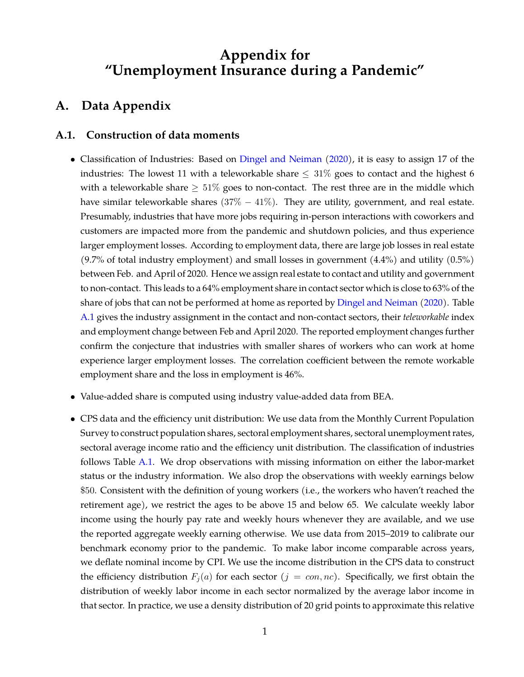# **Appendix for "Unemployment Insurance during a Pandemic"**

# **A. Data Appendix**

#### <span id="page-39-0"></span>**A.1. Construction of data moments**

- Classification of Industries: Based on [Dingel and Neiman](#page-36-10) [\(2020\)](#page-36-10), it is easy to assign 17 of the industries: The lowest 11 with a teleworkable share  $\leq 31\%$  goes to contact and the highest 6 with a teleworkable share  $\geq 51\%$  goes to non-contact. The rest three are in the middle which have similar teleworkable shares  $(37\% - 41\%)$ . They are utility, government, and real estate. Presumably, industries that have more jobs requiring in-person interactions with coworkers and customers are impacted more from the pandemic and shutdown policies, and thus experience larger employment losses. According to employment data, there are large job losses in real estate  $(9.7\% \text{ of total industry employment})$  and small losses in government  $(4.4\%)$  and utility  $(0.5\%)$ between Feb. and April of 2020. Hence we assign real estate to contact and utility and government to non-contact. This leads to a 64% employment share in contact sector which is close to 63% of the share of jobs that can not be performed at home as reported by [Dingel and Neiman](#page-36-10) [\(2020\)](#page-36-10). Table [A.1](#page-43-0) gives the industry assignment in the contact and non-contact sectors, their *teleworkable* index and employment change between Feb and April 2020. The reported employment changes further confirm the conjecture that industries with smaller shares of workers who can work at home experience larger employment losses. The correlation coefficient between the remote workable employment share and the loss in employment is 46%.
- Value-added share is computed using industry value-added data from BEA.
- CPS data and the efficiency unit distribution: We use data from the Monthly Current Population Survey to construct population shares, sectoral employment shares, sectoral unemployment rates, sectoral average income ratio and the efficiency unit distribution. The classification of industries follows Table [A.1.](#page-43-0) We drop observations with missing information on either the labor-market status or the industry information. We also drop the observations with weekly earnings below \$50. Consistent with the definition of young workers (i.e., the workers who haven't reached the retirement age), we restrict the ages to be above 15 and below 65. We calculate weekly labor income using the hourly pay rate and weekly hours whenever they are available, and we use the reported aggregate weekly earning otherwise. We use data from 2015–2019 to calibrate our benchmark economy prior to the pandemic. To make labor income comparable across years, we deflate nominal income by CPI. We use the income distribution in the CPS data to construct the efficiency distribution  $F_i(a)$  for each sector  $(j = con, nc)$ . Specifically, we first obtain the distribution of weekly labor income in each sector normalized by the average labor income in that sector. In practice, we use a density distribution of 20 grid points to approximate this relative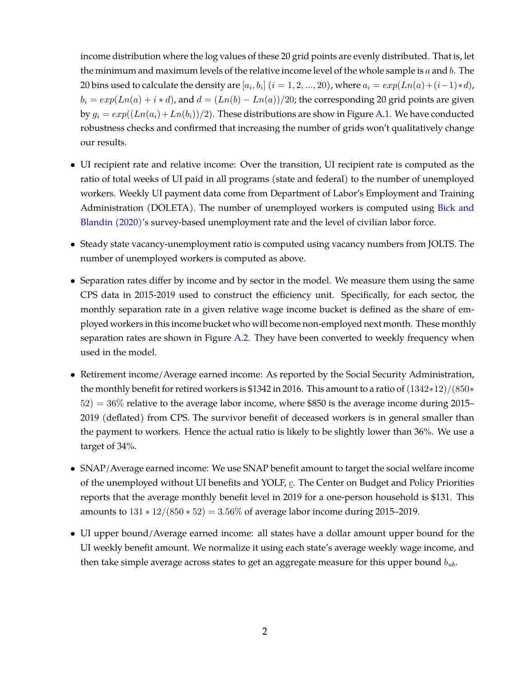income distribution where the log values of these 20 grid points are evenly distributed. That is, let the minimum and maximum levels of the relative income level of the whole sample is  $a$  and  $b$ . The 20 bins used to calculate the density are  $[a_i, b_i]$   $(i = 1, 2, ..., 20)$ , where  $a_i = exp(Ln(a) + (i-1)*d)$ ,  $b_i = exp(Ln(a) + i * d)$ , and  $d = (Ln(b) - Ln(a))/20$ ; the corresponding 20 grid points are given by  $g_i = exp((Ln(a_i)+Ln(b_i))/2)$ . These distributions are show in Figure [A.1.](#page-41-0) We have conducted robustness checks and confirmed that increasing the number of grids won't qualitatively change our results.

- UI recipient rate and relative income: Over the transition, UI recipient rate is computed as the ratio of total weeks of UI paid in all programs (state and federal) to the number of unemployed workers. Weekly UI payment data come from Department of Labor's Employment and Training Administration (DOLETA). The number of unemployed workers is computed using [Bick and](#page-36-14) [Blandin](#page-36-14) [\(2020\)](#page-36-14)'s survey-based unemployment rate and the level of civilian labor force.
- Steady state vacancy-unemployment ratio is computed using vacancy numbers from JOLTS. The number of unemployed workers is computed as above.
- Separation rates differ by income and by sector in the model. We measure them using the same CPS data in 2015-2019 used to construct the efficiency unit. Specifically, for each sector, the monthly separation rate in a given relative wage income bucket is defined as the share of employed workers in this income bucket who will become non-employed next month. These monthly separation rates are shown in Figure [A.2.](#page-42-0) They have been converted to weekly frequency when used in the model.
- Retirement income/Average earned income: As reported by the Social Security Administration, the monthly benefit for retired workers is \$1342 in 2016. This amount to a ratio of  $(1342*12)/(850*$  $52$ ) = 36% relative to the average labor income, where \$850 is the average income during 2015– 2019 (deflated) from CPS. The survivor benefit of deceased workers is in general smaller than the payment to workers. Hence the actual ratio is likely to be slightly lower than 36%. We use a target of 34%.
- SNAP/Average earned income: We use SNAP benefit amount to target the social welfare income of the unemployed without UI benefits and YOLF,  $c$ . The Center on Budget and Policy Priorities reports that the average monthly benefit level in 2019 for a one-person household is \$131. This amounts to  $131 * 12/(850 * 52) = 3.56\%$  of average labor income during 2015–2019.
- UI upper bound/Average earned income: all states have a dollar amount upper bound for the UI weekly benefit amount. We normalize it using each state's average weekly wage income, and then take simple average across states to get an aggregate measure for this upper bound  $b_{ub}$ .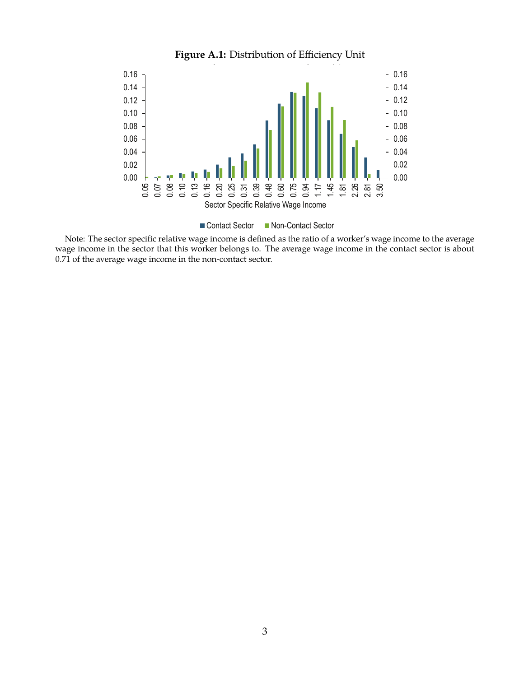<span id="page-41-0"></span>

**Figure A.1:** Distribution of Efficiency Unit

■ Contact Sector Non-Contact Sector

Note: The sector specific relative wage income is defined as the ratio of a worker's wage income to the average wage income in the sector that this worker belongs to. The average wage income in the contact sector is about 0.71 of the average wage income in the non-contact sector.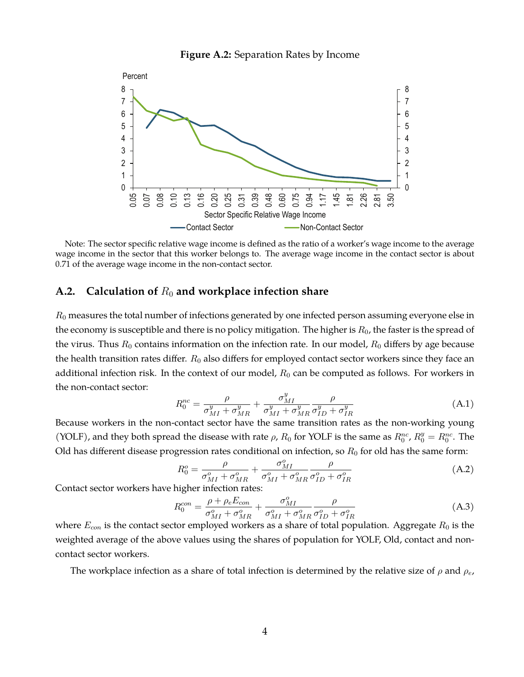

<span id="page-42-0"></span>

Note: The sector specific relative wage income is defined as the ratio of a worker's wage income to the average wage income in the sector that this worker belongs to. The average wage income in the contact sector is about 0.71 of the average wage income in the non-contact sector.

#### <span id="page-42-1"></span>A.2. Calculation of  $R_0$  and workplace infection share

 $R_0$  measures the total number of infections generated by one infected person assuming everyone else in the economy is susceptible and there is no policy mitigation. The higher is  $R_0$ , the faster is the spread of the virus. Thus  $R_0$  contains information on the infection rate. In our model,  $R_0$  differs by age because the health transition rates differ.  $R_0$  also differs for employed contact sector workers since they face an additional infection risk. In the context of our model,  $R_0$  can be computed as follows. For workers in the non-contact sector:

$$
R_0^{nc} = \frac{\rho}{\sigma_{MI}^y + \sigma_{MR}^y} + \frac{\sigma_{MI}^y}{\sigma_{MI}^y + \sigma_{MR}^y} \frac{\rho}{\sigma_{ID}^y + \sigma_{IR}^y}
$$
(A.1)

Because workers in the non-contact sector have the same transition rates as the non-working young (YOLF), and they both spread the disease with rate  $\rho$ ,  $R_0$  for YOLF is the same as  $R_0^{nc}$ ,  $R_0^y = R_0^{nc}$ . The Old has different disease progression rates conditional on infection, so  $R_0$  for old has the same form:

$$
R_0^o = \frac{\rho}{\sigma_{MI}^o + \sigma_{MR}^o} + \frac{\sigma_{MI}^o}{\sigma_{MI}^o + \sigma_{MR}^o} \frac{\rho}{\sigma_{ID}^o + \sigma_{IR}^o}
$$
(A.2)

Contact sector workers have higher infection rates:

$$
R_0^{con} = \frac{\rho + \rho_e E_{con}}{\sigma_{MI}^o + \sigma_{MR}^o} + \frac{\sigma_{MI}^o}{\sigma_{MI}^o + \sigma_{MR}^o} \frac{\rho}{\sigma_{ID}^o + \sigma_{IR}^o}
$$
(A.3)

where  $E_{con}$  is the contact sector employed workers as a share of total population. Aggregate  $R_0$  is the weighted average of the above values using the shares of population for YOLF, Old, contact and noncontact sector workers.

The workplace infection as a share of total infection is determined by the relative size of  $\rho$  and  $\rho_e$ ,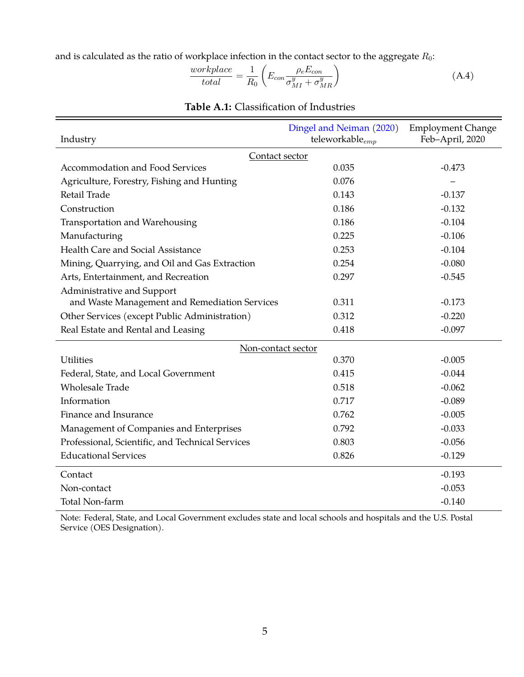and is calculated as the ratio of workplace infection in the contact sector to the aggregate  $R_0$ :

$$
\frac{workplace}{total} = \frac{1}{R_0} \left( E_{con} \frac{\rho_e E_{con}}{\sigma_{MI}^y + \sigma_{MR}^y} \right)
$$
(A.4)

<span id="page-43-0"></span>

| Industry                                         | Dingel and Neiman (2020)<br>teleworkable $_{emp}$ | <b>Employment Change</b><br>Feb-April, 2020 |  |  |
|--------------------------------------------------|---------------------------------------------------|---------------------------------------------|--|--|
| Contact sector                                   |                                                   |                                             |  |  |
| Accommodation and Food Services                  | 0.035                                             | $-0.473$                                    |  |  |
| Agriculture, Forestry, Fishing and Hunting       | 0.076                                             |                                             |  |  |
| Retail Trade                                     | 0.143                                             | $-0.137$                                    |  |  |
| Construction                                     | 0.186                                             | $-0.132$                                    |  |  |
| Transportation and Warehousing                   | 0.186                                             | $-0.104$                                    |  |  |
| Manufacturing                                    | 0.225                                             | $-0.106$                                    |  |  |
| Health Care and Social Assistance                | 0.253                                             | $-0.104$                                    |  |  |
| Mining, Quarrying, and Oil and Gas Extraction    | 0.254                                             | $-0.080$                                    |  |  |
| Arts, Entertainment, and Recreation              | 0.297                                             | $-0.545$                                    |  |  |
| Administrative and Support                       |                                                   |                                             |  |  |
| and Waste Management and Remediation Services    | 0.311                                             | $-0.173$                                    |  |  |
| Other Services (except Public Administration)    | 0.312                                             | $-0.220$                                    |  |  |
| Real Estate and Rental and Leasing               | 0.418                                             | $-0.097$                                    |  |  |
| Non-contact sector                               |                                                   |                                             |  |  |
| <b>Utilities</b>                                 | 0.370                                             | $-0.005$                                    |  |  |
| Federal, State, and Local Government             | 0.415                                             | $-0.044$                                    |  |  |
| <b>Wholesale Trade</b>                           | 0.518                                             | $-0.062$                                    |  |  |
| Information                                      | 0.717                                             | $-0.089$                                    |  |  |
| Finance and Insurance                            | 0.762                                             | $-0.005$                                    |  |  |
| Management of Companies and Enterprises          | 0.792                                             | $-0.033$                                    |  |  |
| Professional, Scientific, and Technical Services | 0.803                                             | $-0.056$                                    |  |  |
| <b>Educational Services</b>                      | 0.826                                             | $-0.129$                                    |  |  |
| Contact                                          |                                                   | $-0.193$                                    |  |  |
| Non-contact                                      |                                                   | $-0.053$                                    |  |  |
| Total Non-farm                                   |                                                   | $-0.140$                                    |  |  |

# **Table A.1:** Classification of Industries

Note: Federal, State, and Local Government excludes state and local schools and hospitals and the U.S. Postal Service (OES Designation).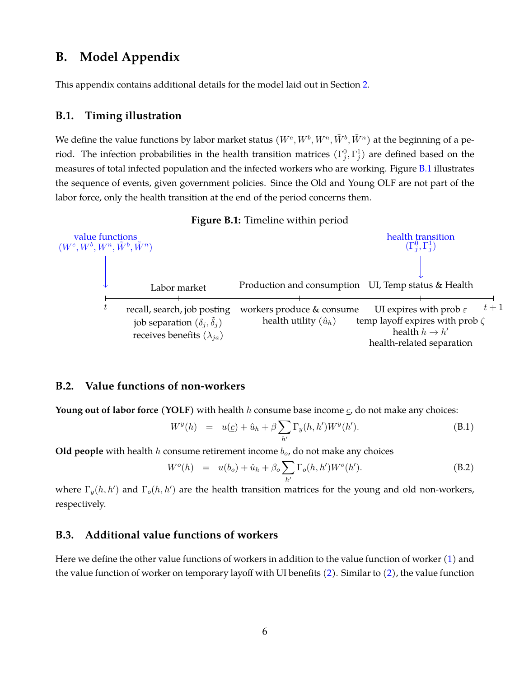# **B. Model Appendix**

This appendix contains additional details for the model laid out in Section [2.](#page-5-0)

#### <span id="page-44-1"></span>**B.1. Timing illustration**

We define the value functions by labor market status  $(W^e, W^b, W^n, \tilde{W}^b, \tilde{W}^n)$  at the beginning of a period. The infection probabilities in the health transition matrices  $(\Gamma_j^0, \Gamma_j^1)$  are defined based on the measures of total infected population and the infected workers who are working. Figure [B.1](#page-44-3) illustrates the sequence of events, given government policies. Since the Old and Young OLF are not part of the labor force, only the health transition at the end of the period concerns them.

<span id="page-44-3"></span>

**Figure B.1:** Timeline within period



#### <span id="page-44-0"></span>**B.2. Value functions of non-workers**

**Young out of labor force (YOLF)** with health  $h$  consume base income  $c$ , do not make any choices:

$$
W^{y}(h) = u(\underline{c}) + \hat{u}_h + \beta \sum_{h'} \Gamma_y(h, h') W^{y}(h').
$$
 (B.1)

**Old people** with health  $h$  consume retirement income  $b<sub>o</sub>$ , do not make any choices

$$
W^{o}(h) = u(b_{o}) + \hat{u}_{h} + \beta_{o} \sum_{h'} \Gamma_{o}(h, h') W^{o}(h'). \qquad (B.2)
$$

where  $\Gamma_y(h, h')$  and  $\Gamma_o(h, h')$  are the health transition matrices for the young and old non-workers, respectively.

#### <span id="page-44-2"></span>**B.3. Additional value functions of workers**

Here we define the other value functions of workers in addition to the value function of worker [\(1\)](#page-10-2) and the value function of worker on temporary layoff with UI benefits  $(2)$ . Similar to  $(2)$ , the value function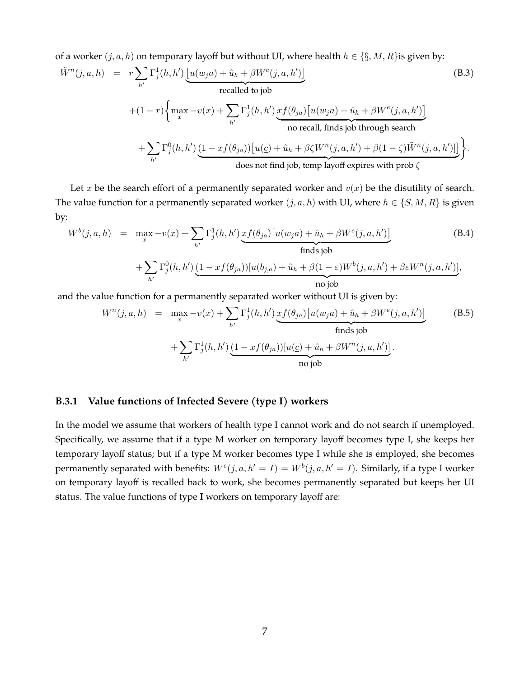of a worker  $(j, a, h)$  on temporary layoff but without UI, where health  $h \in \{\S, M, R\}$ is given by:

$$
\tilde{W}^{n}(j, a, h) = r \sum_{h'} \Gamma_{j}^{1}(h, h') \underbrace{\left[u(w_{j}a) + \hat{u}_{h} + \beta W^{e}(j, a, h')\right]}_{\text{recalled to job}}
$$
\n
$$
+ (1 - r) \left\{ \max_{x} -v(x) + \sum_{h'} \Gamma_{j}^{1}(h, h') \underbrace{xf(\theta_{ja}) \left[u(w_{j}a) + \hat{u}_{h} + \beta W^{e}(j, a, h')\right]}_{\text{no recall, finds job through search}}
$$
\n
$$
+ \sum_{h'} \Gamma_{j}^{0}(h, h') \underbrace{(1 - xf(\theta_{ja})) \left[u(\underline{c}) + \hat{u}_{h} + \beta \zeta W^{n}(j, a, h') + \beta (1 - \zeta) \tilde{W}^{n}(j, a, h')\right]}_{\text{does not find job, temp layout} (j, a, h') + \beta (1 - \zeta) \tilde{W}^{n}(j, a, h') } \right\}.
$$
\n(B.3)

Let x be the search effort of a permanently separated worker and  $v(x)$  be the disutility of search. The value function for a permanently separated worker  $(j, a, h)$  with UI, where  $h \in \{S, M, R\}$  is given by:

$$
W^{b}(j, a, h) = \max_{x} -v(x) + \sum_{h'} \Gamma_{j}^{1}(h, h') \underbrace{xf(\theta_{ja})[u(w_{j}a) + \hat{u}_{h} + \beta W^{e}(j, a, h')]}_{\text{finds job}}
$$
\n
$$
+ \sum_{h'} \Gamma_{j}^{0}(h, h') \underbrace{(1 - xf(\theta_{ja}))[u(b_{j,a}) + \hat{u}_{h} + \beta(1 - \varepsilon)W^{b}(j, a, h') + \beta \varepsilon W^{n}(j, a, h')]}_{\text{no job}},
$$
\n(B.4)

and the value function for a permanently separated worker without UI is given by:

$$
W^{n}(j, a, h) = \max_{x} -v(x) + \sum_{h'} \Gamma_{j}^{1}(h, h') \underbrace{xf(\theta_{ja})[u(w_{ja}) + \hat{u}_{h} + \beta W^{e}(j, a, h')]}_{\text{finds job}}
$$
(B.5)  
+ 
$$
\sum_{h'} \Gamma_{j}^{1}(h, h') \underbrace{(1 - xf(\theta_{ja}))[u(\underline{c}) + \hat{u}_{h} + \beta W^{n}(j, a, h')]}_{\text{no job}}.
$$

#### <span id="page-45-0"></span>**B.3.1 Value functions of Infected Severe (type I) workers**

In the model we assume that workers of health type I cannot work and do not search if unemployed. Specifically, we assume that if a type M worker on temporary layoff becomes type I, she keeps her temporary layoff status; but if a type M worker becomes type I while she is employed, she becomes permanently separated with benefits:  $W^{e}(j, a, h' = I) = W^{b}(j, a, h' = I)$ . Similarly, if a type I worker on temporary layoff is recalled back to work, she becomes permanently separated but keeps her UI status. The value functions of type **I** workers on temporary layoff are: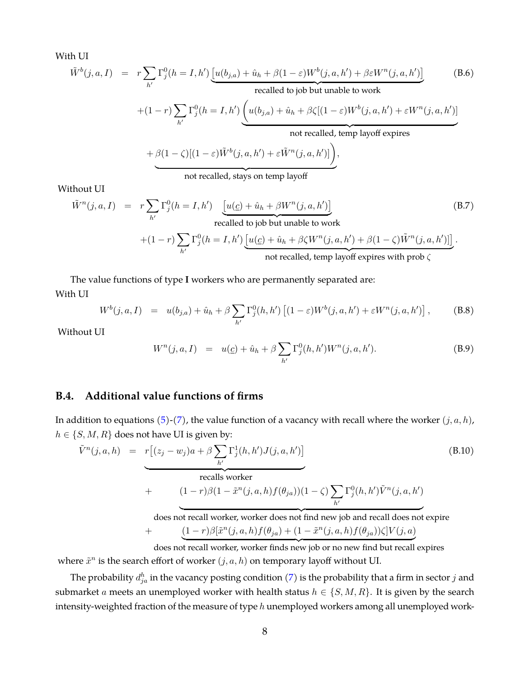With UI

$$
\tilde{W}^b(j, a, I) = r \sum_{h'} \Gamma^0_j(h = I, h') \underbrace{[u(b_{j,a}) + \hat{u}_h + \beta(1 - \varepsilon)W^b(j, a, h') + \beta \varepsilon W^n(j, a, h')]}_{\text{recalled to job but unable to work}} \tag{B.6}
$$

$$
+(1-r)\sum_{h'}\Gamma_j^0(h=I,h')\underbrace{\left(u(b_{j,a})+\hat{u}_h+\beta\zeta[(1-\varepsilon)W^b(j,a,h')+\varepsilon W^n(j,a,h')\right]}_{\text{not recalled. temp layout}}\\
$$

$$
+\beta(1-\zeta)[(1-\varepsilon)\tilde{W}^b(j,a,h')+\varepsilon\tilde{W}^n(j,a,h')]\bigg),
$$

not recalled, stays on temp layoff

Without UI

$$
\tilde{W}^{n}(j, a, I) = r \sum_{h'} \Gamma_{j}^{0}(h = I, h') \underbrace{[u(\underline{c}) + \hat{u}_{h} + \beta W^{n}(j, a, h')]}_{\text{recalled to job but unable to work}} + (1 - r) \sum_{h'} \Gamma_{j}^{0}(h = I, h') \underbrace{[u(\underline{c}) + \hat{u}_{h} + \beta \zeta W^{n}(j, a, h') + \beta (1 - \zeta) \tilde{W}^{n}(j, a, h')]}_{\text{not recalled, temp layout systems with prob } \zeta}.
$$
\n(B.7)

The value functions of type **I** workers who are permanently separated are: With UI

$$
W^{b}(j, a, I) = u(b_{j,a}) + \hat{u}_h + \beta \sum_{h'} \Gamma_j^0(h, h') [(1 - \varepsilon) W^b(j, a, h') + \varepsilon W^n(j, a, h')], \quad (B.8)
$$

Without UI

$$
W^{n}(j, a, I) = u(\underline{c}) + \hat{u}_{h} + \beta \sum_{h'} \Gamma_{j}^{0}(h, h')W^{n}(j, a, h'). \tag{B.9}
$$

### <span id="page-46-0"></span>**B.4. Additional value functions of firms**

In addition to equations [\(5\)](#page-12-2)-[\(7\)](#page-13-1), the value function of a vacancy with recall where the worker  $(j, a, h)$ ,  $h \in \{S, M, R\}$  does not have UI is given by:

$$
\tilde{V}^{n}(j, a, h) = r[(z_{j} - w_{j})a + \beta \sum_{h'} \Gamma_{j}^{1}(h, h')J(j, a, h')]
$$
\n(B.10)

\nrecalls worker

\n
$$
+ \qquad (1 - r)\beta(1 - \tilde{x}^{n}(j, a, h)f(\theta_{ja}))(1 - \zeta) \sum_{h'} \Gamma_{j}^{0}(h, h')\tilde{V}^{n}(j, a, h')
$$
\ndoes not recall worker, worker does not find new job and recall does not explore

\n
$$
+ \qquad \underbrace{(1 - r)\beta[\tilde{x}^{n}(j, a, h)f(\theta_{ja}) + (1 - \tilde{x}^{n}(j, a, h)f(\theta_{ja}))\zeta]}_{\text{does not recall worker, worker finds new job or no new find but recall expires}
$$

where  $\tilde{x}^n$  is the search effort of worker  $(j, a, h)$  on temporary layoff without UI.

The probability  $d_{ja}^h$  in the vacancy posting condition [\(7\)](#page-13-1) is the probability that a firm in sector  $j$  and submarket *a* meets an unemployed worker with health status  $h \in \{S, M, R\}$ . It is given by the search intensity-weighted fraction of the measure of type  $h$  unemployed workers among all unemployed work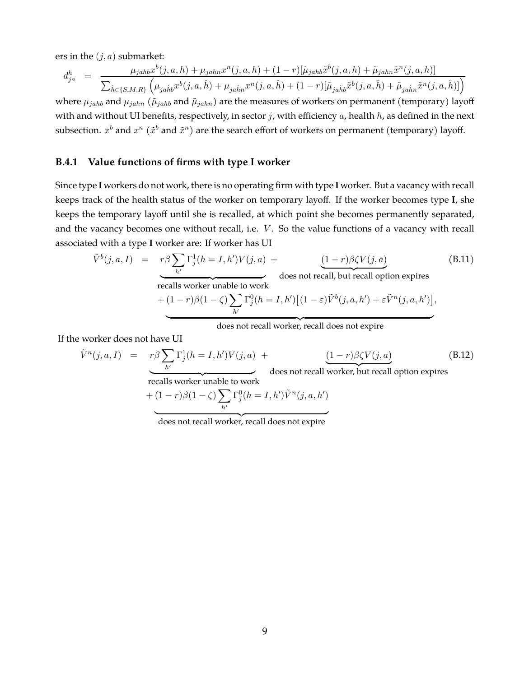ers in the  $(j, a)$  submarket:

$$
d_{ja}^{h} = \frac{\mu_{jahb}x^{b}(j,a,h) + \mu_{jahn}x^{n}(j,a,h) + (1-r)[\tilde{\mu}_{jahb}\tilde{x}^{b}(j,a,h) + \tilde{\mu}_{jahn}\tilde{x}^{n}(j,a,h)]}{\sum_{\hat{h}\in\{S,M,R\}} (\mu_{jahb}x^{b}(j,a,\hat{h}) + \mu_{jahn}x^{n}(j,a,\hat{h}) + (1-r)[\tilde{\mu}_{jahb}\tilde{x}^{b}(j,a,\hat{h}) + \tilde{\mu}_{jahn}\tilde{x}^{n}(j,a,\hat{h})])}
$$

where  $\mu_{jahb}$  and  $\mu_{jahn}$  ( $\tilde{\mu}_{jahb}$  and  $\tilde{\mu}_{jahn}$ ) are the measures of workers on permanent (temporary) layoff with and without UI benefits, respectively, in sector  $j$ , with efficiency  $a$ , health  $h$ , as defined in the next subsection.  $x^b$  and  $x^n$  ( $\tilde{x}^b$  and  $\tilde{x}^n$ ) are the search effort of workers on permanent (temporary) layoff.

### **B.4.1 Value functions of firms with type I worker**

Since type **I** workers do not work, there is no operating firm with type **I** worker. But a vacancy with recall keeps track of the health status of the worker on temporary layoff. If the worker becomes type **I**, she keeps the temporary layoff until she is recalled, at which point she becomes permanently separated, and the vacancy becomes one without recall, i.e.  $V$ . So the value functions of a vacancy with recall associated with a type **I** worker are: If worker has UI

$$
\tilde{V}^{b}(j, a, I) = r\beta \sum_{h'} \Gamma_{j}^{1}(h = I, h')V(j, a) + \underbrace{(1 - r)\beta\zeta V(j, a)}_{\text{recalls worker unable to work}} \text{does not recall, but recall option expires} \tag{B.11}
$$
\n
$$
+ (1 - r)\beta(1 - \zeta) \sum_{h'} \Gamma_{j}^{0}(h = I, h') \left[ (1 - \varepsilon)\tilde{V}^{b}(j, a, h') + \varepsilon \tilde{V}^{n}(j, a, h') \right],
$$
\n
$$
\underbrace{\qquad \qquad}_{\text{does not recall worker, recall does not expire}}
$$

If the worker does not have UI

$$
\tilde{V}^{n}(j, a, I) = r\beta \sum_{h'} \Gamma_{j}^{1}(h = I, h')V(j, a) + \underbrace{(1 - r)\beta\zeta V(j, a)}_{\text{recall worker, but recall option expires}}
$$
\n(B.12)\ndoes not recall worker, but recall option expires\n
$$
+ (1 - r)\beta(1 - \zeta) \sum_{h'} \Gamma_{j}^{0}(h = I, h')\tilde{V}^{n}(j, a, h')
$$

does not recall worker, recall does not expire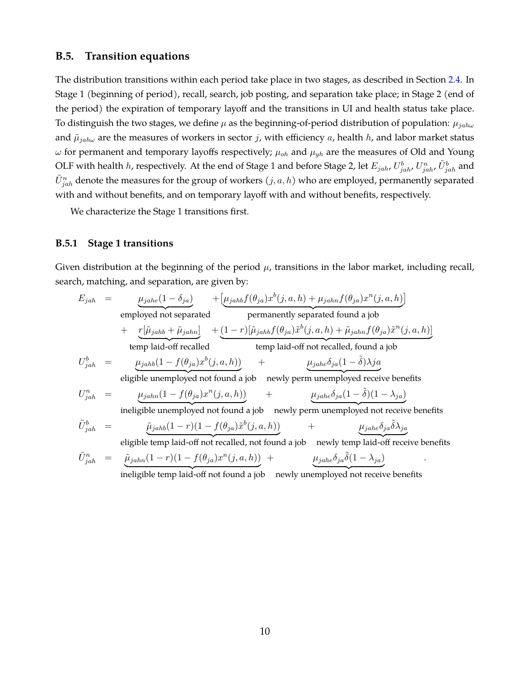#### <span id="page-48-0"></span>**B.5. Transition equations**

The distribution transitions within each period take place in two stages, as described in Section [2.4.](#page-13-2) In Stage 1 (beginning of period), recall, search, job posting, and separation take place; in Stage 2 (end of the period) the expiration of temporary layoff and the transitions in UI and health status take place. To distinguish the two stages, we define  $\mu$  as the beginning-of-period distribution of population:  $\mu_{jah\omega}$ and  $\tilde{\mu}_{jah\omega}$  are the measures of workers in sector j, with efficiency a, health h, and labor market status  $\omega$  for permanent and temporary layoffs respectively;  $\mu_{oh}$  and  $\mu_{yh}$  are the measures of Old and Young OLF with health  $h$ , respectively. At the end of Stage 1 and before Stage 2, let  $E_{jah}$ ,  $U^b_{jah}$ ,  $\tilde{U}^b_{jah}$ , and  $\tilde{U}_{jah}^{n}$  denote the measures for the group of workers  $(j,a,h)$  who are employed, permanently separated with and without benefits, and on temporary layoff with and without benefits, respectively.

We characterize the Stage 1 transitions first.

#### **B.5.1 Stage 1 transitions**

Given distribution at the beginning of the period  $\mu$ , transitions in the labor market, including recall, search, matching, and separation, are given by:

$$
E_{jah} = \underbrace{\mu_{jahe}(1-\delta_{ja})}_{\text{employed not separated}} + \underbrace{[\mu_{jahbf}f(\theta_{ja})x^b(j,a,h) + \mu_{jahnf}(\theta_{ja})x^n(j,a,h)]}_{\text{remnanently separated found a job}} + \underbrace{r[\tilde{\mu}_{jahb} + \tilde{\mu}_{jahn}]}_{\text{temp laid-off recalled}} + \underbrace{(1-r)[\tilde{\mu}_{jahb}f(\theta_{ja})\tilde{x}^b(j,a,h) + \tilde{\mu}_{jahnf}(\theta_{ja})\tilde{x}^n(j,a,h)]}_{\text{temp laid-off recalled}} + \underbrace{(\mu_{jahb}f(\theta_{ja})\tilde{x}^b(j,a,h) + \mu_{jahnf}(\theta_{ja})\tilde{x}^n(j,a,h)]}_{\text{temp laid-off recalled}} + \underbrace{\mu_{jahe}\delta_{ja}(1-\tilde{\delta})\lambda ja}_{\text{eligible unemployed not found a job newly perm unemployed receive benefits}
$$
\n
$$
U_{jah}^n = \underbrace{\mu_{jahn}(1 - f(\theta_{ja})x^n(j,a,h))}_{\text{ineligible unemployed not found a job newly perm unemployed not receive benefits}
$$
\n
$$
\tilde{U}_{jah}^b = \underbrace{\tilde{\mu}_{jahb}(1-r)(1 - f(\theta_{ja})\tilde{x}^b(j,a,h))}_{\text{eligible temp laid-off not recalled, not found a job newly temp laid-off receive benefits}
$$
\n
$$
\tilde{U}_{jah}^n = \underbrace{\tilde{\mu}_{jahn}(1-r)(1 - f(\theta_{ja})x^n(j,a,h))}_{\text{ineliizible temp laid-off not found a job newly unemployed not receive benefits}
$$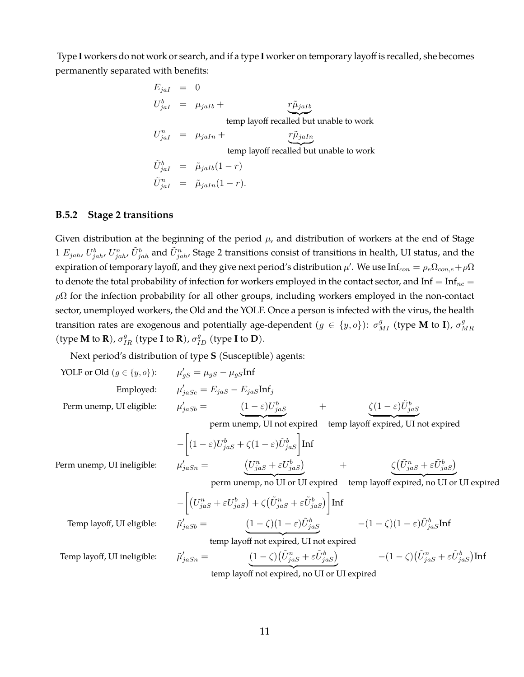Type **I** workers do not work or search, and if a type **I** worker on temporary layoff is recalled, she becomes permanently separated with benefits:

$$
E_{j a I} = 0
$$
  
\n
$$
U_{j a I}^{b} = \mu_{j a I b} +
$$
  
\ntemp layout *l* and *l* is the number of *l* and *l* is the number of *l* and *l* is the number of *l* and *l* is the number of *l* and *l* is the number of *l* and *l* is the number of *l* and *l* is the number of *l* and *l* is the number of *l* and *l* is the number of *l* and *l* is the number of *l* and *l* is the number of *l* and *l* is the number of *l* and *l* is the number of *l* and *l* is the number of *l* and *l* is the number of *l* and *l* is the number of *l* and *l* is the number of *l* and *l* is the number of *l* and *l* is the number of *l* and *l* is the number of *l* and *l* is the number of *l* and *l* is the number of *l* and *l* is the number of *l* and *l* is the number of *l* and *l* is the number of *l* and *l* is the number of *l* and *l* is the number of *l* and *l* is the number of *l* and *l* is the number of *l* and *l* is the number of *l* and *l* is the number of *l* and *l* is the number of *l* and *l* is the number of *l* and *l* is the number of *l* and *l* is the number of *l* and *l* is the number of *l* and *l* is the number of *l* and

#### **B.5.2 Stage 2 transitions**

Given distribution at the beginning of the period  $\mu$ , and distribution of workers at the end of Stage  $1$   $E_{jah}$ ,  $U_{jah}^b$ ,  $U_{jah}^n$ ,  $\tilde{U}_{jah}^b$  and  $\tilde{U}_{jah}^n$ , Stage 2 transitions consist of transitions in health, UI status, and the expiration of temporary layoff, and they give next period's distribution  $\mu'$ . We use Inf $_{con} = \rho_e \Omega_{con,e} + \rho \Omega$ to denote the total probability of infection for workers employed in the contact sector, and Inf =  $Inf_{nc}$  =  $\rho\Omega$  for the infection probability for all other groups, including workers employed in the non-contact sector, unemployed workers, the Old and the YOLF. Once a person is infected with the virus, the health transition rates are exogenous and potentially age-dependent  $(g \in \{y, o\})$ :  $\sigma_{MI}^g$  (type **M** to **I**),  $\sigma_{N}^g$  $_{MR}$ (type **M** to **R**),  $\sigma_{IR}^g$  (type **I** to **R**),  $\sigma_{ID}^g$  (type **I** to **D**).

Next period's distribution of type **S** (Susceptible) agents:

YOLF or Old (
$$
g \in \{y, o\}
$$
):  $\mu$   
Employee:  $\mu$   
Perm unemp, UI eligible:  $\mu$ 

$$
\mu'_{gS} = \mu_{gS} - \mu_{gS} \text{Inf}
$$
  
\n
$$
\mu'_{jase} = E_{jas} - E_{jas} \text{Inf}_j
$$
  
\n
$$
\mu'_{jass} = (1 - \varepsilon)U^b_{jas} + \zeta(1 - \varepsilon)\tilde{U}^b_{jas}
$$

perm unemp, UI not expired temp layoff expired, UI not expired

$$
-\left[ (1-\varepsilon)U_{jas}^{b} + \zeta (1-\varepsilon)\tilde{U}_{jas}^{b} \right] \text{Inf}
$$
  

$$
\mu'_{jassn} = \frac{\left(U_{jas}^{n} + \varepsilon U_{jas}^{b}\right)}{\left(U_{jas}^{n} + \varepsilon U_{jas}^{b}\right)} + \frac{\zeta \left(\tilde{U}_{jas}^{n} + \varepsilon \tilde{U}_{jas}^{b}\right)}{\zeta \left(U_{bas}^{n} + \varepsilon U_{bas}^{b}\right)}
$$

Perm unemp, UI ineligible:

perm unemp, no UI or UI expired temp layoff expired, no UI or UI expired

$$
-\left[ (U_{jas}^{n} + \varepsilon U_{jas}^{b}) + \zeta (\tilde{U}_{jas}^{n} + \varepsilon \tilde{U}_{jas}^{b}) \right] \text{Inf}
$$
  

$$
\tilde{\mu}'_{j a S b} = \underbrace{(1 - \zeta)(1 - \varepsilon) \tilde{U}_{j a S}^{b}}_{\text{temp level and required}} - (1 - \zeta)(1 - \varepsilon) \tilde{U}_{ja S}^{b} \text{Inf}
$$

Temp layoff, UI eligible:

temp layoff not expired. UI not expired

Temp layoff, UI ineligible:  $\tilde{\mu}$ 

$$
\tilde{u}_{jasn}' = \underbrace{(1-\zeta)(\tilde{U}_{jas}^n + \varepsilon \tilde{U}_{jas}^b)}_{\text{temp layout for expired.}} - (1-\zeta)(\tilde{U}_{jas}^n + \varepsilon \tilde{U}_{jas}^b)\text{Inf}
$$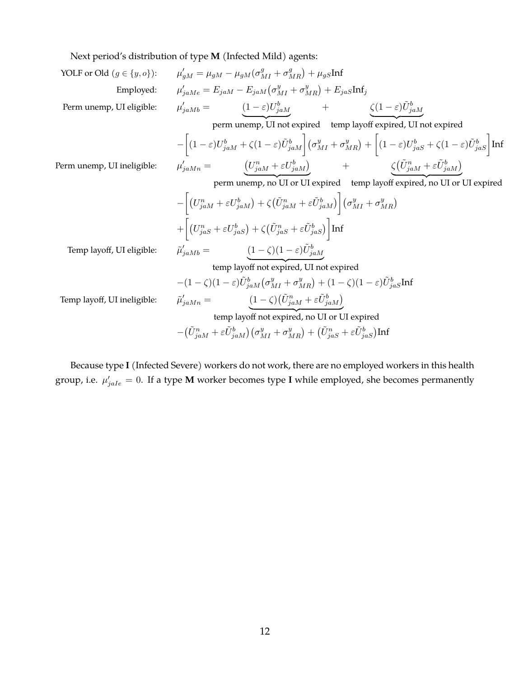Next period's distribution of type **M** (Infected Mild)

Next period's distribution of type M (Insected Mila) agents:  
\nYOLF or Old (
$$
g \in \{y, o\}
$$
):  $\mu'_{gM} = \mu_{gM} - \mu_{gM}(\sigma_{MI}^g + \sigma_{MR}^g) + \mu_{gS}Inf$   
\nEmployee:  $\mu'_{j\alpha Me} = E_{jaM} - E_{jaM}(\sigma_{MI}^g + \sigma_{MR}^g) + E_{jaS}Inf$   
\nPerm unemp, UI eligible:  $\mu'_{jaMb} = \frac{(1-\varepsilon)U_{jaM}^b}{(1-\varepsilon)U_{jaM}^b} + \frac{\zeta(1-\varepsilon)\tilde{U}_{jaM}^b}{\zeta(1-\varepsilon)U_{jaS}^b + \zeta(1-\varepsilon)\tilde{U}_{jaM}^b} = \frac{U}{\mu_{jaM}} - \frac{\zeta(1-\varepsilon)U_{jaM}^b}{\zeta(1-\varepsilon)U_{jaS}^b + \zeta(1-\varepsilon)U_{jaS}^b + \zeta(1-\varepsilon)\tilde{U}_{jaS}^b} \text{Inf}$   
\nPerm unemp, UI ineligible:  $\mu'_{jaMn} = \frac{(U_{jaM}^n + \varepsilon U_{jaM}^b)}{\zeta(0_{jaM}^m + \varepsilon U_{jaM}^b)} + \frac{\zeta(0_{jaM}^m + \varepsilon \tilde{U}_{jaM}^b)}{\zeta(0_{jaM}^m + \varepsilon \tilde{U}_{jaM}^b)} = -\frac{U_{jaM}^n + \varepsilon U_{jaM}^b}{\zeta(0_{jaM}^m + \varepsilon \tilde{U}_{jaM}^b)} + \frac{\zeta(0_{jaM}^m + \varepsilon \tilde{U}_{jaM}^b)}{\zeta(0_{jaM}^m + \sigma_{MR}^b)} + \frac{\zeta(0_{jaM}^m + \varepsilon \tilde{U}_{jaM}^b)}{\zeta(0_{jaM}^m + \sigma_{MR}^b)} + \frac{\zeta(0_{jaM}^m + \varepsilon \tilde{U}_{jaM}^b)}{\zeta(0_{jaM}^m + \sigma_{MR}^b)} + \frac{\zeta(0_{jaM}^m + \varepsilon \tilde{U}_{jaM}^b)}{\zeta(0_{jaM}^m + \sigma_{MR}^b)} = \frac{(1-\zeta)(1-\varepsilon)\tilde{U}_{jaM}$ 

Because type **I** (Infected Severe) workers do not work, there are no employed workers in this health group, i.e.  $\mu'_{jale} = 0$ . If a type **M** worker becomes type **I** while employed, she becomes permanently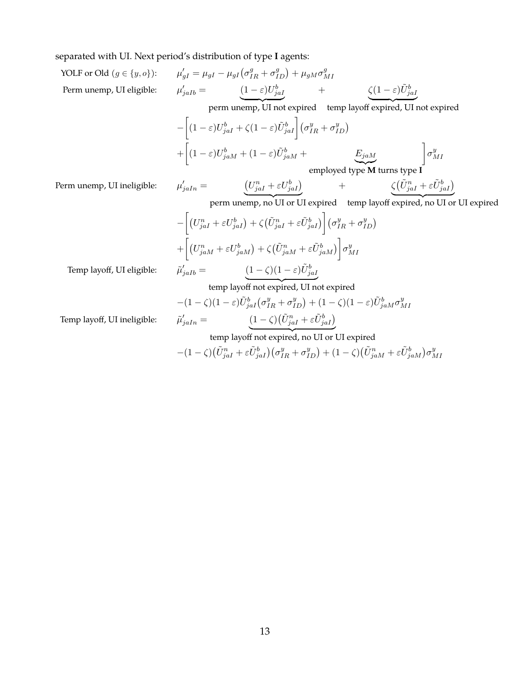separated with UI. Next period's distribution of type **I** agents:

YOLF or Old 
$$
(g \in \{y, o\})
$$
:  $\mu'_{gI} = \mu_{gI} - \mu_{gI} (\sigma^g_{IR} + \sigma^g_{ID}) + \mu_{gM} \sigma^g_{MI}$   
\nPerm unemp, UI eligible:  $\mu'_{jaIb} = \underbrace{(1 - \varepsilon)U^b_{jaI}}_{\text{perm unemp, UI not expired,}} + \underbrace{\zeta(1 - \varepsilon)\tilde{U}^b_{jaI}}_{\text{perm unemp, UI not expired, UN not expired}} + \underbrace{\zeta(1 - \varepsilon)\tilde{U}^b_{jaI}}_{\text{perm. }I}$ 

$$
-\left[ (1-\varepsilon)U_{jaI}^b + \zeta (1-\varepsilon)\tilde{U}_{jaI}^b \right] \left(\sigma_{IR}^y + \sigma_{ID}^y \right)
$$
  
+ 
$$
\left[ (1-\varepsilon)U_{jaM}^b + (1-\varepsilon)\tilde{U}_{jaM}^b + \underbrace{E_{jaM}}_{\text{employed type } \mathbf{M} \text{ turns type } \mathbf{I}} \right] \sigma_{MI}^y
$$

Perm unemp, UI ineligible:

$$
V_{jaln} = \left( U_{jal}^n + \varepsilon U_{jal}^b \right) + \left( \tilde{U}_{jal}^n + \varepsilon \tilde{U}_{jal}^b \right)
$$

perm unemp, no UI or UI expired temp layoff expired, no UI or UI expired

$$
-\left[ (U_{jaI}^{n} + \varepsilon U_{jaI}^{b}) + \zeta (\tilde{U}_{jaI}^{n} + \varepsilon \tilde{U}_{jaI}^{b}) \right] (\sigma_{IR}^{y} + \sigma_{ID}^{y})
$$
  
+ 
$$
\left[ (U_{jaM}^{n} + \varepsilon U_{jaM}^{b}) + \zeta (\tilde{U}_{jaM}^{n} + \varepsilon \tilde{U}_{jaM}^{b}) \right] \sigma_{MI}^{y}
$$
  

$$
\tilde{\mu}_{jaIb}' = \underbrace{(1-\zeta)(1-\varepsilon)\tilde{U}_{jaI}^{b}}
$$

Temp layoff, UI eligible:  $\hat{\mu}$ 

temp layoff not expired, UI not expired

$$
-(1 - \zeta)(1 - \varepsilon)\tilde{U}_{j a I}^b (\sigma_{IR}^y + \sigma_{ID}^y) + (1 - \zeta)(1 - \varepsilon)\tilde{U}_{j a M}^b \sigma_{MI}^y
$$
  

$$
\tilde{\mu}_{j a In}^{\prime} = \underbrace{(1 - \zeta)(\tilde{U}_{j a I}^n + \varepsilon \tilde{U}_{j a I}^b)}.
$$

Temp layoff, UI ineligible:

temp layout not expired, no UI or UI expired  
\n
$$
-(1 - \zeta)(\tilde{U}_{jal}^n + \varepsilon \tilde{U}_{jal}^b)(\sigma_{IR}^y + \sigma_{ID}^y) + (1 - \zeta)(\tilde{U}_{jal}^n + \varepsilon \tilde{U}_{jal}^b)\sigma_{MI}^y
$$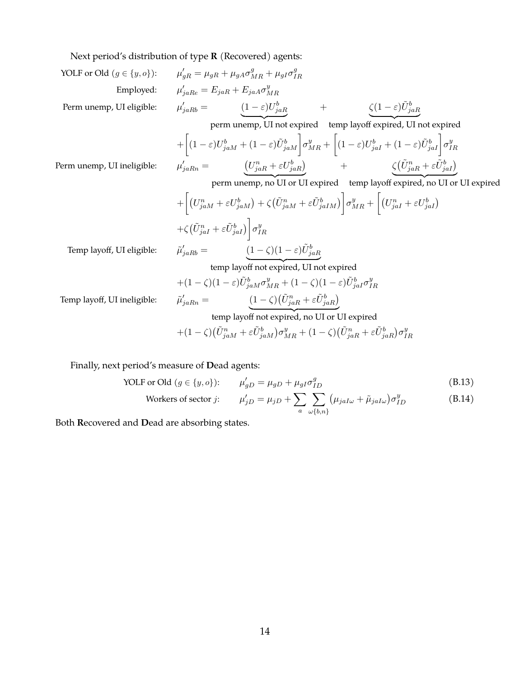Next period's distribution of type **R** (Recovered) agents:

YOLF or Old 
$$
(g \in \{y, o\})
$$
:  $\mu'_{gR} = \mu_{gR} + \mu_{gA}\sigma_{MR}^g + \mu_{gI}\sigma_{IR}^g$   
\nEmployee:  $\mu'_{jahR} = E_{jah} + E_{jaA}\sigma_{MR}^g$   
\nPerm unemp, UI eligible:  $\mu'_{jahB} = \underbrace{(1-\varepsilon)U^b_{jaR}}_{(1-\varepsilon)U^b_{jah} + \sigma_{MR}^g} + \underbrace{\zeta(1-\varepsilon)\tilde{U}^b_{jaR}}_{(1-\varepsilon)U^b_{jah} + \sigma_{MR}^g} + \left[(1-\varepsilon)U^b_{jah} + (1-\varepsilon)U^b_{jah} + (1-\varepsilon)U^b_{jah}\right]\sigma_{MR}^g$   
\nPerm unemp, UI ineligible:  $\mu'_{jahRn} = \underbrace{(U^a_{jaR} + \varepsilon U^b_{jah})}_{(1-\varepsilon)h} + \underbrace{\zeta(\tilde{U}^a_{jaR} + \varepsilon \tilde{U}^b_{jah})}_{(1-\varepsilon)h} + \underbrace{\zeta(\tilde{U}^a_{jaR} + \varepsilon \tilde{U}^b_{jah})}_{(1-\varepsilon)h} + \left[(U^a_{jaR} + \varepsilon U^b_{jaM}) + \zeta(\tilde{U}^a_{jaR} + \varepsilon \tilde{U}^b_{jaM})\right]\sigma_{MR}^g + \left[(U^a_{jaI} + \varepsilon U^b_{jaI})\right] + \zeta(\tilde{U}^a_{jaI} + \varepsilon \tilde{U}^b_{jaI})$   
\n $+ \zeta(\tilde{U}^a_{jaI} + \varepsilon \tilde{U}^b_{jaI})\right]\sigma_{IR}^g$   
\nTemp layout, UI eligible:  $\tilde{\mu}'_{jaRb} = \underbrace{(1-\zeta)(1-\varepsilon)\tilde{U}^b_{jaR}}_{(1-\zeta)(1-\varepsilon)U^a_{jaR} + \sigma_{MR}^g}$   
\ntemp layout, curl ineligible:  $\tilde{\mu}'_{jaRb} = \underbrace{(1-\zeta)(1-\varepsilon)\tilde{U}^b_{jaR} + \sigma_{MR}^g}{(1-\zeta)(1-\varepsilon)U^a_{jaR} + \sigma_{MR$ 

Finally, next period's measure of **D**ead agents:

YOLF or Old 
$$
(g \in \{y, o\})
$$
:  $\mu'_{gD} = \mu_{gD} + \mu_{gI} \sigma_{ID}^g$  (B.13)

Works of sector *j*: 
$$
\mu'_{jD} = \mu_{jD} + \sum_{a} \sum_{\omega \{b,n\}} (\mu_{jaI\omega} + \tilde{\mu}_{jaI\omega}) \sigma^y_{ID}
$$
(B.14)

Both **R**ecovered and **D**ead are absorbing states.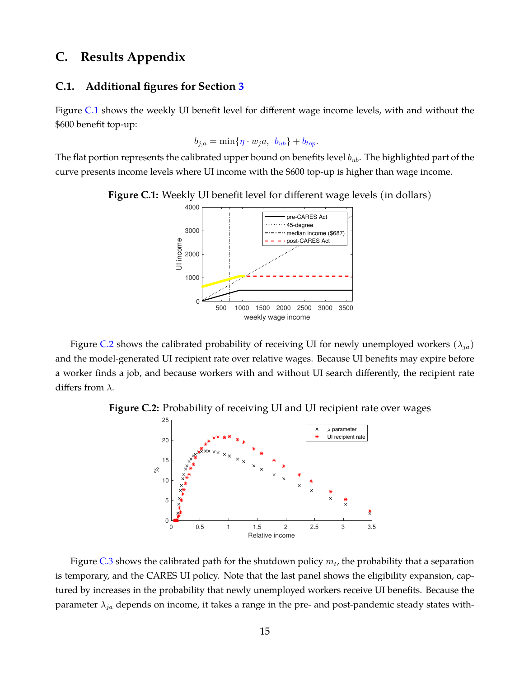# **C. Results Appendix**

#### <span id="page-53-2"></span>**C.1. Additional figures for Section [3](#page-14-0)**

Figure [C.1](#page-53-0) shows the weekly UI benefit level for different wage income levels, with and without the \$600 benefit top-up:

$$
b_{j,a} = \min\{\eta \cdot w_j a, b_{ub}\} + b_{top}.
$$

<span id="page-53-0"></span>The flat portion represents the calibrated upper bound on benefits level  $b_{ub}$ . The highlighted part of the curve presents income levels where UI income with the \$600 top-up is higher than wage income.



**Figure C.1:** Weekly UI benefit level for different wage levels (in dollars)

Figure [C.2](#page-53-1) shows the calibrated probability of receiving UI for newly unemployed workers ( $\lambda_{ia}$ ) and the model-generated UI recipient rate over relative wages. Because UI benefits may expire before a worker finds a job, and because workers with and without UI search differently, the recipient rate differs from  $\lambda$ .

<span id="page-53-1"></span>**Figure C.2:** Probability of receiving UI and UI recipient rate over wages



Figure [C.3](#page-54-0) shows the calibrated path for the shutdown policy  $m_t$ , the probability that a separation is temporary, and the CARES UI policy. Note that the last panel shows the eligibility expansion, captured by increases in the probability that newly unemployed workers receive UI benefits. Because the parameter  $\lambda_{ja}$  depends on income, it takes a range in the pre- and post-pandemic steady states with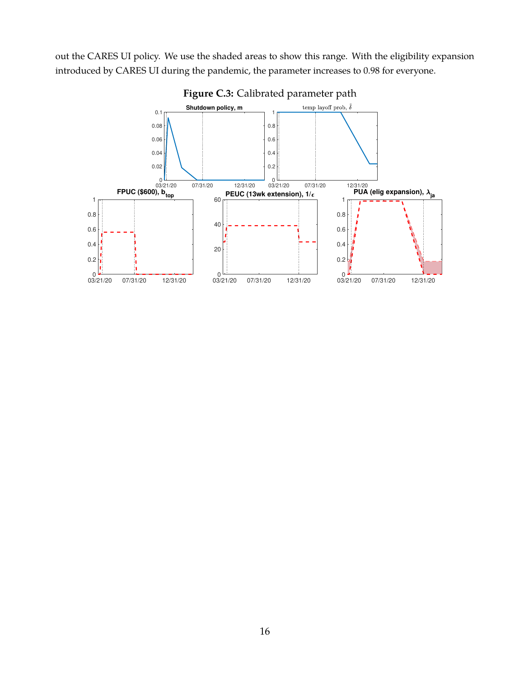<span id="page-54-0"></span>out the CARES UI policy. We use the shaded areas to show this range. With the eligibility expansion introduced by CARES UI during the pandemic, the parameter increases to 0.98 for everyone.



**Figure C.3:** Calibrated parameter path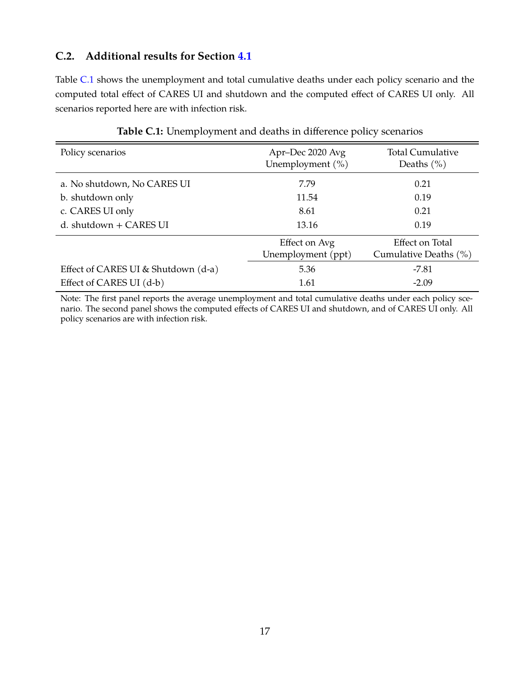# **C.2. Additional results for Section [4.1](#page-23-2)**

Table [C.1](#page-55-0) shows the unemployment and total cumulative deaths under each policy scenario and the computed total effect of CARES UI and shutdown and the computed effect of CARES UI only. All scenarios reported here are with infection risk.

<span id="page-55-0"></span>

| Policy scenarios                    | Apr-Dec 2020 Avg<br>Unemployment (%) | <b>Total Cumulative</b><br>Deaths $(\% )$ |
|-------------------------------------|--------------------------------------|-------------------------------------------|
| a. No shutdown, No CARES UI         | 7.79                                 | 0.21                                      |
| b. shutdown only                    | 11.54                                | 0.19                                      |
| c. CARES UI only                    | 8.61                                 | 0.21                                      |
| d. shutdown $+$ CARES UI            | 13.16                                | 0.19                                      |
|                                     | Effect on Avg<br>Unemployment (ppt)  | Effect on Total<br>Cumulative Deaths (%)  |
| Effect of CARES UI & Shutdown (d-a) | 5.36                                 | $-7.81$                                   |
| Effect of CARES UI (d-b)            | 1.61                                 | $-2.09$                                   |

### **Table C.1:** Unemployment and deaths in difference policy scenarios

Note: The first panel reports the average unemployment and total cumulative deaths under each policy scenario. The second panel shows the computed effects of CARES UI and shutdown, and of CARES UI only. All policy scenarios are with infection risk.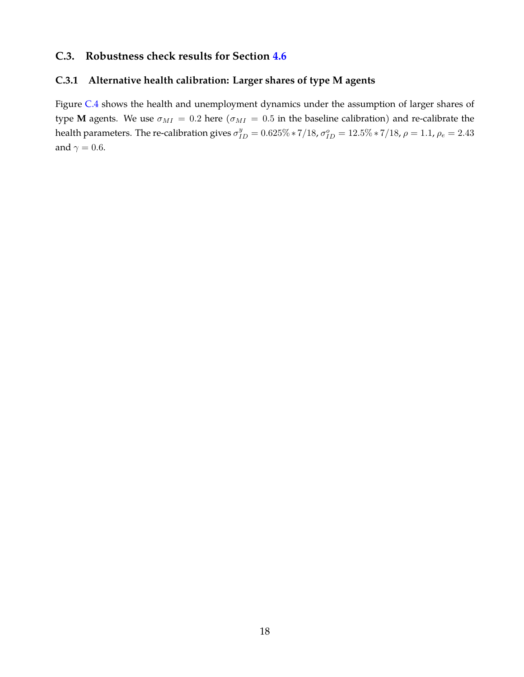# <span id="page-56-0"></span>**C.3. Robustness check results for Section [4.6](#page-33-0)**

# <span id="page-56-1"></span>**C.3.1 Alternative health calibration: Larger shares of type M agents**

Figure [C.4](#page-57-0) shows the health and unemployment dynamics under the assumption of larger shares of type **M** agents. We use  $\sigma_{MI} = 0.2$  here ( $\sigma_{MI} = 0.5$  in the baseline calibration) and re-calibrate the health parameters. The re-calibration gives  $\sigma_{ID}^y = 0.625\% * 7/18$ ,  $\sigma_{ID}^o = 12.5\% * 7/18$ ,  $\rho = 1.1$ ,  $\rho_e = 2.43$ and  $\gamma = 0.6$ .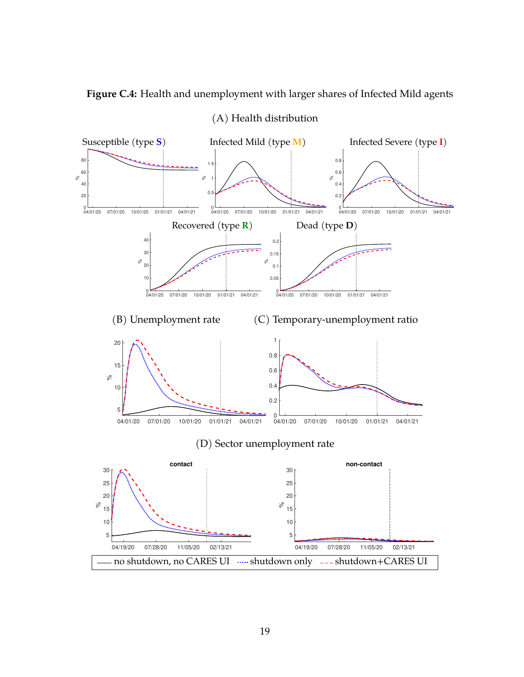<span id="page-57-0"></span>**Figure C.4:** Health and unemployment with larger shares of Infected Mild agents



(A) Health distribution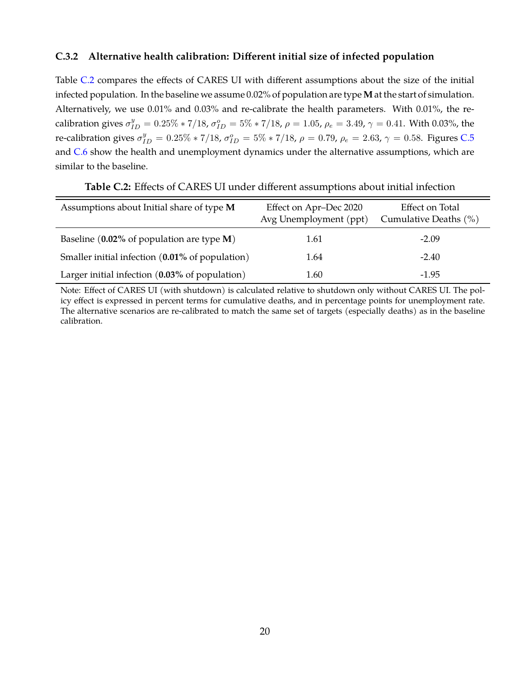### **C.3.2 Alternative health calibration: Different initial size of infected population**

Table [C.2](#page-58-0) compares the effects of CARES UI with different assumptions about the size of the initial infected population. In the baseline we assume 0.02% of population are type **M** at the start of simulation. Alternatively, we use 0.01% and 0.03% and re-calibrate the health parameters. With 0.01%, the recalibration gives  $\sigma_{ID}^y = 0.25\% * 7/18$ ,  $\sigma_{ID}^o = 5\% * 7/18$ ,  $\rho = 1.05$ ,  $\rho_e = 3.49$ ,  $\gamma = 0.41$ . With 0.03%, the re-calibration gives  $\sigma_{ID}^y = 0.25\% * 7/18$ ,  $\sigma_{ID}^o = 5\% * 7/18$ ,  $\rho = 0.79$ ,  $\rho_e = 2.63$ ,  $\gamma = 0.58$ . Figures [C.5](#page-59-0) and [C.6](#page-60-0) show the health and unemployment dynamics under the alternative assumptions, which are similar to the baseline.

<span id="page-58-0"></span>

| Assumptions about Initial share of type M       | Effect on Apr-Dec 2020<br>Avg Unemployment (ppt) | Effect on Total<br>Cumulative Deaths (%) |
|-------------------------------------------------|--------------------------------------------------|------------------------------------------|
| Baseline ( $0.02\%$ of population are type M)   | 1.61                                             | $-2.09$                                  |
| Smaller initial infection (0.01% of population) | 1.64                                             | $-2.40$                                  |
| Larger initial infection (0.03% of population)  | 1.60                                             | $-1.95$                                  |

**Table C.2:** Effects of CARES UI under different assumptions about initial infection

Note: Effect of CARES UI (with shutdown) is calculated relative to shutdown only without CARES UI. The policy effect is expressed in percent terms for cumulative deaths, and in percentage points for unemployment rate. The alternative scenarios are re-calibrated to match the same set of targets (especially deaths) as in the baseline calibration.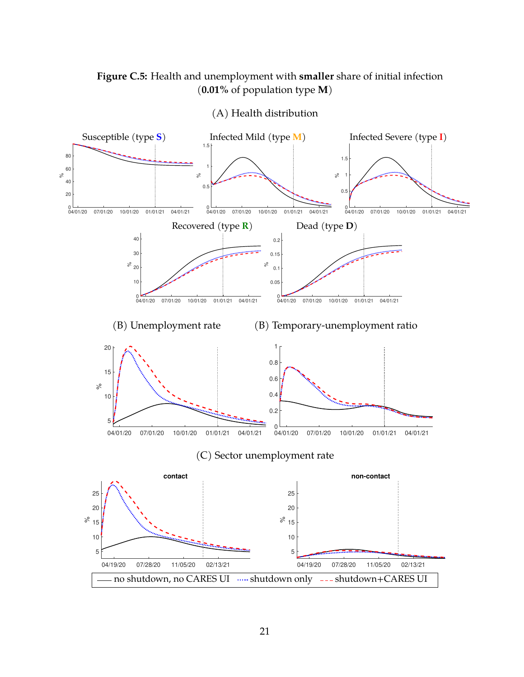# <span id="page-59-0"></span>**Figure C.5:** Health and unemployment with **smaller** share of initial infection (**0.01%** of population type **M**)



(A) Health distribution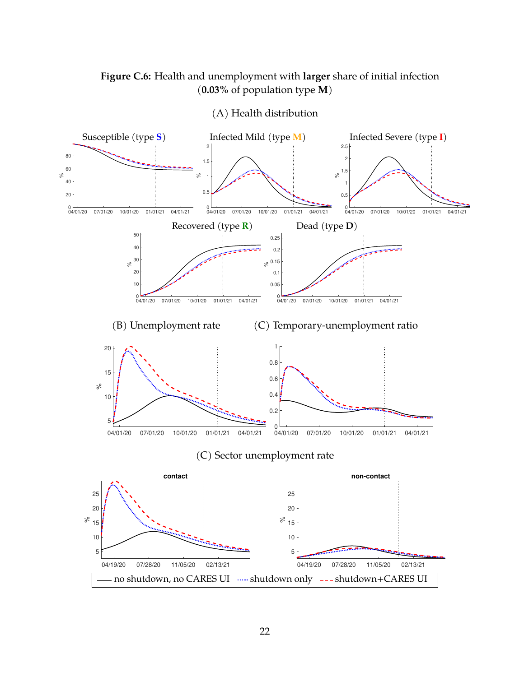# <span id="page-60-0"></span>**Figure C.6:** Health and unemployment with **larger** share of initial infection (**0.03%** of population type **M**)



(A) Health distribution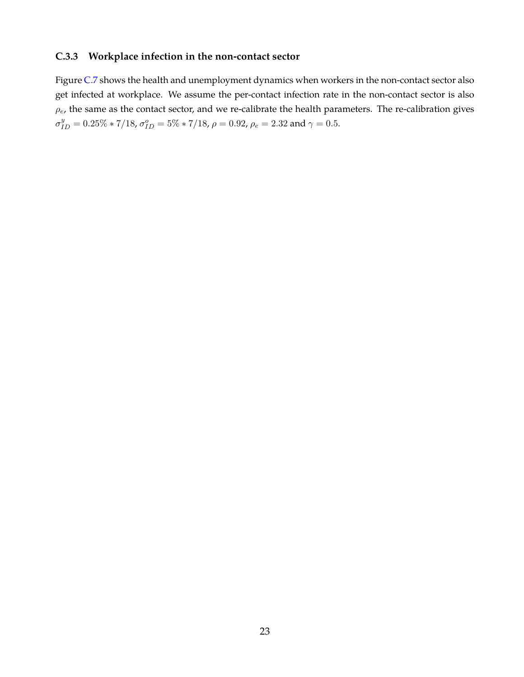# **C.3.3 Workplace infection in the non-contact sector**

Figure [C.7](#page-62-0) shows the health and unemployment dynamics when workers in the non-contact sector also get infected at workplace. We assume the per-contact infection rate in the non-contact sector is also  $\rho_e$ , the same as the contact sector, and we re-calibrate the health parameters. The re-calibration gives  $\sigma_{ID}^y = 0.25\% * 7/18$ ,  $\sigma_{ID}^o = 5\% * 7/18$ ,  $\rho = 0.92$ ,  $\rho_e = 2.32$  and  $\gamma = 0.5$ .